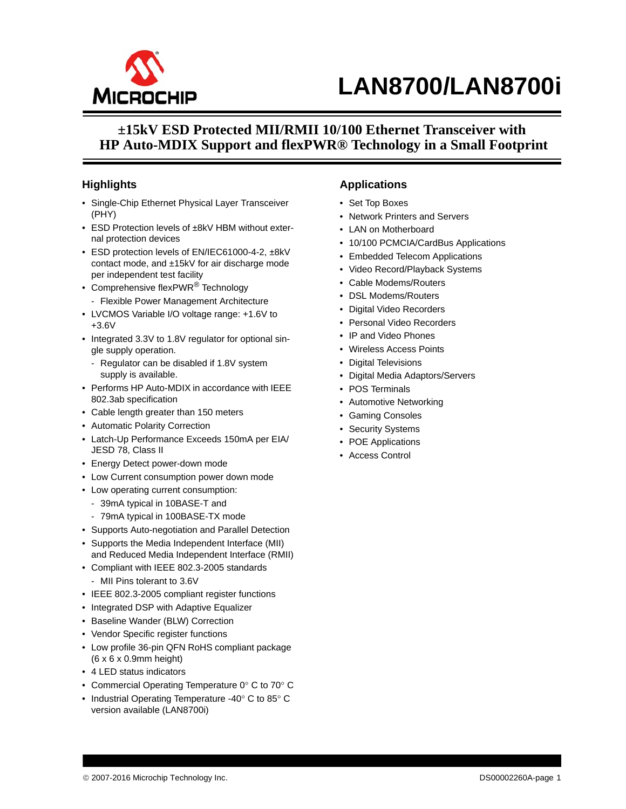

# **LAN8700/LAN8700i**

# **±15kV ESD Protected MII/RMII 10/100 Ethernet Transceiver with HP Auto-MDIX Support and flexPWR® Technology in a Small Footprint**

## **Highlights**

- Single-Chip Ethernet Physical Layer Transceiver (PHY)
- ESD Protection levels of ±8kV HBM without external protection devices
- ESD protection levels of EN/IEC61000-4-2, ±8kV contact mode, and ±15kV for air discharge mode per independent test facility
- Comprehensive flexPWR<sup>®</sup> Technology - Flexible Power Management Architecture
- LVCMOS Variable I/O voltage range: +1.6V to +3.6V
- Integrated 3.3V to 1.8V regulator for optional single supply operation.
- Regulator can be disabled if 1.8V system supply is available.
- Performs HP Auto-MDIX in accordance with IEEE 802.3ab specification
- Cable length greater than 150 meters
- Automatic Polarity Correction
- Latch-Up Performance Exceeds 150mA per EIA/ JESD 78, Class II
- Energy Detect power-down mode
- Low Current consumption power down mode
- Low operating current consumption:
	- 39mA typical in 10BASE-T and
	- 79mA typical in 100BASE-TX mode
- Supports Auto-negotiation and Parallel Detection
- Supports the Media Independent Interface (MII) and Reduced Media Independent Interface (RMII)
- Compliant with IEEE 802.3-2005 standards
	- MII Pins tolerant to 3.6V
- IEEE 802.3-2005 compliant register functions
- Integrated DSP with Adaptive Equalizer
- Baseline Wander (BLW) Correction
- Vendor Specific register functions
- Low profile 36-pin QFN RoHS compliant package (6 x 6 x 0.9mm height)
- 4 LED status indicators
- Commercial Operating Temperature  $0^\circ$  C to 70 $^\circ$  C
- Industrial Operating Temperature -40 $\degree$  C to 85 $\degree$  C version available (LAN8700i)

## **Applications**

- Set Top Boxes
- Network Printers and Servers
- LAN on Motherboard
- 10/100 PCMCIA/CardBus Applications
- Embedded Telecom Applications
- Video Record/Playback Systems
- Cable Modems/Routers
- DSL Modems/Routers
- Digital Video Recorders
- Personal Video Recorders
- IP and Video Phones
- Wireless Access Points
- Digital Televisions
- Digital Media Adaptors/Servers
- POS Terminals
- Automotive Networking
- Gaming Consoles
- Security Systems
- POE Applications
- Access Control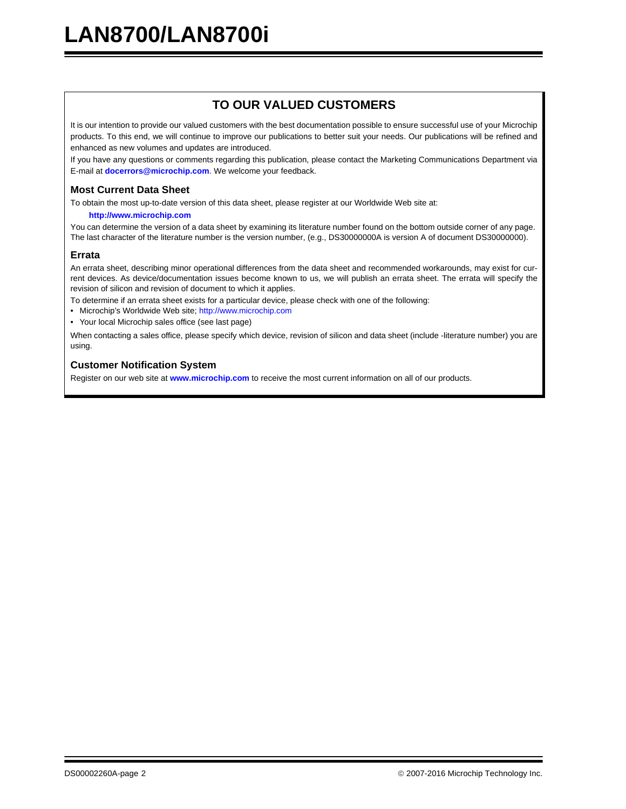## **TO OUR VALUED CUSTOMERS**

It is our intention to provide our valued customers with the best documentation possible to ensure successful use of your Microchip products. To this end, we will continue to improve our publications to better suit your needs. Our publications will be refined and enhanced as new volumes and updates are introduced.

If you have any questions or comments regarding this publication, please contact the Marketing Communications Department via E-mail at **[docerrors@microchip.com](mailto:docerrors@microchip.com)**. We welcome your feedback.

#### **Most Current Data Sheet**

To obtain the most up-to-date version of this data sheet, please register at our Worldwide Web site at:

#### **http://www.microchip.com**

You can determine the version of a data sheet by examining its literature number found on the bottom outside corner of any page. The last character of the literature number is the version number, (e.g., DS30000000A is version A of document DS30000000).

#### **Errata**

An errata sheet, describing minor operational differences from the data sheet and recommended workarounds, may exist for current devices. As device/documentation issues become known to us, we will publish an errata sheet. The errata will specify the revision of silicon and revision of document to which it applies.

- To determine if an errata sheet exists for a particular device, please check with one of the following:
- • [Microchip's Worldwide Web site; h](http://www.microchip.com)ttp://www.microchip.com
- Your local Microchip sales office (see last page)

When contacting a sales office, please specify which device, revision of silicon and data sheet (include -literature number) you are using.

#### **Customer Notification System**

Register on our web site at **[www.microchip.com](http://www.microchip.com)** to receive the most current information on all of our products.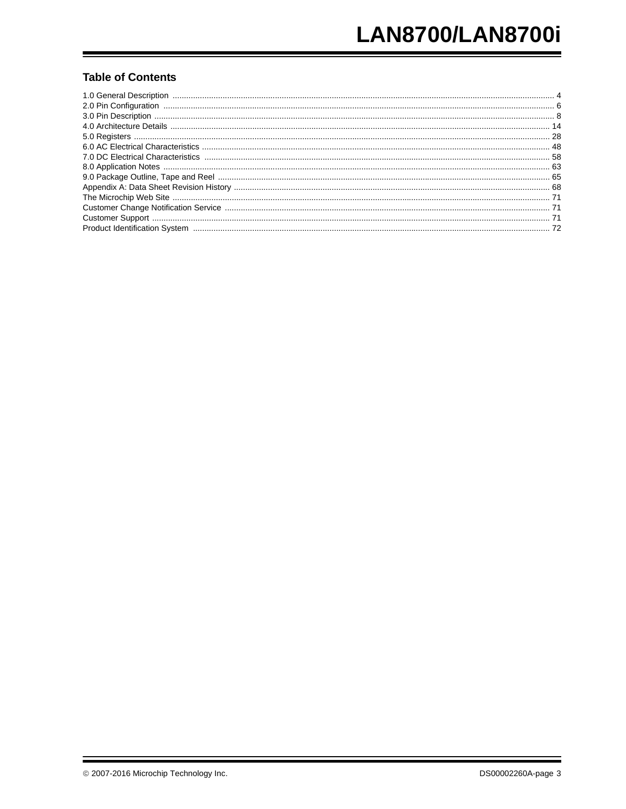## **Table of Contents**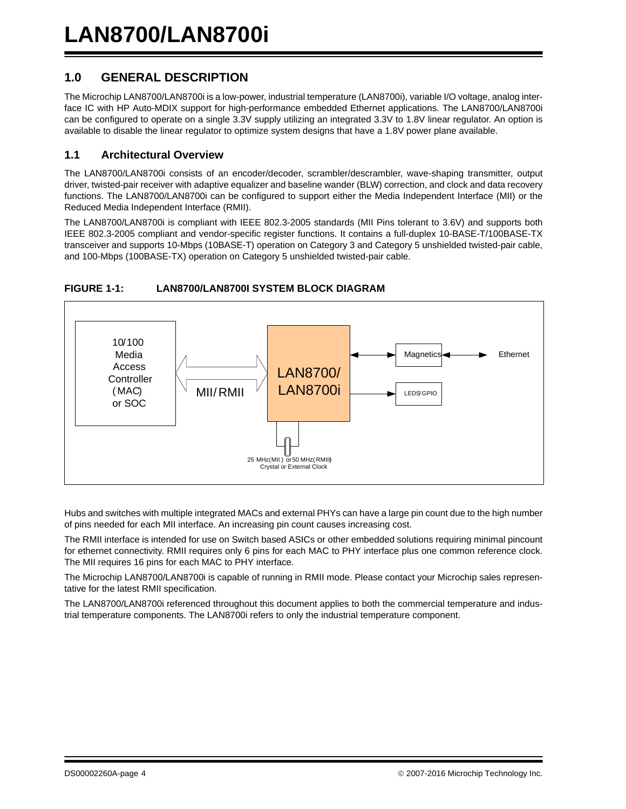## <span id="page-3-0"></span>**1.0 GENERAL DESCRIPTION**

The Microchip LAN8700/LAN8700i is a low-power, industrial temperature (LAN8700i), variable I/O voltage, analog interface IC with HP Auto-MDIX support for high-performance embedded Ethernet applications. The LAN8700/LAN8700i can be configured to operate on a single 3.3V supply utilizing an integrated 3.3V to 1.8V linear regulator. An option is available to disable the linear regulator to optimize system designs that have a 1.8V power plane available.

## **1.1 Architectural Overview**

The LAN8700/LAN8700i consists of an encoder/decoder, scrambler/descrambler, wave-shaping transmitter, output driver, twisted-pair receiver with adaptive equalizer and baseline wander (BLW) correction, and clock and data recovery functions. The LAN8700/LAN8700i can be configured to support either the Media Independent Interface (MII) or the Reduced Media Independent Interface (RMII).

The LAN8700/LAN8700i is compliant with IEEE 802.3-2005 standards (MII Pins tolerant to 3.6V) and supports both IEEE 802.3-2005 compliant and vendor-specific register functions. It contains a full-duplex 10-BASE-T/100BASE-TX transceiver and supports 10-Mbps (10BASE-T) operation on Category 3 and Category 5 unshielded twisted-pair cable, and 100-Mbps (100BASE-TX) operation on Category 5 unshielded twisted-pair cable.



#### **FIGURE 1-1: LAN8700/LAN8700I SYSTEM BLOCK DIAGRAM**

Hubs and switches with multiple integrated MACs and external PHYs can have a large pin count due to the high number of pins needed for each MII interface. An increasing pin count causes increasing cost.

The RMII interface is intended for use on Switch based ASICs or other embedded solutions requiring minimal pincount for ethernet connectivity. RMII requires only 6 pins for each MAC to PHY interface plus one common reference clock. The MII requires 16 pins for each MAC to PHY interface.

The Microchip LAN8700/LAN8700i is capable of running in RMII mode. Please contact your Microchip sales representative for the latest RMII specification.

The LAN8700/LAN8700i referenced throughout this document applies to both the commercial temperature and industrial temperature components. The LAN8700i refers to only the industrial temperature component.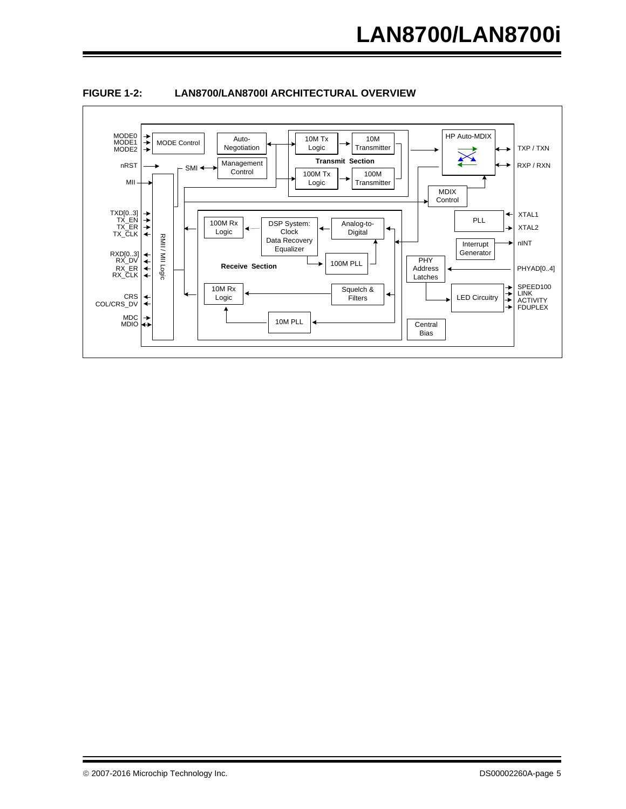

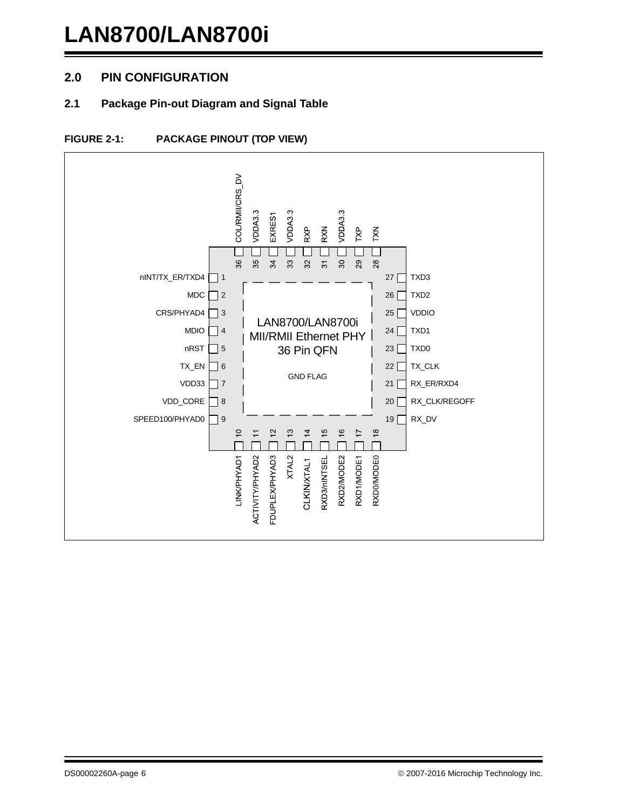# <span id="page-5-0"></span>**2.0 PIN CONFIGURATION**

# **2.1 Package Pin-out Diagram and Signal Table**

# **FIGURE 2-1: PACKAGE PINOUT (TOP VIEW)**

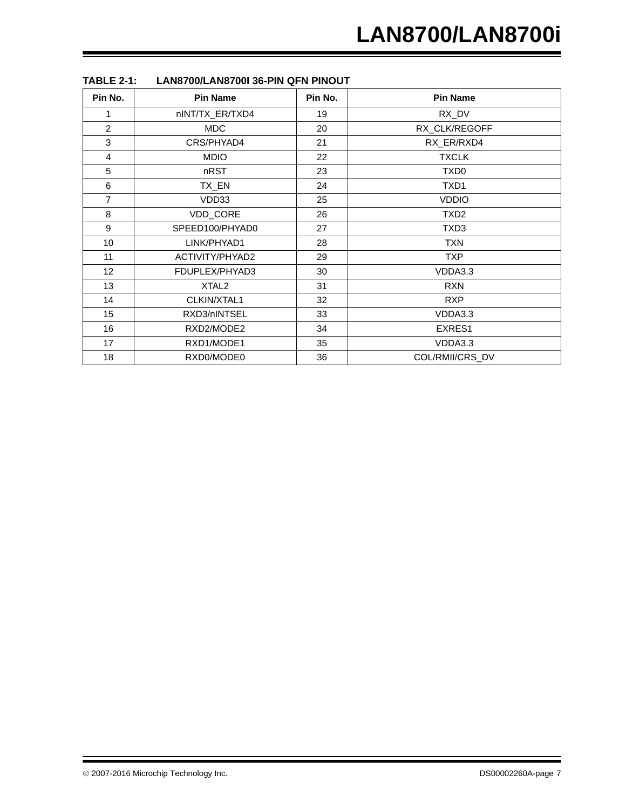| Pin No.         | <b>Pin Name</b>   | Pin No. | <b>Pin Name</b>  |
|-----------------|-------------------|---------|------------------|
| 1               | nINT/TX_ER/TXD4   | 19      | RX_DV            |
| $\overline{2}$  | <b>MDC</b>        | 20      | RX_CLK/REGOFF    |
| 3               | CRS/PHYAD4        | 21      | RX_ER/RXD4       |
| 4               | <b>MDIO</b>       | 22      | <b>TXCLK</b>     |
| 5               | nRST              | 23      | TXD <sub>0</sub> |
| 6               | TX_EN             | 24      | TXD1             |
| $\overline{7}$  | VDD33             | 25      | <b>VDDIO</b>     |
| 8               | VDD_CORE          | 26      | TXD <sub>2</sub> |
| 9               | SPEED100/PHYAD0   | 27      | TXD3             |
| 10              | LINK/PHYAD1       | 28      | <b>TXN</b>       |
| 11              | ACTIVITY/PHYAD2   | 29      | <b>TXP</b>       |
| 12 <sup>2</sup> | FDUPLEX/PHYAD3    | 30      | VDDA3.3          |
| 13              | XTAL <sub>2</sub> | 31      | <b>RXN</b>       |
| 14              | CLKIN/XTAL1       | 32      | <b>RXP</b>       |
| 15              | RXD3/nINTSEL      | 33      | VDDA3.3          |
| 16              | RXD2/MODE2        | 34      | EXRES1           |
| 17              | RXD1/MODE1        | 35      | VDDA3.3          |
| 18              | RXD0/MODE0        | 36      | COL/RMII/CRS_DV  |

**TABLE 2-1: LAN8700/LAN8700I 36-PIN QFN PINOUT**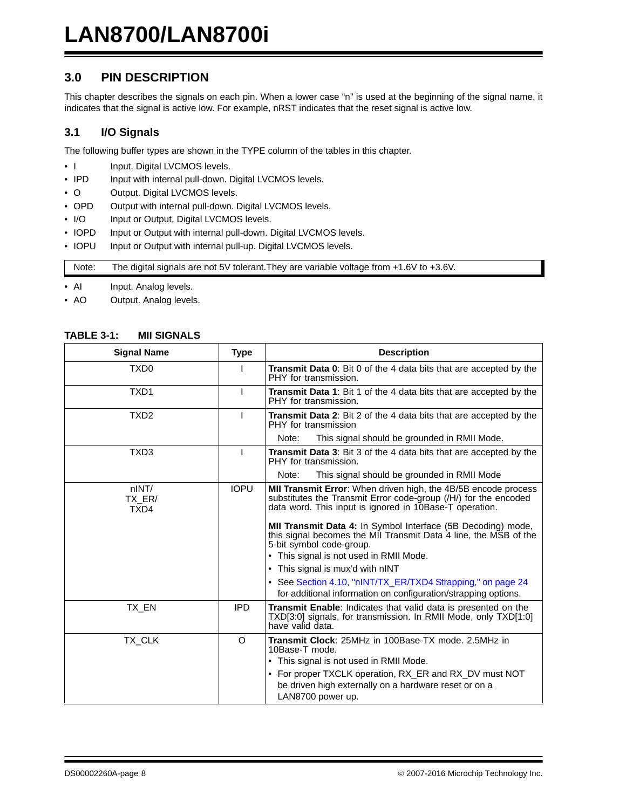## <span id="page-7-0"></span>**3.0 PIN DESCRIPTION**

This chapter describes the signals on each pin. When a lower case "n" is used at the beginning of the signal name, it indicates that the signal is active low. For example, nRST indicates that the reset signal is active low.

## **3.1 I/O Signals**

The following buffer types are shown in the TYPE column of the tables in this chapter.

- I Input. Digital LVCMOS levels.
- IPD Input with internal pull-down. Digital LVCMOS levels.
- O Output. Digital LVCMOS levels.
- OPD Output with internal pull-down. Digital LVCMOS levels.
- I/O Input or Output. Digital LVCMOS levels.
- IOPD Input or Output with internal pull-down. Digital LVCMOS levels.
- IOPU Input or Output with internal pull-up. Digital LVCMOS levels.

Note: The digital signals are not 5V tolerant. They are variable voltage from +1.6V to +3.6V.

- AI Input. Analog levels.
- AO Output. Analog levels.

| <b>TABLE 3-1:</b> | <b>MII SIGNALS</b> |
|-------------------|--------------------|
|                   |                    |

| <b>Signal Name</b>      | <b>Type</b> | <b>Description</b>                                                                                                                                                                                                                                                                                                                                                                                                                                                                                                                                                                         |
|-------------------------|-------------|--------------------------------------------------------------------------------------------------------------------------------------------------------------------------------------------------------------------------------------------------------------------------------------------------------------------------------------------------------------------------------------------------------------------------------------------------------------------------------------------------------------------------------------------------------------------------------------------|
| TXD <sub>0</sub>        |             | <b>Transmit Data 0:</b> Bit 0 of the 4 data bits that are accepted by the<br>PHY for transmission.                                                                                                                                                                                                                                                                                                                                                                                                                                                                                         |
| TXD <sub>1</sub>        | ı           | <b>Transmit Data 1:</b> Bit 1 of the 4 data bits that are accepted by the<br>PHY for transmission.                                                                                                                                                                                                                                                                                                                                                                                                                                                                                         |
| TXD <sub>2</sub>        |             | <b>Transmit Data 2:</b> Bit 2 of the 4 data bits that are accepted by the<br>PHY for transmission                                                                                                                                                                                                                                                                                                                                                                                                                                                                                          |
|                         |             | This signal should be grounded in RMII Mode.<br>Note:                                                                                                                                                                                                                                                                                                                                                                                                                                                                                                                                      |
| TXD <sub>3</sub>        |             | <b>Transmit Data 3:</b> Bit 3 of the 4 data bits that are accepted by the<br>PHY for transmission.                                                                                                                                                                                                                                                                                                                                                                                                                                                                                         |
|                         |             | This signal should be grounded in RMII Mode<br>Note:                                                                                                                                                                                                                                                                                                                                                                                                                                                                                                                                       |
| nINT/<br>TX ER/<br>TXD4 | <b>IOPU</b> | <b>MII Transmit Error:</b> When driven high, the 4B/5B encode process<br>substitutes the Transmit Error code-group (/H/) for the encoded<br>data word. This input is ignored in 10Base-T operation.<br><b>MII Transmit Data 4:</b> In Symbol Interface (5B Decoding) mode,<br>this signal becomes the MII Transmit Data 4 line, the MSB of the<br>5-bit symbol code-group.<br>• This signal is not used in RMII Mode.<br>• This signal is mux'd with nINT<br>• See Section 4.10, "nINT/TX_ER/TXD4 Strapping," on page 24<br>for additional information on configuration/strapping options. |
| TX_EN                   | <b>IPD</b>  | <b>Transmit Enable:</b> Indicates that valid data is presented on the<br>TXD[3:0] signals, for transmission. In RMII Mode, only TXD[1:0]<br>have valid data.                                                                                                                                                                                                                                                                                                                                                                                                                               |
| TX_CLK                  | $\circ$     | Transmit Clock: 25MHz in 100Base-TX mode, 2.5MHz in<br>10Base-T mode.<br>• This signal is not used in RMII Mode.<br>• For proper TXCLK operation, RX_ER and RX_DV must NOT<br>be driven high externally on a hardware reset or on a<br>LAN8700 power up.                                                                                                                                                                                                                                                                                                                                   |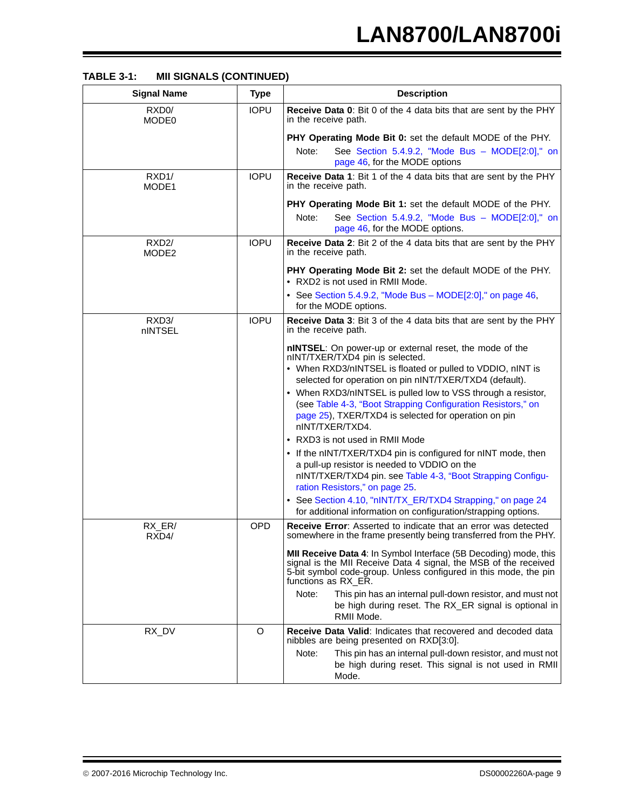| <b>Signal Name</b>          | <b>Type</b> | <b>Description</b>                                                                                                                                                                                                              |
|-----------------------------|-------------|---------------------------------------------------------------------------------------------------------------------------------------------------------------------------------------------------------------------------------|
| RXD <sub>0</sub> /<br>MODE0 | <b>IOPU</b> | Receive Data 0: Bit 0 of the 4 data bits that are sent by the PHY<br>in the receive path.                                                                                                                                       |
|                             |             | <b>PHY Operating Mode Bit 0:</b> set the default MODE of the PHY.                                                                                                                                                               |
|                             |             | See Section 5.4.9.2, "Mode Bus - MODE[2:0]," on<br>Note:<br>page 46, for the MODE options                                                                                                                                       |
| RXD1/<br>MODE1              | <b>IOPU</b> | Receive Data 1: Bit 1 of the 4 data bits that are sent by the PHY<br>in the receive path.                                                                                                                                       |
|                             |             | <b>PHY Operating Mode Bit 1: set the default MODE of the PHY.</b>                                                                                                                                                               |
|                             |             | See Section 5.4.9.2, "Mode Bus - MODE[2:0]," on<br>Note:<br>page 46, for the MODE options.                                                                                                                                      |
| RXD <sub>2</sub> /<br>MODE2 | <b>IOPU</b> | Receive Data 2: Bit 2 of the 4 data bits that are sent by the PHY<br>in the receive path.                                                                                                                                       |
|                             |             | PHY Operating Mode Bit 2: set the default MODE of the PHY.<br>• RXD2 is not used in RMII Mode.                                                                                                                                  |
|                             |             | • See Section 5.4.9.2, "Mode Bus – MODE $[2:0]$ ," on page 46,<br>for the MODE options.                                                                                                                                         |
| RXD3/<br>nINTSEL            | <b>IOPU</b> | Receive Data 3: Bit 3 of the 4 data bits that are sent by the PHY<br>in the receive path.                                                                                                                                       |
|                             |             | nINTSEL: On power-up or external reset, the mode of the<br>nINT/TXER/TXD4 pin is selected.                                                                                                                                      |
|                             |             | • When RXD3/nINTSEL is floated or pulled to VDDIO, nINT is<br>selected for operation on pin nINT/TXER/TXD4 (default).                                                                                                           |
|                             |             | • When RXD3/nINTSEL is pulled low to VSS through a resistor,                                                                                                                                                                    |
|                             |             | (see Table 4-3, "Boot Strapping Configuration Resistors," on<br>page 25), TXER/TXD4 is selected for operation on pin<br>nINT/TXER/TXD4.                                                                                         |
|                             |             | • RXD3 is not used in RMII Mode                                                                                                                                                                                                 |
|                             |             | • If the nINT/TXER/TXD4 pin is configured for nINT mode, then<br>a pull-up resistor is needed to VDDIO on the<br>nINT/TXER/TXD4 pin. see Table 4-3, "Boot Strapping Configu-<br>ration Resistors," on page 25.                  |
|                             |             | • See Section 4.10, "nINT/TX_ER/TXD4 Strapping," on page 24                                                                                                                                                                     |
|                             |             | for additional information on configuration/strapping options.                                                                                                                                                                  |
| RX_ER/<br>RXD4/             | <b>OPD</b>  | Receive Error: Asserted to indicate that an error was detected<br>somewhere in the frame presently being transferred from the PHY.                                                                                              |
|                             |             | MII Receive Data 4: In Symbol Interface (5B Decoding) mode, this<br>signal is the MII Receive Data 4 signal, the MSB of the received<br>5-bit symbol code-group. Unless configured in this mode, the pin<br>functions as RX_ER. |
|                             |             | Note:<br>This pin has an internal pull-down resistor, and must not<br>be high during reset. The RX_ER signal is optional in<br>RMII Mode.                                                                                       |
| RX_DV                       | O           | <b>Receive Data Valid:</b> Indicates that recovered and decoded data<br>nibbles are being presented on RXD[3:0].                                                                                                                |
|                             |             | Note:<br>This pin has an internal pull-down resistor, and must not<br>be high during reset. This signal is not used in RMII<br>Mode.                                                                                            |

## **TABLE 3-1: MII SIGNALS (CONTINUED)**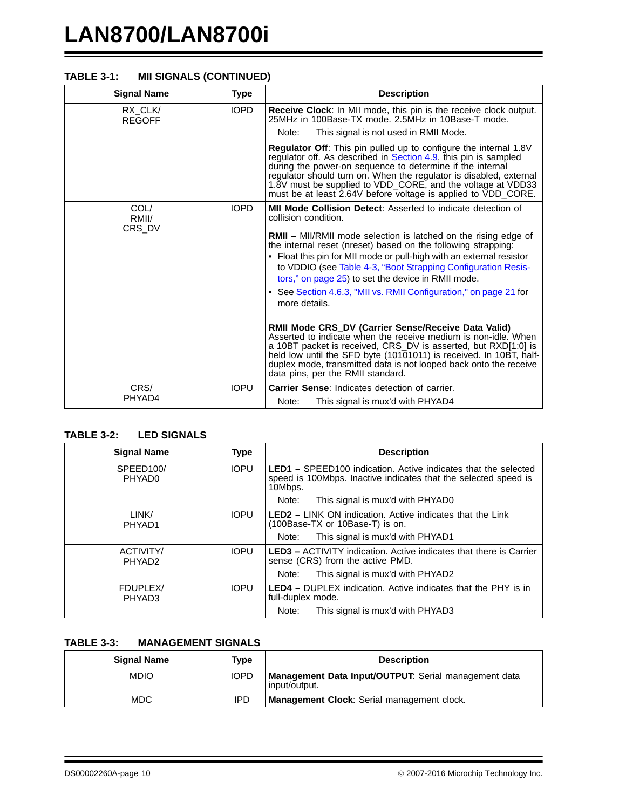| <b>TABLE 3-1:</b> |  | <b>MII SIGNALS (CONTINUED)</b> |
|-------------------|--|--------------------------------|
|-------------------|--|--------------------------------|

| <b>Signal Name</b>       | <b>Type</b> | <b>Description</b>                                                                                                                                                                                                                                                                                                                                                                                                           |
|--------------------------|-------------|------------------------------------------------------------------------------------------------------------------------------------------------------------------------------------------------------------------------------------------------------------------------------------------------------------------------------------------------------------------------------------------------------------------------------|
| RX CLK/<br><b>REGOFF</b> | <b>IOPD</b> | Receive Clock: In MII mode, this pin is the receive clock output.<br>25MHz in 100Base-TX mode, 2.5MHz in 10Base-T mode.                                                                                                                                                                                                                                                                                                      |
|                          |             | This signal is not used in RMII Mode.<br>Note:                                                                                                                                                                                                                                                                                                                                                                               |
|                          |             | <b>Regulator Off:</b> This pin pulled up to configure the internal 1.8V<br>regulator off. As described in Section 4.9, this pin is sampled<br>during the power-on sequence to determine if the internal<br>regulator should turn on. When the regulator is disabled, external<br>1.8V must be supplied to VDD_CORE, and the voltage at VDD33<br>must be at least 2.64V before voltage is applied to VDD_CORE.                |
| COL/<br>RMII/<br>CRS_DV  | <b>IOPD</b> | <b>MII Mode Collision Detect:</b> Asserted to indicate detection of<br>collision condition.                                                                                                                                                                                                                                                                                                                                  |
|                          |             | <b>RMII</b> – MII/RMII mode selection is latched on the rising edge of<br>the internal reset (nreset) based on the following strapping:<br>• Float this pin for MII mode or pull-high with an external resistor<br>to VDDIO (see Table 4-3, "Boot Strapping Configuration Resis-<br>tors," on page 25) to set the device in RMII mode.<br>• See Section 4.6.3, "MII vs. RMII Configuration," on page 21 for<br>more details. |
|                          |             | RMII Mode CRS_DV (Carrier Sense/Receive Data Valid)<br>Asserted to indicate when the receive medium is non-idle. When<br>a 10BT packet is received, CRS_DV is asserted, but RXD[1:0] is<br>held low until the SFD byte (10101011) is received. In 10BT, half-<br>duplex mode, transmitted data is not looped back onto the receive<br>data pins, per the RMII standard.                                                      |
| CRS/                     | <b>IOPU</b> | <b>Carrier Sense: Indicates detection of carrier.</b>                                                                                                                                                                                                                                                                                                                                                                        |
| PHYAD4                   |             | Note:<br>This signal is mux'd with PHYAD4                                                                                                                                                                                                                                                                                                                                                                                    |

## **TABLE 3-2: LED SIGNALS**

| <b>Signal Name</b>                     | <b>Type</b> | <b>Description</b>                                                                                                                                  |
|----------------------------------------|-------------|-----------------------------------------------------------------------------------------------------------------------------------------------------|
| SPEED100/<br>PHYAD0                    | <b>IOPU</b> | <b>LED1</b> – SPEED100 indication. Active indicates that the selected<br>speed is 100Mbps. Inactive indicates that the selected speed is<br>10Mbps. |
|                                        |             | This signal is mux'd with PHYAD0<br>Note:                                                                                                           |
| LINK/<br>PHYAD1                        | <b>IOPU</b> | <b>LED2</b> – LINK ON indication. Active indicates that the Link<br>(100Base-TX or 10Base-T) is on.                                                 |
|                                        |             | This signal is mux'd with PHYAD1<br>Note:                                                                                                           |
| <b>ACTIVITY/</b><br>PHYAD <sub>2</sub> | <b>IOPU</b> | <b>LED3</b> – ACTIVITY indication. Active indicates that there is Carrier<br>sense (CRS) from the active PMD.                                       |
|                                        |             | This signal is mux'd with PHYAD2<br>Note:                                                                                                           |
| FDUPLEX/<br>PHYAD <sub>3</sub>         | <b>IOPU</b> | <b>LED4</b> – DUPLEX indication. Active indicates that the PHY is in<br>full-duplex mode.                                                           |
|                                        |             | This signal is mux'd with PHYAD3<br>Note:                                                                                                           |

## **TABLE 3-3: MANAGEMENT SIGNALS**

| <b>Signal Name</b> | Type        | <b>Description</b>                                                    |
|--------------------|-------------|-----------------------------------------------------------------------|
| <b>MDIO</b>        | <b>IOPD</b> | Management Data Input/OUTPUT: Serial management data<br>input/output. |
| MDC                | IPD         | Management Clock: Serial management clock.                            |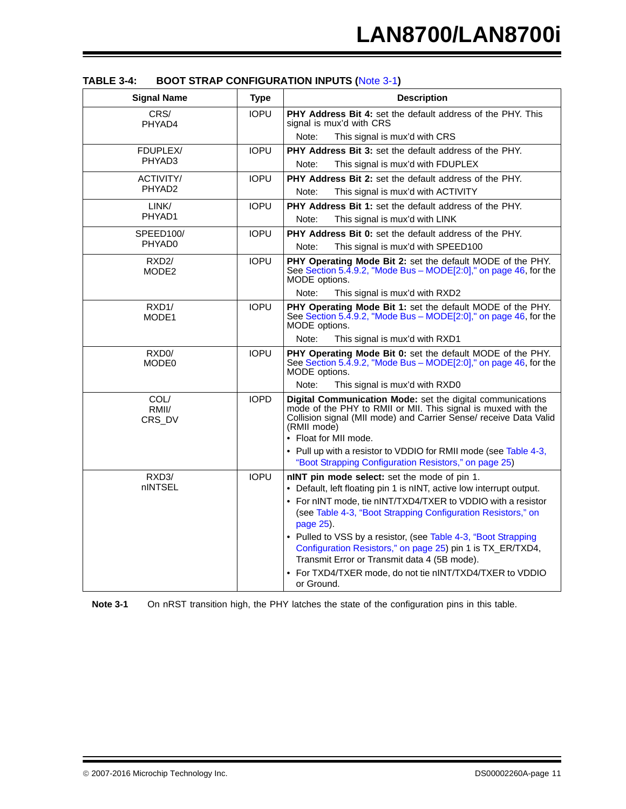| <b>Signal Name</b>            | <b>Type</b> | <b>Description</b>                                                                                                                                                                                                                                                                                                                                                                                                                                                                                                          |
|-------------------------------|-------------|-----------------------------------------------------------------------------------------------------------------------------------------------------------------------------------------------------------------------------------------------------------------------------------------------------------------------------------------------------------------------------------------------------------------------------------------------------------------------------------------------------------------------------|
| CRS/<br>PHYAD4                | <b>IOPU</b> | PHY Address Bit 4: set the default address of the PHY. This<br>signal is mux'd with CRS                                                                                                                                                                                                                                                                                                                                                                                                                                     |
|                               |             | Note:<br>This signal is mux'd with CRS                                                                                                                                                                                                                                                                                                                                                                                                                                                                                      |
| FDUPLEX/                      | <b>IOPU</b> | <b>PHY Address Bit 3: set the default address of the PHY.</b>                                                                                                                                                                                                                                                                                                                                                                                                                                                               |
| PHYAD3                        |             | This signal is mux'd with FDUPLEX<br>Note:                                                                                                                                                                                                                                                                                                                                                                                                                                                                                  |
| <b>ACTIVITY/</b>              | <b>IOPU</b> | PHY Address Bit 2: set the default address of the PHY.                                                                                                                                                                                                                                                                                                                                                                                                                                                                      |
| PHYAD2                        |             | Note:<br>This signal is mux'd with ACTIVITY                                                                                                                                                                                                                                                                                                                                                                                                                                                                                 |
| LINK/                         | <b>IOPU</b> | PHY Address Bit 1: set the default address of the PHY.                                                                                                                                                                                                                                                                                                                                                                                                                                                                      |
| PHYAD1                        |             | This signal is mux'd with LINK<br>Note:                                                                                                                                                                                                                                                                                                                                                                                                                                                                                     |
| SPEED <sub>100</sub> /        | <b>IOPU</b> | <b>PHY Address Bit 0:</b> set the default address of the PHY.                                                                                                                                                                                                                                                                                                                                                                                                                                                               |
| PHYAD0                        |             | This signal is mux'd with SPEED100<br>Note:                                                                                                                                                                                                                                                                                                                                                                                                                                                                                 |
| RXD <sub>2</sub> /<br>MODE2   | <b>IOPU</b> | PHY Operating Mode Bit 2: set the default MODE of the PHY.<br>See Section 5.4.9.2, "Mode Bus - MODE[2:0]," on page 46, for the<br>MODE options.                                                                                                                                                                                                                                                                                                                                                                             |
|                               |             | Note:<br>This signal is mux'd with RXD2                                                                                                                                                                                                                                                                                                                                                                                                                                                                                     |
| RXD1/<br>MODE1                | <b>IOPU</b> | PHY Operating Mode Bit 1: set the default MODE of the PHY.<br>See Section 5.4.9.2, "Mode Bus $-$ MODE[2:0]," on page 46, for the<br>MODE options.                                                                                                                                                                                                                                                                                                                                                                           |
|                               |             | Note:<br>This signal is mux'd with RXD1                                                                                                                                                                                                                                                                                                                                                                                                                                                                                     |
| RXD <sub>0</sub> /<br>MODE0   | <b>IOPU</b> | PHY Operating Mode Bit 0: set the default MODE of the PHY.<br>See Section 5.4.9.2, "Mode Bus $-$ MODE[2:0]," on page 46, for the<br>MODE options.                                                                                                                                                                                                                                                                                                                                                                           |
|                               |             | Note:<br>This signal is mux'd with RXD0                                                                                                                                                                                                                                                                                                                                                                                                                                                                                     |
| COL/<br>RMII/<br>CRS_DV       | <b>IOPD</b> | Digital Communication Mode: set the digital communications<br>mode of the PHY to RMII or MII. This signal is muxed with the<br>Collision signal (MII mode) and Carrier Sense/ receive Data Valid<br>(RMII mode)<br>• Float for MII mode.<br>• Pull up with a resistor to VDDIO for RMII mode (see Table 4-3,                                                                                                                                                                                                                |
|                               |             | "Boot Strapping Configuration Resistors," on page 25)                                                                                                                                                                                                                                                                                                                                                                                                                                                                       |
| RXD <sub>3</sub> /<br>nINTSEL | <b>IOPU</b> | nINT pin mode select: set the mode of pin 1.<br>• Default, left floating pin 1 is nINT, active low interrupt output.<br>• For nINT mode, tie nINT/TXD4/TXER to VDDIO with a resistor<br>(see Table 4-3, "Boot Strapping Configuration Resistors," on<br>page 25).<br>• Pulled to VSS by a resistor, (see Table 4-3, "Boot Strapping<br>Configuration Resistors," on page 25) pin 1 is TX_ER/TXD4,<br>Transmit Error or Transmit data 4 (5B mode).<br>• For TXD4/TXER mode, do not tie nINT/TXD4/TXER to VDDIO<br>or Ground. |

## **TABLE 3-4: BOOT STRAP CONFIGURATION INPUTS (**[Note 3-1](#page-10-0)**)**

<span id="page-10-0"></span>**Note 3-1** On nRST transition high, the PHY latches the state of the configuration pins in this table.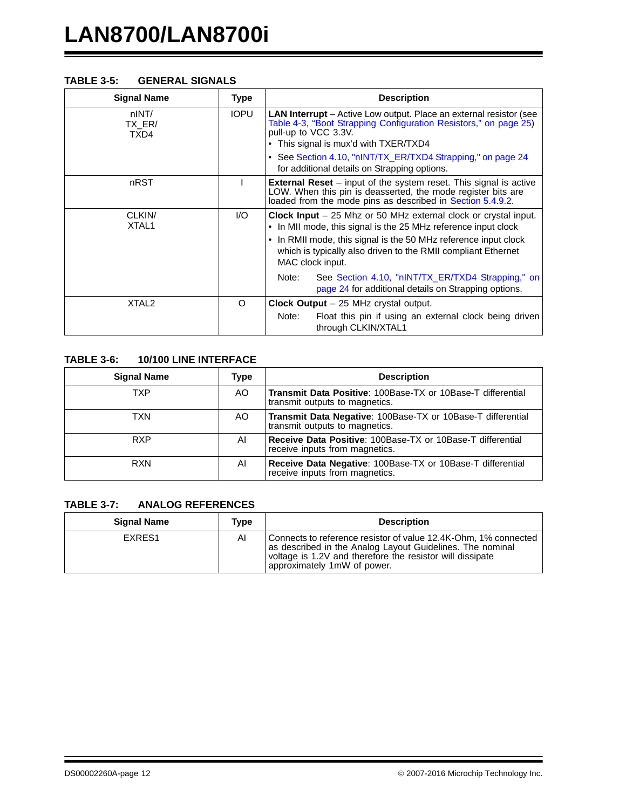| <b>Signal Name</b>          | <b>Type</b> | <b>Description</b>                                                                                                                                                                                                                                                                                 |
|-----------------------------|-------------|----------------------------------------------------------------------------------------------------------------------------------------------------------------------------------------------------------------------------------------------------------------------------------------------------|
| nINT/<br>TX ER/<br>TXD4     | <b>IOPU</b> | LAN Interrupt - Active Low output. Place an external resistor (see<br>Table 4-3, "Boot Strapping Configuration Resistors," on page 25)<br>pull-up to VCC 3.3V.<br>• This signal is mux'd with TXER/TXD4                                                                                            |
|                             |             | • See Section 4.10, "nINT/TX_ER/TXD4 Strapping," on page 24<br>for additional details on Strapping options.                                                                                                                                                                                        |
| nRST                        |             | <b>External Reset</b> – input of the system reset. This signal is active<br>LOW. When this pin is deasserted, the mode register bits are<br>loaded from the mode pins as described in Section 5.4.9.2.                                                                                             |
| CLKIN/<br>XTAL <sub>1</sub> | 1/O         | <b>Clock Input</b> $-$ 25 Mhz or 50 MHz external clock or crystal input.<br>• In MII mode, this signal is the 25 MHz reference input clock<br>• In RMII mode, this signal is the 50 MHz reference input clock<br>which is typically also driven to the RMII compliant Ethernet<br>MAC clock input. |
|                             |             | See Section 4.10, "nINT/TX ER/TXD4 Strapping," on<br>Note:<br>page 24 for additional details on Strapping options.                                                                                                                                                                                 |
| XTAL <sub>2</sub>           | $\Omega$    | <b>Clock Output</b> $-$ 25 MHz crystal output.                                                                                                                                                                                                                                                     |
|                             |             | Float this pin if using an external clock being driven<br>Note:<br>through CLKIN/XTAL1                                                                                                                                                                                                             |

## **TABLE 3-5: GENERAL SIGNALS**

## **TABLE 3-6: 10/100 LINE INTERFACE**

| <b>Signal Name</b> | Type | <b>Description</b>                                                                                   |
|--------------------|------|------------------------------------------------------------------------------------------------------|
| TXP                | AO.  | <b>Transmit Data Positive: 100Base-TX or 10Base-T differential</b><br>transmit outputs to magnetics. |
| TXN                | AO.  | Transmit Data Negative: 100Base-TX or 10Base-T differential<br>transmit outputs to magnetics.        |
| <b>RXP</b>         | AI   | Receive Data Positive: 100Base-TX or 10Base-T differential<br>receive inputs from magnetics.         |
| <b>RXN</b>         | AI   | Receive Data Negative: 100Base-TX or 10Base-T differential<br>receive inputs from magnetics.         |

#### **TABLE 3-7: ANALOG REFERENCES**

| <b>Signal Name</b> | Type | <b>Description</b>                                                                                                                                                                                                       |  |  |  |  |  |  |
|--------------------|------|--------------------------------------------------------------------------------------------------------------------------------------------------------------------------------------------------------------------------|--|--|--|--|--|--|
| EXRES1             | AI   | Connects to reference resistor of value 12.4K-Ohm, 1% connected<br>as described in the Analog Layout Guidelines. The nominal<br>voltage is 1.2V and therefore the resistor will dissipate<br>approximately 1mW of power. |  |  |  |  |  |  |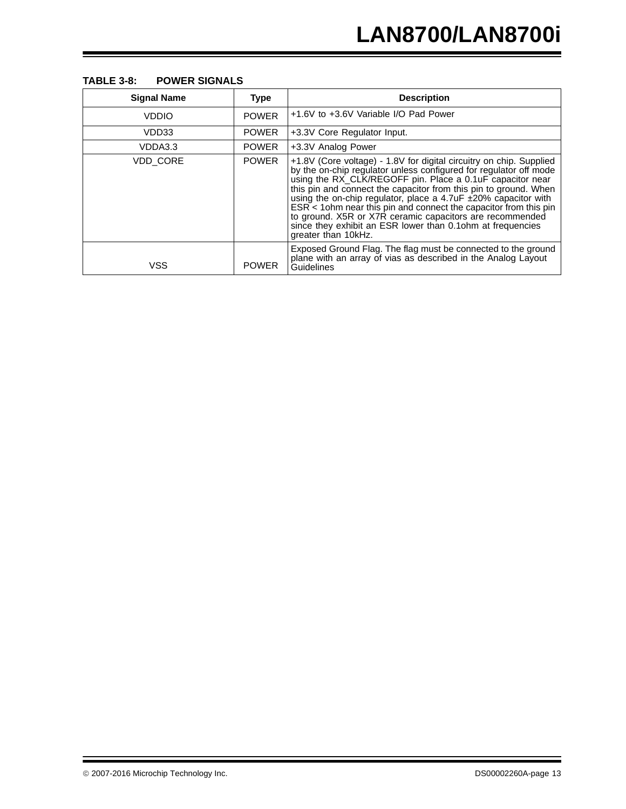| <b>Signal Name</b> | <b>Type</b>  | <b>Description</b>                                                                                                                                                                                                                                                                                                                                                                                                                                                                                                                                                       |
|--------------------|--------------|--------------------------------------------------------------------------------------------------------------------------------------------------------------------------------------------------------------------------------------------------------------------------------------------------------------------------------------------------------------------------------------------------------------------------------------------------------------------------------------------------------------------------------------------------------------------------|
| <b>VDDIO</b>       | <b>POWER</b> | +1.6V to +3.6V Variable I/O Pad Power                                                                                                                                                                                                                                                                                                                                                                                                                                                                                                                                    |
| VDD33              | <b>POWER</b> | +3.3V Core Regulator Input.                                                                                                                                                                                                                                                                                                                                                                                                                                                                                                                                              |
| VDDA3.3            | <b>POWER</b> | +3.3V Analog Power                                                                                                                                                                                                                                                                                                                                                                                                                                                                                                                                                       |
| <b>VDD CORE</b>    | <b>POWER</b> | +1.8V (Core voltage) - 1.8V for digital circuitry on chip. Supplied<br>by the on-chip regulator unless configured for regulator off mode<br>using the RX_CLK/REGOFF pin. Place a 0.1 uF capacitor near<br>this pin and connect the capacitor from this pin to ground. When<br>using the on-chip regulator, place a 4.7uF $\pm$ 20% capacitor with<br>$ESR$ < 10hm near this pin and connect the capacitor from this pin<br>to ground. X5R or X7R ceramic capacitors are recommended<br>since they exhibit an ESR lower than 0.10hm at frequencies<br>greater than 10kHz. |
| VSS                | <b>POWER</b> | Exposed Ground Flag. The flag must be connected to the ground<br>plane with an array of vias as described in the Analog Layout<br>Guidelines                                                                                                                                                                                                                                                                                                                                                                                                                             |

## **TABLE 3-8: POWER SIGNALS**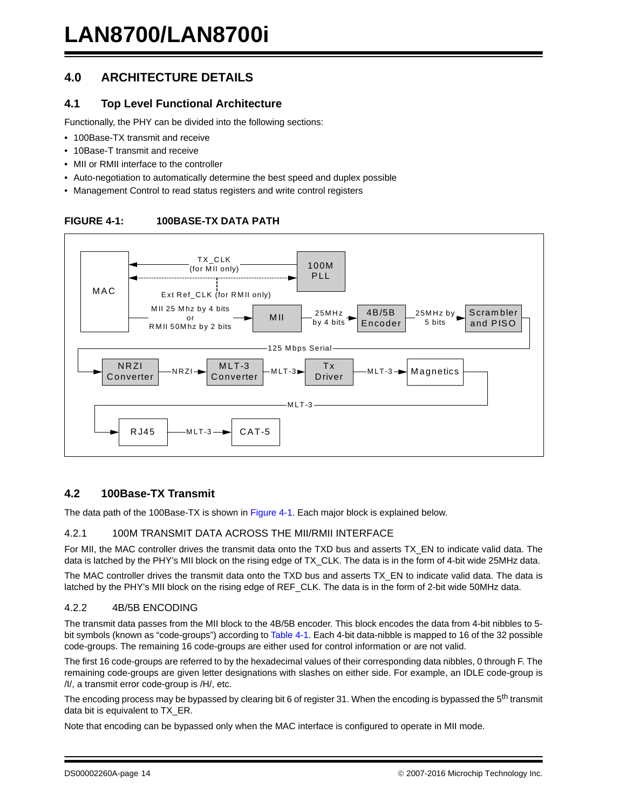# <span id="page-13-0"></span>**4.0 ARCHITECTURE DETAILS**

## **4.1 Top Level Functional Architecture**

Functionally, the PHY can be divided into the following sections:

- 100Base-TX transmit and receive
- 10Base-T transmit and receive
- MII or RMII interface to the controller
- Auto-negotiation to automatically determine the best speed and duplex possible
- Management Control to read status registers and write control registers

## <span id="page-13-1"></span>**FIGURE 4-1: 100BASE-TX DATA PATH**



## **4.2 100Base-TX Transmit**

The data path of the 100Base-TX is shown in [Figure 4-1](#page-13-1). Each major block is explained below.

## 4.2.1 100M TRANSMIT DATA ACROSS THE MII/RMII INTERFACE

For MII, the MAC controller drives the transmit data onto the TXD bus and asserts TX\_EN to indicate valid data. The data is latched by the PHY's MII block on the rising edge of TX\_CLK. The data is in the form of 4-bit wide 25MHz data.

The MAC controller drives the transmit data onto the TXD bus and asserts TX\_EN to indicate valid data. The data is latched by the PHY's MII block on the rising edge of REF\_CLK. The data is in the form of 2-bit wide 50MHz data.

## 4.2.2 4B/5B ENCODING

The transmit data passes from the MII block to the 4B/5B encoder. This block encodes the data from 4-bit nibbles to 5 bit symbols (known as "code-groups") according to [Table 4-1.](#page-14-0) Each 4-bit data-nibble is mapped to 16 of the 32 possible code-groups. The remaining 16 code-groups are either used for control information or are not valid.

The first 16 code-groups are referred to by the hexadecimal values of their corresponding data nibbles, 0 through F. The remaining code-groups are given letter designations with slashes on either side. For example, an IDLE code-group is /I/, a transmit error code-group is /H/, etc.

The encoding process may be bypassed by clearing bit 6 of register 31. When the encoding is bypassed the 5<sup>th</sup> transmit data bit is equivalent to TX\_ER.

Note that encoding can be bypassed only when the MAC interface is configured to operate in MII mode.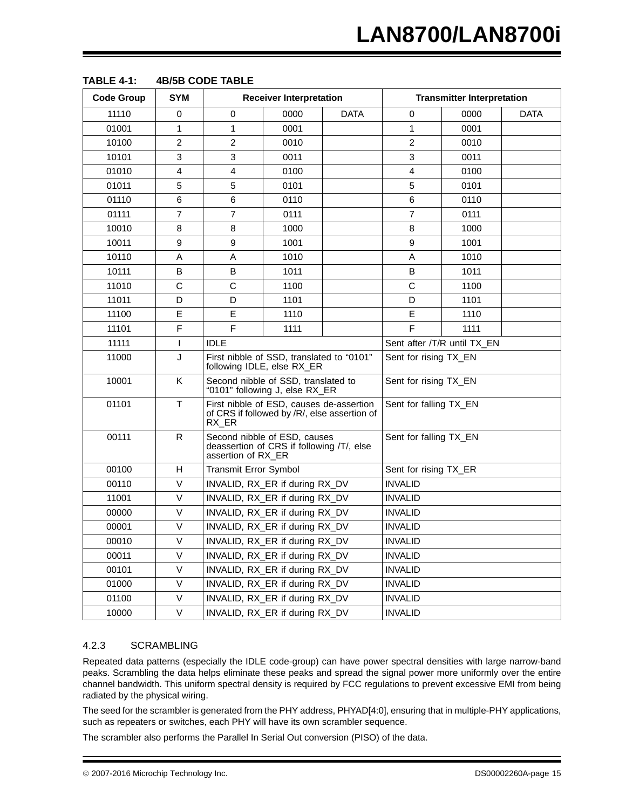| <b>Code Group</b> | <b>SYM</b>     |                       | <b>Receiver Interpretation</b>                                                           |             |                        | <b>Transmitter Interpretation</b> |             |  |  |  |
|-------------------|----------------|-----------------------|------------------------------------------------------------------------------------------|-------------|------------------------|-----------------------------------|-------------|--|--|--|
| 11110             | 0              | $\mathbf 0$           | 0000                                                                                     | <b>DATA</b> | 0                      | 0000                              | <b>DATA</b> |  |  |  |
| 01001             | 1              | 1                     | 0001                                                                                     |             | 1                      | 0001                              |             |  |  |  |
| 10100             | $\overline{2}$ | $\overline{c}$        | 0010                                                                                     |             | 2                      | 0010                              |             |  |  |  |
| 10101             | 3              | 3                     | 0011                                                                                     |             | 3                      | 0011                              |             |  |  |  |
| 01010             | $\overline{4}$ | $\overline{4}$        | 0100                                                                                     |             | $\overline{4}$         | 0100                              |             |  |  |  |
| 01011             | 5              | 5                     | 0101                                                                                     |             | 5                      | 0101                              |             |  |  |  |
| 01110             | 6              | 6                     | 0110                                                                                     |             | 6                      | 0110                              |             |  |  |  |
| 01111             | $\overline{7}$ | $\overline{7}$        | 0111                                                                                     |             | $\overline{7}$         | 0111                              |             |  |  |  |
| 10010             | 8              | 8                     | 1000                                                                                     |             | 8                      | 1000                              |             |  |  |  |
| 10011             | 9              | 9                     | 1001                                                                                     |             | 9                      | 1001                              |             |  |  |  |
| 10110             | A              | A                     | 1010                                                                                     |             | A                      | 1010                              |             |  |  |  |
| 10111             | B              | B                     | 1011                                                                                     |             | B                      | 1011                              |             |  |  |  |
| 11010             | C              | C                     | 1100                                                                                     |             | C                      | 1100                              |             |  |  |  |
| 11011             | D              | D                     | 1101                                                                                     |             | D                      | 1101                              |             |  |  |  |
| 11100             | E              | E                     | 1110                                                                                     |             | E                      | 1110                              |             |  |  |  |
| 11101             | F              | F                     | 1111                                                                                     |             | F                      | 1111                              |             |  |  |  |
| 11111             | $\mathbf{I}$   | <b>IDLE</b>           |                                                                                          |             |                        | Sent after /T/R until TX_EN       |             |  |  |  |
| 11000             | J              |                       | First nibble of SSD, translated to "0101"<br>following IDLE, else RX_ER                  |             | Sent for rising TX_EN  |                                   |             |  |  |  |
| 10001             | K              |                       | Second nibble of SSD, translated to<br>"0101" following J, else RX_ER                    |             | Sent for rising TX_EN  |                                   |             |  |  |  |
| 01101             | T              | RX_ER                 | First nibble of ESD, causes de-assertion<br>of CRS if followed by /R/, else assertion of |             | Sent for falling TX_EN |                                   |             |  |  |  |
| 00111             | R              | assertion of RX_ER    | Second nibble of ESD, causes<br>deassertion of CRS if following /T/, else                |             | Sent for falling TX_EN |                                   |             |  |  |  |
| 00100             | H              | Transmit Error Symbol |                                                                                          |             | Sent for rising TX_ER  |                                   |             |  |  |  |
| 00110             | $\vee$         |                       | INVALID, RX_ER if during RX_DV                                                           |             | <b>INVALID</b>         |                                   |             |  |  |  |
| 11001             | V              |                       | INVALID, RX_ER if during RX_DV                                                           |             | <b>INVALID</b>         |                                   |             |  |  |  |
| 00000             | $\vee$         |                       | INVALID, RX_ER if during RX_DV                                                           |             | <b>INVALID</b>         |                                   |             |  |  |  |
| 00001             | V              |                       | INVALID, RX_ER if during RX_DV                                                           |             | <b>INVALID</b>         |                                   |             |  |  |  |
| 00010             | V              |                       | INVALID, RX_ER if during RX_DV                                                           |             | <b>INVALID</b>         |                                   |             |  |  |  |
| 00011             | $\vee$         |                       | INVALID, RX_ER if during RX_DV                                                           |             | <b>INVALID</b>         |                                   |             |  |  |  |
| 00101             | $\vee$         |                       | INVALID, RX_ER if during RX_DV                                                           |             | <b>INVALID</b>         |                                   |             |  |  |  |
| 01000             | V              |                       | INVALID, RX_ER if during RX_DV                                                           |             | <b>INVALID</b>         |                                   |             |  |  |  |
| 01100             | $\vee$         |                       | INVALID, RX_ER if during RX_DV                                                           |             | <b>INVALID</b>         |                                   |             |  |  |  |
| 10000             | $\sf V$        |                       | INVALID, RX_ER if during RX_DV                                                           |             | <b>INVALID</b>         |                                   |             |  |  |  |

#### <span id="page-14-0"></span>**TABLE 4-1: 4B/5B CODE TABLE**

#### 4.2.3 SCRAMBLING

Repeated data patterns (especially the IDLE code-group) can have power spectral densities with large narrow-band peaks. Scrambling the data helps eliminate these peaks and spread the signal power more uniformly over the entire channel bandwidth. This uniform spectral density is required by FCC regulations to prevent excessive EMI from being radiated by the physical wiring.

The seed for the scrambler is generated from the PHY address, PHYAD[4:0], ensuring that in multiple-PHY applications, such as repeaters or switches, each PHY will have its own scrambler sequence.

The scrambler also performs the Parallel In Serial Out conversion (PISO) of the data.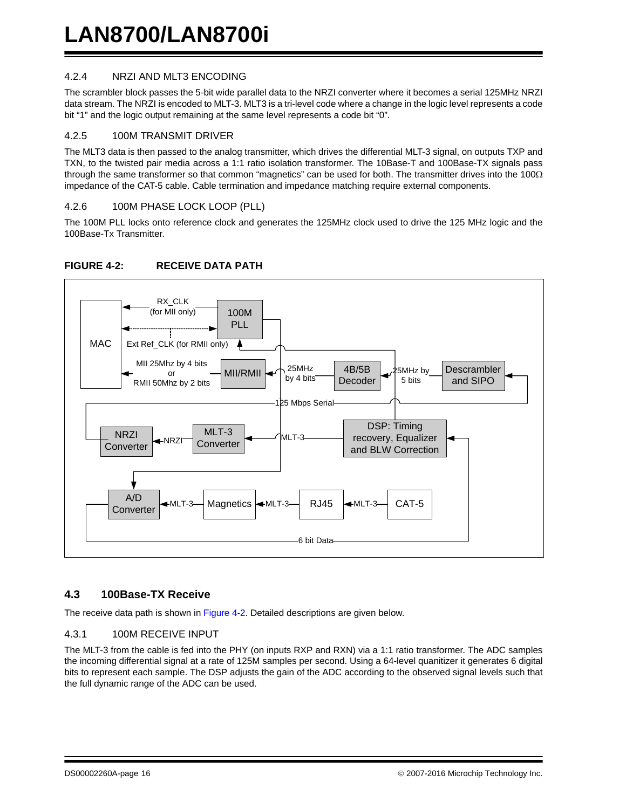## 4.2.4 NRZI AND MLT3 ENCODING

The scrambler block passes the 5-bit wide parallel data to the NRZI converter where it becomes a serial 125MHz NRZI data stream. The NRZI is encoded to MLT-3. MLT3 is a tri-level code where a change in the logic level represents a code bit "1" and the logic output remaining at the same level represents a code bit "0".

#### 4.2.5 100M TRANSMIT DRIVER

The MLT3 data is then passed to the analog transmitter, which drives the differential MLT-3 signal, on outputs TXP and TXN, to the twisted pair media across a 1:1 ratio isolation transformer. The 10Base-T and 100Base-TX signals pass through the same transformer so that common "magnetics" can be used for both. The transmitter drives into the  $100\Omega$ impedance of the CAT-5 cable. Cable termination and impedance matching require external components.

#### 4.2.6 100M PHASE LOCK LOOP (PLL)

The 100M PLL locks onto reference clock and generates the 125MHz clock used to drive the 125 MHz logic and the 100Base-Tx Transmitter.



## <span id="page-15-0"></span>**FIGURE 4-2: RECEIVE DATA PATH**

## **4.3 100Base-TX Receive**

The receive data path is shown in [Figure 4-2](#page-15-0). Detailed descriptions are given below.

#### 4.3.1 100M RECEIVE INPUT

The MLT-3 from the cable is fed into the PHY (on inputs RXP and RXN) via a 1:1 ratio transformer. The ADC samples the incoming differential signal at a rate of 125M samples per second. Using a 64-level quanitizer it generates 6 digital bits to represent each sample. The DSP adjusts the gain of the ADC according to the observed signal levels such that the full dynamic range of the ADC can be used.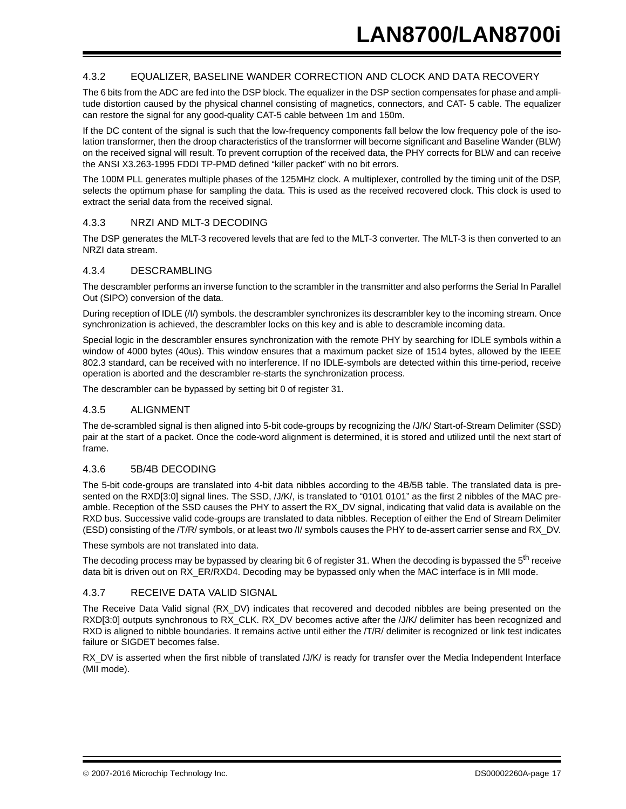#### 4.3.2 EQUALIZER, BASELINE WANDER CORRECTION AND CLOCK AND DATA RECOVERY

The 6 bits from the ADC are fed into the DSP block. The equalizer in the DSP section compensates for phase and amplitude distortion caused by the physical channel consisting of magnetics, connectors, and CAT- 5 cable. The equalizer can restore the signal for any good-quality CAT-5 cable between 1m and 150m.

If the DC content of the signal is such that the low-frequency components fall below the low frequency pole of the isolation transformer, then the droop characteristics of the transformer will become significant and Baseline Wander (BLW) on the received signal will result. To prevent corruption of the received data, the PHY corrects for BLW and can receive the ANSI X3.263-1995 FDDI TP-PMD defined "killer packet" with no bit errors.

The 100M PLL generates multiple phases of the 125MHz clock. A multiplexer, controlled by the timing unit of the DSP, selects the optimum phase for sampling the data. This is used as the received recovered clock. This clock is used to extract the serial data from the received signal.

#### 4.3.3 NRZI AND MLT-3 DECODING

The DSP generates the MLT-3 recovered levels that are fed to the MLT-3 converter. The MLT-3 is then converted to an NRZI data stream.

#### 4.3.4 DESCRAMBLING

The descrambler performs an inverse function to the scrambler in the transmitter and also performs the Serial In Parallel Out (SIPO) conversion of the data.

During reception of IDLE (/I/) symbols, the descrambler synchronizes its descrambler key to the incoming stream. Once synchronization is achieved, the descrambler locks on this key and is able to descramble incoming data.

Special logic in the descrambler ensures synchronization with the remote PHY by searching for IDLE symbols within a window of 4000 bytes (40us). This window ensures that a maximum packet size of 1514 bytes, allowed by the IEEE 802.3 standard, can be received with no interference. If no IDLE-symbols are detected within this time-period, receive operation is aborted and the descrambler re-starts the synchronization process.

The descrambler can be bypassed by setting bit 0 of register 31.

#### 4.3.5 ALIGNMENT

The de-scrambled signal is then aligned into 5-bit code-groups by recognizing the /J/K/ Start-of-Stream Delimiter (SSD) pair at the start of a packet. Once the code-word alignment is determined, it is stored and utilized until the next start of frame.

#### 4.3.6 5B/4B DECODING

The 5-bit code-groups are translated into 4-bit data nibbles according to the 4B/5B table. The translated data is presented on the RXD[3:0] signal lines. The SSD, /J/K/, is translated to "0101 0101" as the first 2 nibbles of the MAC preamble. Reception of the SSD causes the PHY to assert the RX\_DV signal, indicating that valid data is available on the RXD bus. Successive valid code-groups are translated to data nibbles. Reception of either the End of Stream Delimiter (ESD) consisting of the /T/R/ symbols, or at least two /I/ symbols causes the PHY to de-assert carrier sense and RX\_DV.

These symbols are not translated into data.

The decoding process may be bypassed by clearing bit 6 of register 31. When the decoding is bypassed the 5<sup>th</sup> receive data bit is driven out on RX\_ER/RXD4. Decoding may be bypassed only when the MAC interface is in MII mode.

#### 4.3.7 RECEIVE DATA VALID SIGNAL

The Receive Data Valid signal (RX\_DV) indicates that recovered and decoded nibbles are being presented on the RXD[3:0] outputs synchronous to RX\_CLK. RX\_DV becomes active after the /J/K/ delimiter has been recognized and RXD is aligned to nibble boundaries. It remains active until either the /T/R/ delimiter is recognized or link test indicates failure or SIGDET becomes false.

RX\_DV is asserted when the first nibble of translated /J/K/ is ready for transfer over the Media Independent Interface (MII mode).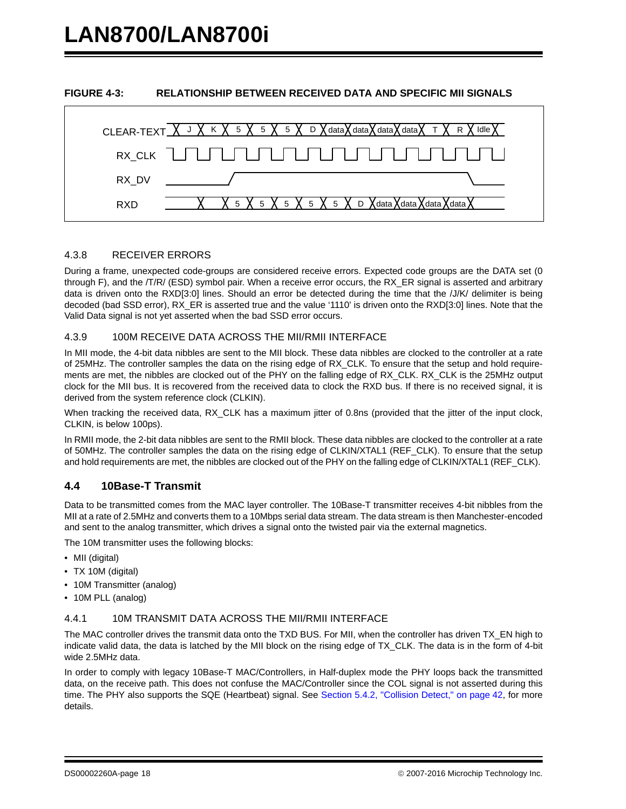#### **FIGURE 4-3: RELATIONSHIP BETWEEN RECEIVED DATA AND SPECIFIC MII SIGNALS**

|            | CLEAR-TEXT $X \cup X \times X = 5$ $X \cdot 5$ $X \cdot 5$ $X \cdot 5$ $X \cdot 5$ $X \cdot 5$ $X \cdot 5$ $X \cdot 5$ $X \cdot 5$ $X \cdot 5$ $X \cdot 5$ $X \cdot 5$ $X \cdot 5$ $X \cdot 5$ $X \cdot 5$ $X \cdot 5$ $X \cdot 5$ $X \cdot 5$ $X \cdot 5$ $X \cdot 5$ $X \cdot 5$ $X \cdot 5$ $X \cdot 5$ $X \cdot 5$ $X \cdot 5$ $X \cdot $<br>Idie<br>R |
|------------|------------------------------------------------------------------------------------------------------------------------------------------------------------------------------------------------------------------------------------------------------------------------------------------------------------------------------------------------------------|
|            |                                                                                                                                                                                                                                                                                                                                                            |
| RX DV      |                                                                                                                                                                                                                                                                                                                                                            |
| <b>RXD</b> | D Xdata Xdata Xdata X<br>5<br>X <sub>5</sub><br>5<br>-5<br>data<br>5                                                                                                                                                                                                                                                                                       |

#### 4.3.8 RECEIVER ERRORS

During a frame, unexpected code-groups are considered receive errors. Expected code groups are the DATA set (0 through F), and the /T/R/ (ESD) symbol pair. When a receive error occurs, the RX\_ER signal is asserted and arbitrary data is driven onto the RXD[3:0] lines. Should an error be detected during the time that the /J/K/ delimiter is being decoded (bad SSD error), RX\_ER is asserted true and the value '1110' is driven onto the RXD[3:0] lines. Note that the Valid Data signal is not yet asserted when the bad SSD error occurs.

#### 4.3.9 100M RECEIVE DATA ACROSS THE MII/RMII INTERFACE

In MII mode, the 4-bit data nibbles are sent to the MII block. These data nibbles are clocked to the controller at a rate of 25MHz. The controller samples the data on the rising edge of RX\_CLK. To ensure that the setup and hold requirements are met, the nibbles are clocked out of the PHY on the falling edge of RX\_CLK. RX\_CLK is the 25MHz output clock for the MII bus. It is recovered from the received data to clock the RXD bus. If there is no received signal, it is derived from the system reference clock (CLKIN).

When tracking the received data, RX CLK has a maximum jitter of 0.8ns (provided that the jitter of the input clock, CLKIN, is below 100ps).

In RMII mode, the 2-bit data nibbles are sent to the RMII block. These data nibbles are clocked to the controller at a rate of 50MHz. The controller samples the data on the rising edge of CLKIN/XTAL1 (REF\_CLK). To ensure that the setup and hold requirements are met, the nibbles are clocked out of the PHY on the falling edge of CLKIN/XTAL1 (REF\_CLK).

## **4.4 10Base-T Transmit**

Data to be transmitted comes from the MAC layer controller. The 10Base-T transmitter receives 4-bit nibbles from the MII at a rate of 2.5MHz and converts them to a 10Mbps serial data stream. The data stream is then Manchester-encoded and sent to the analog transmitter, which drives a signal onto the twisted pair via the external magnetics.

The 10M transmitter uses the following blocks:

- MII (digital)
- TX 10M (digital)
- 10M Transmitter (analog)
- 10M PLL (analog)

#### 4.4.1 10M TRANSMIT DATA ACROSS THE MII/RMII INTERFACE

The MAC controller drives the transmit data onto the TXD BUS. For MII, when the controller has driven TX\_EN high to indicate valid data, the data is latched by the MII block on the rising edge of TX\_CLK. The data is in the form of 4-bit wide 2.5MHz data.

In order to comply with legacy 10Base-T MAC/Controllers, in Half-duplex mode the PHY loops back the transmitted data, on the receive path. This does not confuse the MAC/Controller since the COL signal is not asserted during this time. The PHY also supports the SQE (Heartbeat) signal. See [Section 5.4.2, "Collision Detect," on page 42,](#page-41-0) for more details.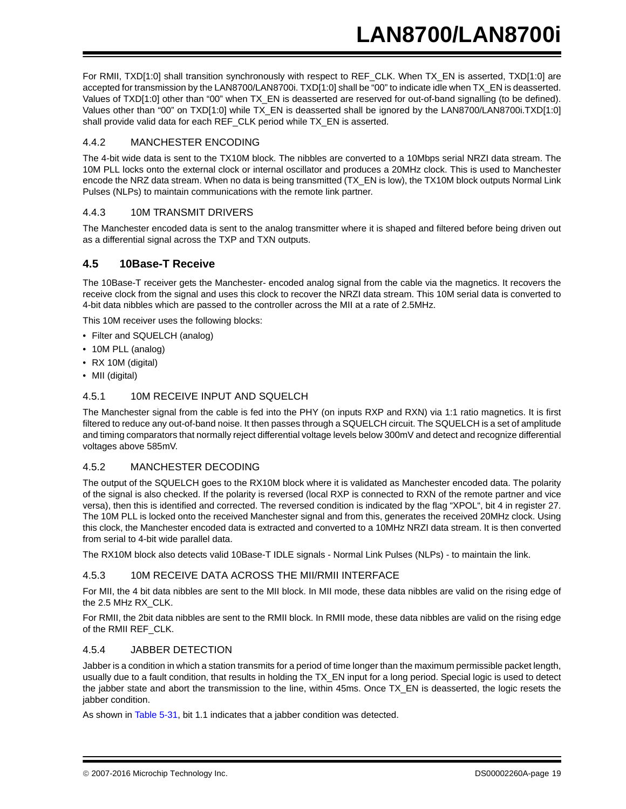For RMII, TXD[1:0] shall transition synchronously with respect to REF\_CLK. When TX\_EN is asserted, TXD[1:0] are accepted for transmission by the LAN8700/LAN8700i. TXD[1:0] shall be "00" to indicate idle when TX\_EN is deasserted. Values of TXD[1:0] other than "00" when TX\_EN is deasserted are reserved for out-of-band signalling (to be defined). Values other than "00" on TXD[1:0] while TX\_EN is deasserted shall be ignored by the LAN8700/LAN8700i.TXD[1:0] shall provide valid data for each REF\_CLK period while TX\_EN is asserted.

## 4.4.2 MANCHESTER ENCODING

The 4-bit wide data is sent to the TX10M block. The nibbles are converted to a 10Mbps serial NRZI data stream. The 10M PLL locks onto the external clock or internal oscillator and produces a 20MHz clock. This is used to Manchester encode the NRZ data stream. When no data is being transmitted (TX\_EN is low), the TX10M block outputs Normal Link Pulses (NLPs) to maintain communications with the remote link partner.

#### 4.4.3 10M TRANSMIT DRIVERS

The Manchester encoded data is sent to the analog transmitter where it is shaped and filtered before being driven out as a differential signal across the TXP and TXN outputs.

## **4.5 10Base-T Receive**

The 10Base-T receiver gets the Manchester- encoded analog signal from the cable via the magnetics. It recovers the receive clock from the signal and uses this clock to recover the NRZI data stream. This 10M serial data is converted to 4-bit data nibbles which are passed to the controller across the MII at a rate of 2.5MHz.

This 10M receiver uses the following blocks:

- Filter and SQUELCH (analog)
- 10M PLL (analog)
- RX 10M (digital)
- MII (digital)

## 4.5.1 10M RECEIVE INPUT AND SQUELCH

The Manchester signal from the cable is fed into the PHY (on inputs RXP and RXN) via 1:1 ratio magnetics. It is first filtered to reduce any out-of-band noise. It then passes through a SQUELCH circuit. The SQUELCH is a set of amplitude and timing comparators that normally reject differential voltage levels below 300mV and detect and recognize differential voltages above 585mV.

## 4.5.2 MANCHESTER DECODING

The output of the SQUELCH goes to the RX10M block where it is validated as Manchester encoded data. The polarity of the signal is also checked. If the polarity is reversed (local RXP is connected to RXN of the remote partner and vice versa), then this is identified and corrected. The reversed condition is indicated by the flag "XPOL", bit 4 in register 27. The 10M PLL is locked onto the received Manchester signal and from this, generates the received 20MHz clock. Using this clock, the Manchester encoded data is extracted and converted to a 10MHz NRZI data stream. It is then converted from serial to 4-bit wide parallel data.

The RX10M block also detects valid 10Base-T IDLE signals - Normal Link Pulses (NLPs) - to maintain the link.

#### 4.5.3 10M RECEIVE DATA ACROSS THE MII/RMII INTERFACE

For MII, the 4 bit data nibbles are sent to the MII block. In MII mode, these data nibbles are valid on the rising edge of the 2.5 MHz RX\_CLK.

For RMII, the 2bit data nibbles are sent to the RMII block. In RMII mode, these data nibbles are valid on the rising edge of the RMII REF\_CLK.

#### 4.5.4 JABBER DETECTION

Jabber is a condition in which a station transmits for a period of time longer than the maximum permissible packet length, usually due to a fault condition, that results in holding the TX\_EN input for a long period. Special logic is used to detect the jabber state and abort the transmission to the line, within 45ms. Once TX\_EN is deasserted, the logic resets the jabber condition.

As shown in [Table 5-31,](#page-34-0) bit 1.1 indicates that a jabber condition was detected.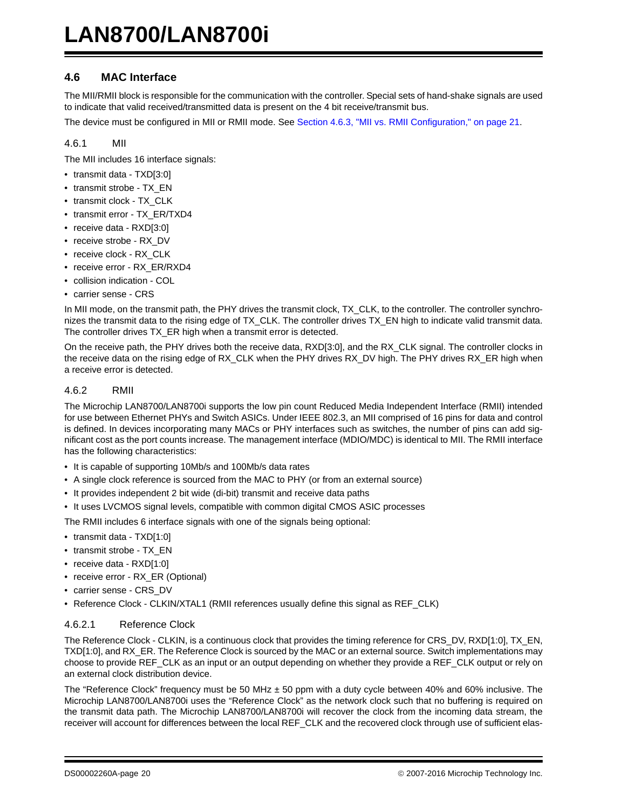## **4.6 MAC Interface**

The MII/RMII block is responsible for the communication with the controller. Special sets of hand-shake signals are used to indicate that valid received/transmitted data is present on the 4 bit receive/transmit bus.

The device must be configured in MII or RMII mode. See [Section 4.6.3, "MII vs. RMII Configuration," on page 21](#page-20-1).

#### 4.6.1 MII

The MII includes 16 interface signals:

- transmit data TXD[3:0]
- transmit strobe TX\_EN
- transmit clock TX\_CLK
- transmit error TX\_ER/TXD4
- receive data RXD[3:0]
- receive strobe RX\_DV
- receive clock RX\_CLK
- receive error RX\_ER/RXD4
- collision indication COL
- carrier sense CRS

In MII mode, on the transmit path, the PHY drives the transmit clock, TX\_CLK, to the controller. The controller synchronizes the transmit data to the rising edge of TX\_CLK. The controller drives TX\_EN high to indicate valid transmit data. The controller drives TX\_ER high when a transmit error is detected.

On the receive path, the PHY drives both the receive data, RXD[3:0], and the RX\_CLK signal. The controller clocks in the receive data on the rising edge of RX\_CLK when the PHY drives RX\_DV high. The PHY drives RX\_ER high when a receive error is detected.

#### 4.6.2 RMII

The Microchip LAN8700/LAN8700i supports the low pin count Reduced Media Independent Interface (RMII) intended for use between Ethernet PHYs and Switch ASICs. Under IEEE 802.3, an MII comprised of 16 pins for data and control is defined. In devices incorporating many MACs or PHY interfaces such as switches, the number of pins can add significant cost as the port counts increase. The management interface (MDIO/MDC) is identical to MII. The RMII interface has the following characteristics:

- It is capable of supporting 10Mb/s and 100Mb/s data rates
- A single clock reference is sourced from the MAC to PHY (or from an external source)
- It provides independent 2 bit wide (di-bit) transmit and receive data paths
- It uses LVCMOS signal levels, compatible with common digital CMOS ASIC processes

The RMII includes 6 interface signals with one of the signals being optional:

- transmit data TXD[1:0]
- transmit strobe TX\_EN
- receive data RXD[1:0]
- receive error RX ER (Optional)
- carrier sense CRS\_DV
- Reference Clock CLKIN/XTAL1 (RMII references usually define this signal as REF\_CLK)

#### 4.6.2.1 Reference Clock

The Reference Clock - CLKIN, is a continuous clock that provides the timing reference for CRS\_DV, RXD[1:0], TX\_EN, TXD[1:0], and RX\_ER. The Reference Clock is sourced by the MAC or an external source. Switch implementations may choose to provide REF\_CLK as an input or an output depending on whether they provide a REF\_CLK output or rely on an external clock distribution device.

The "Reference Clock" frequency must be 50 MHz  $\pm$  50 ppm with a duty cycle between 40% and 60% inclusive. The Microchip LAN8700/LAN8700i uses the "Reference Clock" as the network clock such that no buffering is required on the transmit data path. The Microchip LAN8700/LAN8700i will recover the clock from the incoming data stream, the receiver will account for differences between the local REF\_CLK and the recovered clock through use of sufficient elas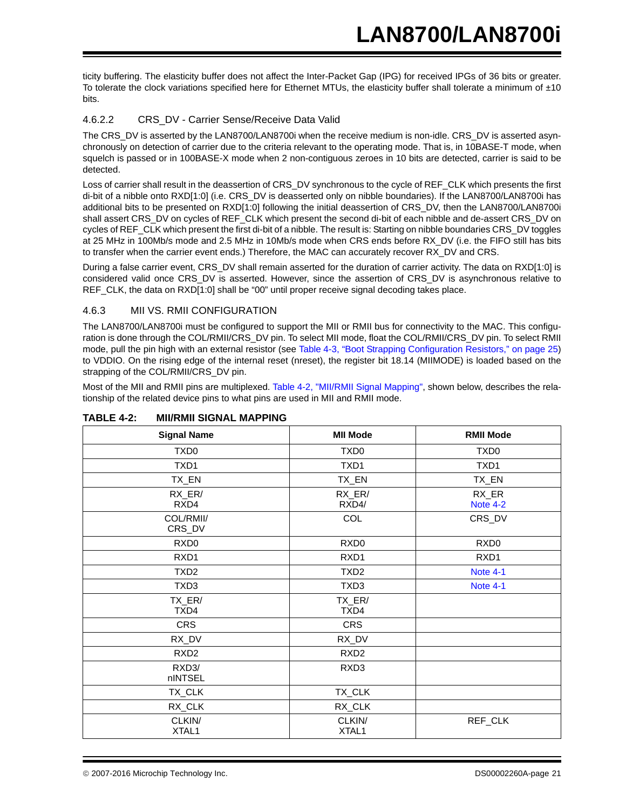ticity buffering. The elasticity buffer does not affect the Inter-Packet Gap (IPG) for received IPGs of 36 bits or greater. To tolerate the clock variations specified here for Ethernet MTUs, the elasticity buffer shall tolerate a minimum of  $\pm 10$ bits.

#### 4.6.2.2 CRS\_DV - Carrier Sense/Receive Data Valid

The CRS\_DV is asserted by the LAN8700/LAN8700i when the receive medium is non-idle. CRS\_DV is asserted asynchronously on detection of carrier due to the criteria relevant to the operating mode. That is, in 10BASE-T mode, when squelch is passed or in 100BASE-X mode when 2 non-contiguous zeroes in 10 bits are detected, carrier is said to be detected.

Loss of carrier shall result in the deassertion of CRS\_DV synchronous to the cycle of REF\_CLK which presents the first di-bit of a nibble onto RXD[1:0] (i.e. CRS\_DV is deasserted only on nibble boundaries). If the LAN8700/LAN8700i has additional bits to be presented on RXD[1:0] following the initial deassertion of CRS\_DV, then the LAN8700/LAN8700i shall assert CRS\_DV on cycles of REF\_CLK which present the second di-bit of each nibble and de-assert CRS\_DV on cycles of REF\_CLK which present the first di-bit of a nibble. The result is: Starting on nibble boundaries CRS\_DV toggles at 25 MHz in 100Mb/s mode and 2.5 MHz in 10Mb/s mode when CRS ends before RX\_DV (i.e. the FIFO still has bits to transfer when the carrier event ends.) Therefore, the MAC can accurately recover RX\_DV and CRS.

During a false carrier event, CRS\_DV shall remain asserted for the duration of carrier activity. The data on RXD[1:0] is considered valid once CRS\_DV is asserted. However, since the assertion of CRS\_DV is asynchronous relative to REF\_CLK, the data on RXD[1:0] shall be "00" until proper receive signal decoding takes place.

#### <span id="page-20-1"></span><span id="page-20-0"></span>4.6.3 MII VS. RMII CONFIGURATION

The LAN8700/LAN8700i must be configured to support the MII or RMII bus for connectivity to the MAC. This configuration is done through the COL/RMII/CRS\_DV pin. To select MII mode, float the COL/RMII/CRS\_DV pin. To select RMII mode, pull the pin high with an external resistor (see [Table 4-3, "Boot Strapping Configuration Resistors," on page 25](#page-24-1)) to VDDIO. On the rising edge of the internal reset (nreset), the register bit 18.14 (MIIMODE) is loaded based on the strapping of the COL/RMII/CRS\_DV pin.

Most of the MII and RMII pins are multiplexed. [Table 4-2, "MII/RMII Signal Mapping",](#page-20-2) shown below, describes the relationship of the related device pins to what pins are used in MII and RMII mode.

| <b>Signal Name</b>          | <b>MII Mode</b>  | <b>RMII Mode</b>         |
|-----------------------------|------------------|--------------------------|
| TXD <sub>0</sub>            | TXD <sub>0</sub> | TXD <sub>0</sub>         |
| TXD1                        | TXD1             | TXD1                     |
| TX_EN                       | TX_EN            | TX_EN                    |
| RX_ER/<br>RXD4              | RX_ER/<br>RXD4/  | RX_ER<br><b>Note 4-2</b> |
| COL/RMII/<br>CRS_DV         | COL              | CRS_DV                   |
| RXD <sub>0</sub>            | RXD <sub>0</sub> | RXD <sub>0</sub>         |
| RXD1                        | RXD1             | RXD1                     |
| TXD <sub>2</sub>            | TXD <sub>2</sub> | <b>Note 4-1</b>          |
| TXD3                        | TXD3             | <b>Note 4-1</b>          |
| TX_ER/<br>TXD4              | TX_ER/<br>TXD4   |                          |
| CRS                         | CRS              |                          |
| RX_DV                       | RX_DV            |                          |
| RXD <sub>2</sub>            | RXD <sub>2</sub> |                          |
| RXD3/<br>nINTSEL            | RXD3             |                          |
| TX_CLK                      | TX_CLK           |                          |
| RX_CLK                      | RX_CLK           |                          |
| CLKIN/<br>XTAL <sub>1</sub> | CLKIN/<br>XTAL1  | REF_CLK                  |

#### <span id="page-20-2"></span>**TABLE 4-2: MII/RMII SIGNAL MAPPING**

2007-2016 Microchip Technology Inc. DS00002260A-page 21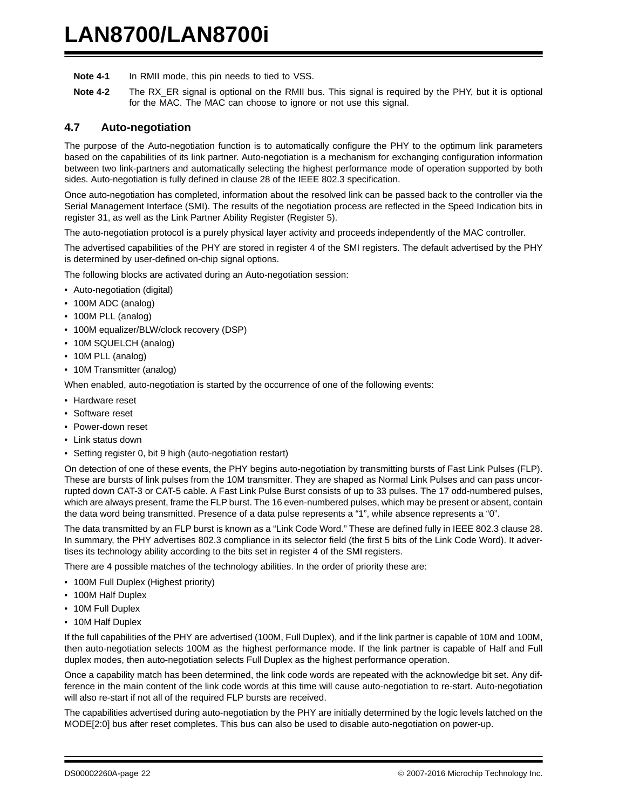- <span id="page-21-1"></span>**Note 4-1** In RMII mode, this pin needs to tied to VSS.
- <span id="page-21-0"></span>**Note 4-2** The RX\_ER signal is optional on the RMII bus. This signal is required by the PHY, but it is optional for the MAC. The MAC can choose to ignore or not use this signal.

## **4.7 Auto-negotiation**

The purpose of the Auto-negotiation function is to automatically configure the PHY to the optimum link parameters based on the capabilities of its link partner. Auto-negotiation is a mechanism for exchanging configuration information between two link-partners and automatically selecting the highest performance mode of operation supported by both sides. Auto-negotiation is fully defined in clause 28 of the IEEE 802.3 specification.

Once auto-negotiation has completed, information about the resolved link can be passed back to the controller via the Serial Management Interface (SMI). The results of the negotiation process are reflected in the Speed Indication bits in register 31, as well as the Link Partner Ability Register (Register 5).

The auto-negotiation protocol is a purely physical layer activity and proceeds independently of the MAC controller.

The advertised capabilities of the PHY are stored in register 4 of the SMI registers. The default advertised by the PHY is determined by user-defined on-chip signal options.

The following blocks are activated during an Auto-negotiation session:

- Auto-negotiation (digital)
- 100M ADC (analog)
- 100M PLL (analog)
- 100M equalizer/BLW/clock recovery (DSP)
- 10M SQUELCH (analog)
- 10M PLL (analog)
- 10M Transmitter (analog)

When enabled, auto-negotiation is started by the occurrence of one of the following events:

- Hardware reset
- Software reset
- Power-down reset
- Link status down
- Setting register 0, bit 9 high (auto-negotiation restart)

On detection of one of these events, the PHY begins auto-negotiation by transmitting bursts of Fast Link Pulses (FLP). These are bursts of link pulses from the 10M transmitter. They are shaped as Normal Link Pulses and can pass uncorrupted down CAT-3 or CAT-5 cable. A Fast Link Pulse Burst consists of up to 33 pulses. The 17 odd-numbered pulses, which are always present, frame the FLP burst. The 16 even-numbered pulses, which may be present or absent, contain the data word being transmitted. Presence of a data pulse represents a "1", while absence represents a "0".

The data transmitted by an FLP burst is known as a "Link Code Word." These are defined fully in IEEE 802.3 clause 28. In summary, the PHY advertises 802.3 compliance in its selector field (the first 5 bits of the Link Code Word). It advertises its technology ability according to the bits set in register 4 of the SMI registers.

There are 4 possible matches of the technology abilities. In the order of priority these are:

- 100M Full Duplex (Highest priority)
- 100M Half Duplex
- 10M Full Duplex
- 10M Half Duplex

If the full capabilities of the PHY are advertised (100M, Full Duplex), and if the link partner is capable of 10M and 100M, then auto-negotiation selects 100M as the highest performance mode. If the link partner is capable of Half and Full duplex modes, then auto-negotiation selects Full Duplex as the highest performance operation.

Once a capability match has been determined, the link code words are repeated with the acknowledge bit set. Any difference in the main content of the link code words at this time will cause auto-negotiation to re-start. Auto-negotiation will also re-start if not all of the required FLP bursts are received.

The capabilities advertised during auto-negotiation by the PHY are initially determined by the logic levels latched on the MODE[2:0] bus after reset completes. This bus can also be used to disable auto-negotiation on power-up.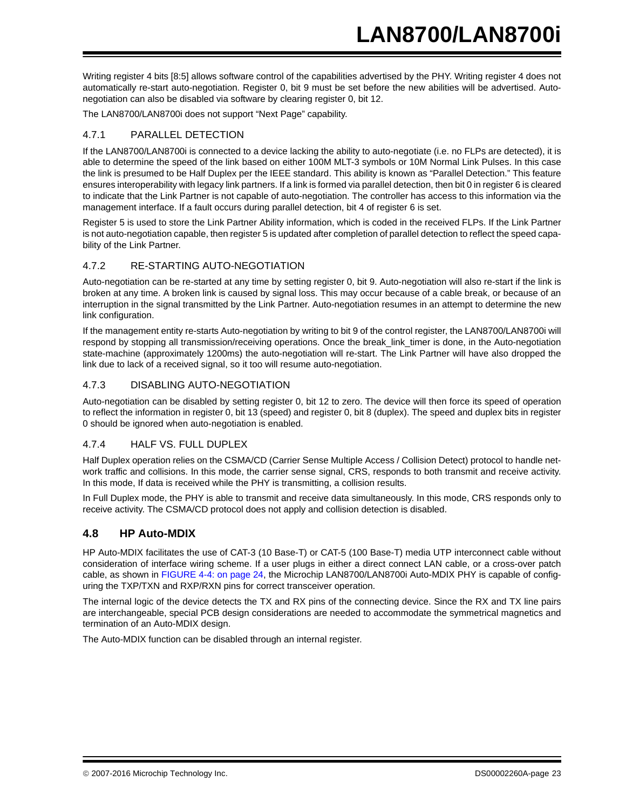Writing register 4 bits [8:5] allows software control of the capabilities advertised by the PHY. Writing register 4 does not automatically re-start auto-negotiation. Register 0, bit 9 must be set before the new abilities will be advertised. Autonegotiation can also be disabled via software by clearing register 0, bit 12.

The LAN8700/LAN8700i does not support "Next Page" capability.

## 4.7.1 PARALLEL DETECTION

If the LAN8700/LAN8700i is connected to a device lacking the ability to auto-negotiate (i.e. no FLPs are detected), it is able to determine the speed of the link based on either 100M MLT-3 symbols or 10M Normal Link Pulses. In this case the link is presumed to be Half Duplex per the IEEE standard. This ability is known as "Parallel Detection." This feature ensures interoperability with legacy link partners. If a link is formed via parallel detection, then bit 0 in register 6 is cleared to indicate that the Link Partner is not capable of auto-negotiation. The controller has access to this information via the management interface. If a fault occurs during parallel detection, bit 4 of register 6 is set.

Register 5 is used to store the Link Partner Ability information, which is coded in the received FLPs. If the Link Partner is not auto-negotiation capable, then register 5 is updated after completion of parallel detection to reflect the speed capability of the Link Partner.

## 4.7.2 RE-STARTING AUTO-NEGOTIATION

Auto-negotiation can be re-started at any time by setting register 0, bit 9. Auto-negotiation will also re-start if the link is broken at any time. A broken link is caused by signal loss. This may occur because of a cable break, or because of an interruption in the signal transmitted by the Link Partner. Auto-negotiation resumes in an attempt to determine the new link configuration.

If the management entity re-starts Auto-negotiation by writing to bit 9 of the control register, the LAN8700/LAN8700i will respond by stopping all transmission/receiving operations. Once the break\_link\_timer is done, in the Auto-negotiation state-machine (approximately 1200ms) the auto-negotiation will re-start. The Link Partner will have also dropped the link due to lack of a received signal, so it too will resume auto-negotiation.

## 4.7.3 DISABLING AUTO-NEGOTIATION

Auto-negotiation can be disabled by setting register 0, bit 12 to zero. The device will then force its speed of operation to reflect the information in register 0, bit 13 (speed) and register 0, bit 8 (duplex). The speed and duplex bits in register 0 should be ignored when auto-negotiation is enabled.

## 4.7.4 HALF VS. FULL DUPLEX

Half Duplex operation relies on the CSMA/CD (Carrier Sense Multiple Access / Collision Detect) protocol to handle network traffic and collisions. In this mode, the carrier sense signal, CRS, responds to both transmit and receive activity. In this mode, If data is received while the PHY is transmitting, a collision results.

In Full Duplex mode, the PHY is able to transmit and receive data simultaneously. In this mode, CRS responds only to receive activity. The CSMA/CD protocol does not apply and collision detection is disabled.

## **4.8 HP Auto-MDIX**

HP Auto-MDIX facilitates the use of CAT-3 (10 Base-T) or CAT-5 (100 Base-T) media UTP interconnect cable without consideration of interface wiring scheme. If a user plugs in either a direct connect LAN cable, or a cross-over patch cable, as shown in [FIGURE 4-4: on page 24,](#page-23-2) the Microchip LAN8700/LAN8700i Auto-MDIX PHY is capable of configuring the TXP/TXN and RXP/RXN pins for correct transceiver operation.

The internal logic of the device detects the TX and RX pins of the connecting device. Since the RX and TX line pairs are interchangeable, special PCB design considerations are needed to accommodate the symmetrical magnetics and termination of an Auto-MDIX design.

The Auto-MDIX function can be disabled through an internal register.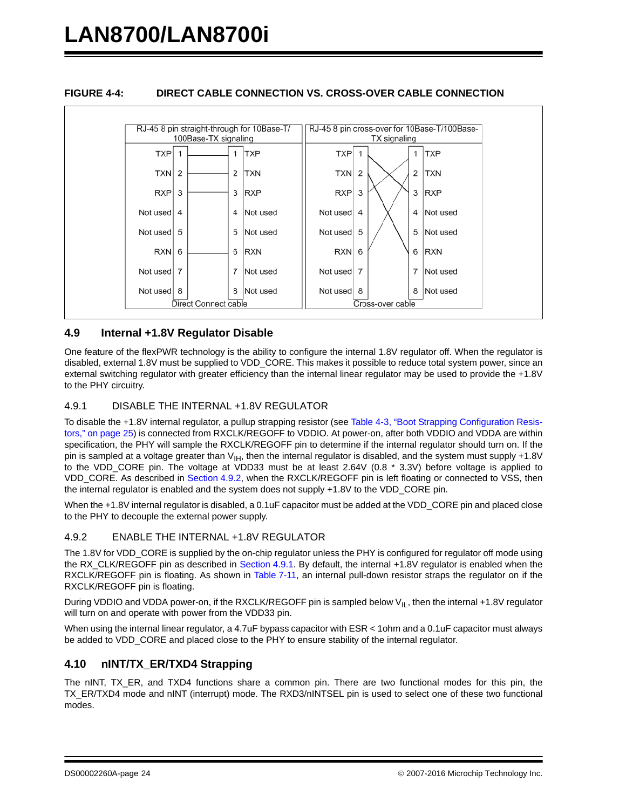#### <span id="page-23-2"></span>**FIGURE 4-4: DIRECT CABLE CONNECTION VS. CROSS-OVER CABLE CONNECTION**



## <span id="page-23-1"></span>**4.9 Internal +1.8V Regulator Disable**

One feature of the flexPWR technology is the ability to configure the internal 1.8V regulator off. When the regulator is disabled, external 1.8V must be supplied to VDD\_CORE. This makes it possible to reduce total system power, since an external switching regulator with greater efficiency than the internal linear regulator may be used to provide the +1.8V to the PHY circuitry.

## <span id="page-23-4"></span>4.9.1 DISABLE THE INTERNAL +1.8V REGULATOR

To disable the +1.8V internal regulator, a pullup strapping resistor (see [Table 4-3, "Boot Strapping Configuration Resis](#page-24-1)[tors," on page 25](#page-24-1)) is connected from RXCLK/REGOFF to VDDIO. At power-on, after both VDDIO and VDDA are within specification, the PHY will sample the RXCLK/REGOFF pin to determine if the internal regulator should turn on. If the pin is sampled at a voltage greater than  $V_{H}$ , then the internal regulator is disabled, and the system must supply +1.8V to the VDD\_CORE pin. The voltage at VDD33 must be at least 2.64V (0.8 \* 3.3V) before voltage is applied to VDD\_CORE. As described in [Section 4.9.2,](#page-23-3) when the RXCLK/REGOFF pin is left floating or connected to VSS, then the internal regulator is enabled and the system does not supply +1.8V to the VDD\_CORE pin.

When the +1.8V internal regulator is disabled, a 0.1uF capacitor must be added at the VDD\_CORE pin and placed close to the PHY to decouple the external power supply.

## <span id="page-23-3"></span>4.9.2 ENABLE THE INTERNAL +1.8V REGULATOR

The 1.8V for VDD\_CORE is supplied by the on-chip regulator unless the PHY is configured for regulator off mode using the RX\_CLK/REGOFF pin as described in [Section 4.9.1](#page-23-4). By default, the internal +1.8V regulator is enabled when the RXCLK/REGOFF pin is floating. As shown in [Table 7-11,](#page-60-0) an internal pull-down resistor straps the regulator on if the RXCLK/REGOFF pin is floating.

During VDDIO and VDDA power-on, if the RXCLK/REGOFF pin is sampled below  $V_{II}$ , then the internal +1.8V regulator will turn on and operate with power from the VDD33 pin.

When using the internal linear regulator, a 4.7uF bypass capacitor with ESR < 1ohm and a 0.1uF capacitor must always be added to VDD\_CORE and placed close to the PHY to ensure stability of the internal regulator.

## <span id="page-23-0"></span>**4.10 nINT/TX\_ER/TXD4 Strapping**

The nINT, TX ER, and TXD4 functions share a common pin. There are two functional modes for this pin, the TX\_ER/TXD4 mode and nINT (interrupt) mode. The RXD3/nINTSEL pin is used to select one of these two functional modes.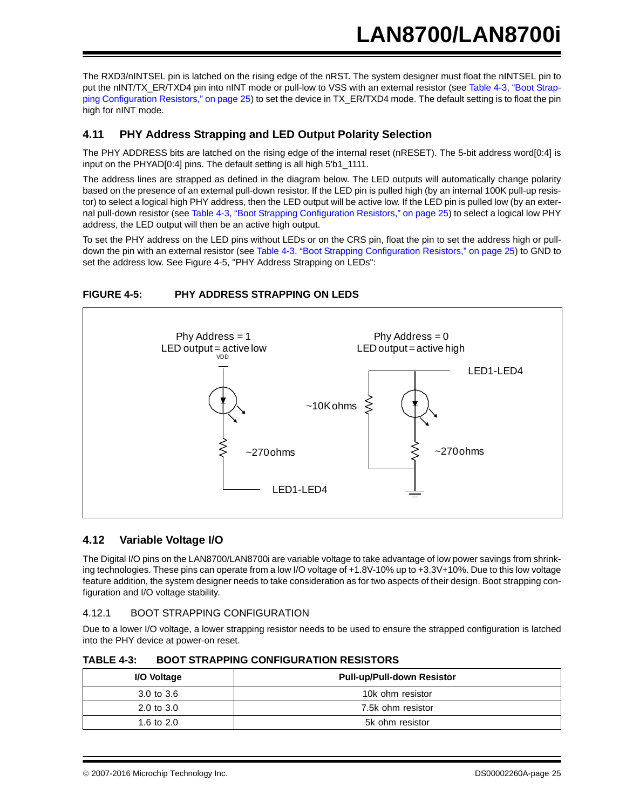The RXD3/nINTSEL pin is latched on the rising edge of the nRST. The system designer must float the nINTSEL pin to put the nINT/TX\_ER/TXD4 pin into nINT mode or pull-low to VSS with an external resistor (see [Table 4-3, "Boot Strap](#page-24-1)[ping Configuration Resistors," on page 25](#page-24-1)) to set the device in TX\_ER/TXD4 mode. The default setting is to float the pin high for nINT mode.

## **4.11 PHY Address Strapping and LED Output Polarity Selection**

The PHY ADDRESS bits are latched on the rising edge of the internal reset (nRESET). The 5-bit address word[0:4] is input on the PHYAD[0:4] pins. The default setting is all high 5'b1\_1111.

The address lines are strapped as defined in the diagram below. The LED outputs will automatically change polarity based on the presence of an external pull-down resistor. If the LED pin is pulled high (by an internal 100K pull-up resistor) to select a logical high PHY address, then the LED output will be active low. If the LED pin is pulled low (by an external pull-down resistor (see [Table 4-3, "Boot Strapping Configuration Resistors," on page 25\)](#page-24-1) to select a logical low PHY address, the LED output will then be an active high output.

To set the PHY address on the LED pins without LEDs or on the CRS pin, float the pin to set the address high or pulldown the pin with an external resistor (see [Table 4-3, "Boot Strapping Configuration Resistors," on page 25\)](#page-24-1) to GND to set the address low. See [Figure 4-5, "PHY Address Strapping on LEDs"](#page-24-2):

<span id="page-24-2"></span>



## **4.12 Variable Voltage I/O**

The Digital I/O pins on the LAN8700/LAN8700i are variable voltage to take advantage of low power savings from shrinking technologies. These pins can operate from a low I/O voltage of +1.8V-10% up to +3.3V+10%. Due to this low voltage feature addition, the system designer needs to take consideration as for two aspects of their design. Boot strapping configuration and I/O voltage stability.

## 4.12.1 BOOT STRAPPING CONFIGURATION

Due to a lower I/O voltage, a lower strapping resistor needs to be used to ensure the strapped configuration is latched into the PHY device at power-on reset.

<span id="page-24-1"></span><span id="page-24-0"></span>

| I/O Voltage           | <b>Pull-up/Pull-down Resistor</b> |
|-----------------------|-----------------------------------|
| $3.0 \text{ to } 3.6$ | 10k ohm resistor                  |
| $2.0 \text{ to } 3.0$ | 7.5k ohm resistor                 |
| 1.6 to $2.0$          | 5k ohm resistor                   |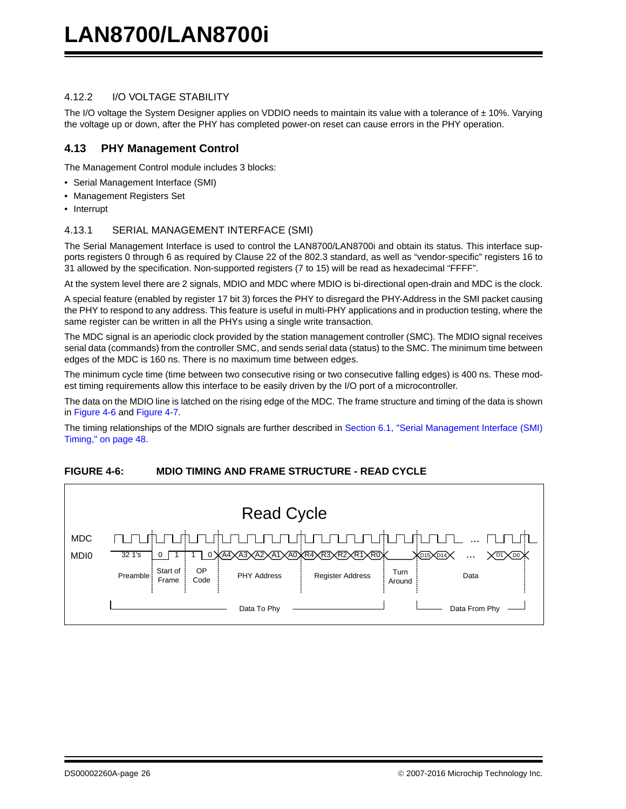#### 4.12.2 I/O VOLTAGE STABILITY

The I/O voltage the System Designer applies on VDDIO needs to maintain its value with a tolerance of  $\pm$  10%. Varying the voltage up or down, after the PHY has completed power-on reset can cause errors in the PHY operation.

## **4.13 PHY Management Control**

The Management Control module includes 3 blocks:

- Serial Management Interface (SMI)
- Management Registers Set
- Interrupt

#### 4.13.1 SERIAL MANAGEMENT INTERFACE (SMI)

The Serial Management Interface is used to control the LAN8700/LAN8700i and obtain its status. This interface supports registers 0 through 6 as required by Clause 22 of the 802.3 standard, as well as "vendor-specific" registers 16 to 31 allowed by the specification. Non-supported registers (7 to 15) will be read as hexadecimal "FFFF".

At the system level there are 2 signals, MDIO and MDC where MDIO is bi-directional open-drain and MDC is the clock.

A special feature (enabled by register 17 bit 3) forces the PHY to disregard the PHY-Address in the SMI packet causing the PHY to respond to any address. This feature is useful in multi-PHY applications and in production testing, where the same register can be written in all the PHYs using a single write transaction.

The MDC signal is an aperiodic clock provided by the station management controller (SMC). The MDIO signal receives serial data (commands) from the controller SMC, and sends serial data (status) to the SMC. The minimum time between edges of the MDC is 160 ns. There is no maximum time between edges.

The minimum cycle time (time between two consecutive rising or two consecutive falling edges) is 400 ns. These modest timing requirements allow this interface to be easily driven by the I/O port of a microcontroller.

The data on the MDIO line is latched on the rising edge of the MDC. The frame structure and timing of the data is shown in [Figure 4-6](#page-25-0) and [Figure 4-7](#page-26-0).

The timing relationships of the MDIO signals are further described in [Section 6.1, "Serial Management Interface \(SMI\)](#page-47-1) [Timing," on page 48.](#page-47-1)

## <span id="page-25-0"></span>**FIGURE 4-6: MDIO TIMING AND FRAME STRUCTURE - READ CYCLE**

|            | <b>Read Cycle</b>                                                                                                      |
|------------|------------------------------------------------------------------------------------------------------------------------|
| <b>MDC</b> |                                                                                                                        |
| MDI0       | <b>XRTXROY</b><br><b>XR4XR3</b><br>32 1's<br>∕R?<br>$(D15 \times D14)$<br>✕⅏⊁                                          |
|            | OP<br>Start of<br>Turn<br>Preamble<br><b>PHY Address</b><br><b>Register Address</b><br>Data<br>Frame<br>Code<br>Around |
|            | Data From Phy<br>Data To Phy                                                                                           |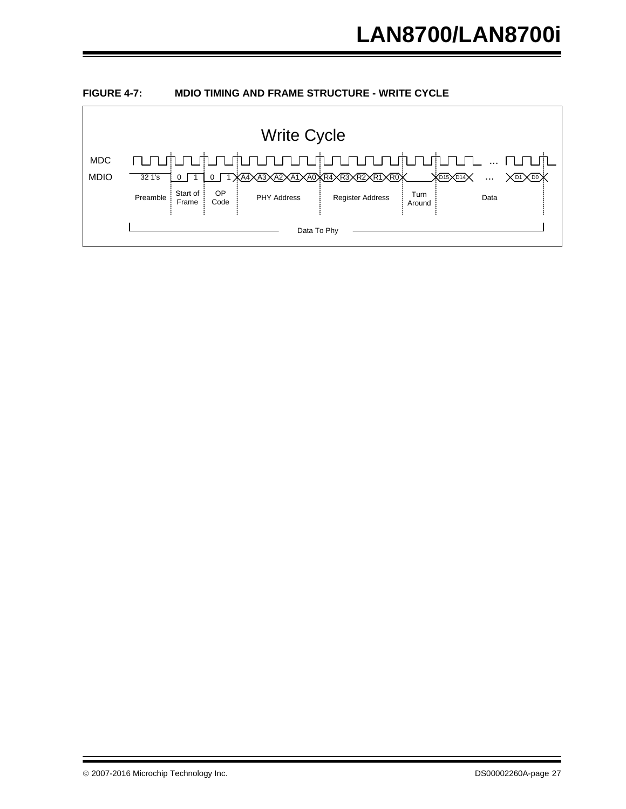<span id="page-26-0"></span>

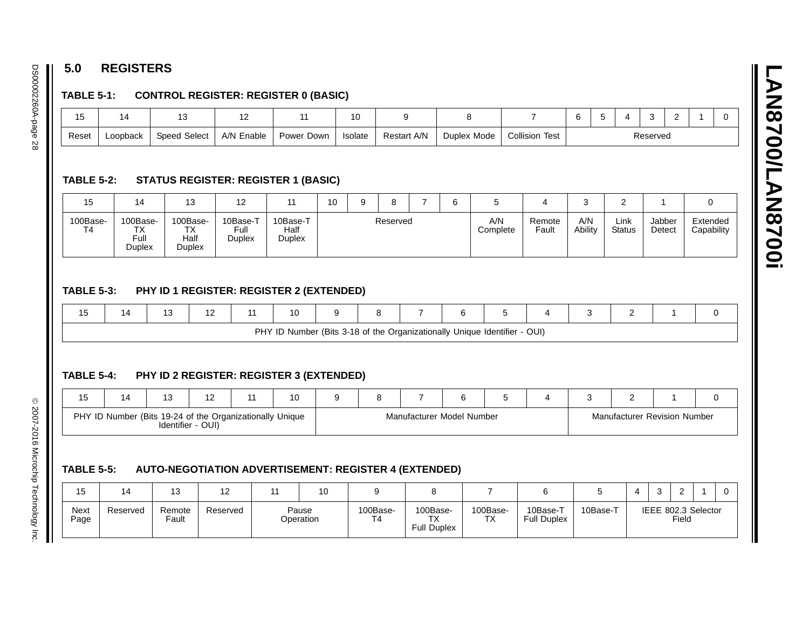# **5.0 REGISTERS**

## **TABLE 5-1: CONTROL REGISTER: REGISTER 0 (BASIC)**

|       |          |              | . <u>.</u> |            | 10      |             |             |                       |          |  |  |  |  |  |
|-------|----------|--------------|------------|------------|---------|-------------|-------------|-----------------------|----------|--|--|--|--|--|
| Reset | Loopback | Speed Select | A/N Enable | Power Down | Isolate | Restart A/N | Duplex Mode | <b>Collision Test</b> | Reserved |  |  |  |  |  |

## **TABLE 5-2: STATUS REGISTER: REGISTER 1 (BASIC)**

| 15                 | 14                                      | 1 ว<br>د ا                              | $\overline{A}$<br>. .             |                                   | 10 | C        |  | w               |                 | ุ              |                       |                  |                        |
|--------------------|-----------------------------------------|-----------------------------------------|-----------------------------------|-----------------------------------|----|----------|--|-----------------|-----------------|----------------|-----------------------|------------------|------------------------|
| 100Base-<br>$\tau$ | 100Base-<br>TX<br>Fuli<br><b>Duplex</b> | 100Base-<br>ТX<br>Half<br><b>Duplex</b> | 10Base-T<br>Full<br><b>Duplex</b> | 10Base-T<br>Half<br><b>Duplex</b> |    | Reserved |  | A/N<br>Complete | Remote<br>Fault | A/N<br>Ability | Link<br><b>Status</b> | Jabber<br>Detect | Extended<br>Capability |

## **TABLE 5-3: PHY ID 1 REGISTER: REGISTER 2 (EXTENDED)**

| DUV ID Number (Dite 0.40 of the Opportunities II). Helmine Islandical OUI) |  |  |  |  |  |  |  |  |  |  |  |  |  |  |
|----------------------------------------------------------------------------|--|--|--|--|--|--|--|--|--|--|--|--|--|--|

## PHY ID Number (Bits 3-18 of the Organizationally Unique Identifier - OUI)

## **TABLE 5-4: PHY ID 2 REGISTER: REGISTER 3 (EXTENDED)**

| $\overline{ }$ |                                                                                | $\sim$ | ہ م |  | 10 |  |  |                           |  |                                     |  |
|----------------|--------------------------------------------------------------------------------|--------|-----|--|----|--|--|---------------------------|--|-------------------------------------|--|
|                | PHY ID Number (Bits 19-24 of the Organizationally Unique<br>Identifier<br>OUI) |        |     |  |    |  |  | Manufacturer Model Number |  | <b>Manufacturer Revision Number</b> |  |

## **TABLE 5-5: AUTO-NEGOTIATION ADVERTISEMENT: REGISTER 4 (EXTENDED)**

<span id="page-27-0"></span>

| 15           | 14       | 12<br>د ا       | 12       | 10                 |          |                                      |                |                                |                   | ⌒ | -                            |  |
|--------------|----------|-----------------|----------|--------------------|----------|--------------------------------------|----------------|--------------------------------|-------------------|---|------------------------------|--|
| Next<br>Page | Reserved | Remote<br>Fault | Reserved | Pause<br>Operation | 100Base- | 100Base-<br>ТX<br><b>Full Duplex</b> | 100Base-<br>ТX | 10Base-T<br><b>Full Duplex</b> | $10$ Base- $\tau$ |   | IEEE 802.3 Selector<br>Field |  |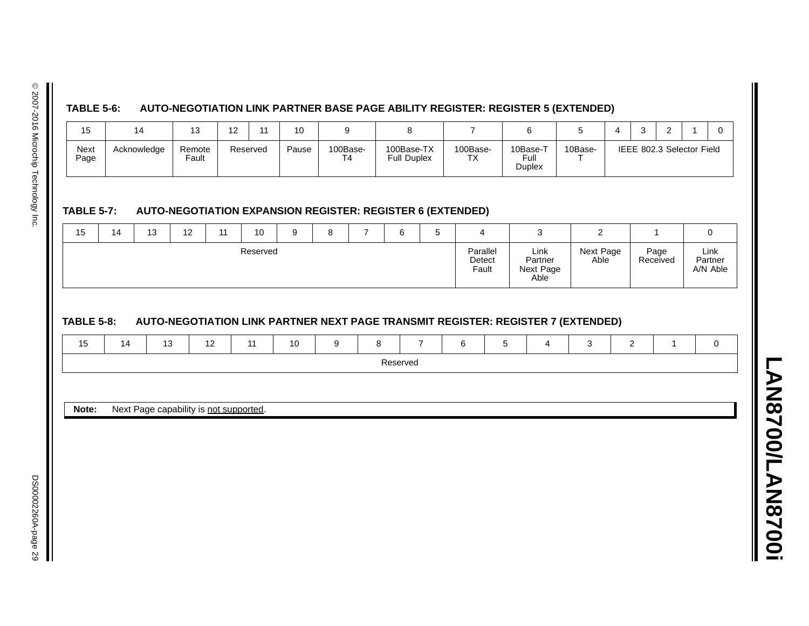## **TABLE 5-6: AUTO-NEGOTIATION LINK PARTNER BASE PAGE ABILITY REGISTER: REGISTER 5 (EXTENDED)**

| 15           | 14          | 13              | $1^\circ$<br>. . | 44 | 10    |                |                                  |                |                                   |         |  |                           |  |
|--------------|-------------|-----------------|------------------|----|-------|----------------|----------------------------------|----------------|-----------------------------------|---------|--|---------------------------|--|
| Next<br>Page | Acknowledge | Remote<br>Fault | Reserved         |    | Pause | 100Base-<br>T4 | 100Base-TX<br><b>Full Duplex</b> | 100Base-<br>ТX | 10Base-i<br>Full<br><b>Duplex</b> | 10Base- |  | IEEE 802.3 Selector Field |  |

## **TABLE 5-7: AUTO-NEGOTIATION EXPANSION REGISTER: REGISTER 6 (EXTENDED)**

| 15 | 14 | 1 O<br>. ט | $\overline{ }$<br>$\sim$ | 10       | ≂ | o |  | J | 4                           | J.                                   | <u>_</u>          |                  | v                           |
|----|----|------------|--------------------------|----------|---|---|--|---|-----------------------------|--------------------------------------|-------------------|------------------|-----------------------------|
|    |    |            |                          | Reserved |   |   |  |   | Parallel<br>Detect<br>Fault | Link<br>Partner<br>Next Page<br>Able | Next Page<br>Able | Page<br>Received | Link<br>Partner<br>A/N Able |

## **TABLE 5-8: AUTO-NEGOTIATION LINK PARTNER NEXT PAGE TRANSMIT REGISTER: REGISTER 7 (EXTENDED)**

| $\overline{a}$<br>15 | 14<br>. . | $\overline{\phantom{a}}$<br>د ا | 12 | 44<br>. . | $\overline{A}$<br>ιU | u<br>w | o | $\overline{\phantom{0}}$ | $\sim$<br>n<br>ັ | $\overline{\phantom{0}}$<br>-<br>. . | . | ◠<br>ັ | - | ີ |
|----------------------|-----------|---------------------------------|----|-----------|----------------------|--------|---|--------------------------|------------------|--------------------------------------|---|--------|---|---|
|                      |           |                                 |    |           |                      |        |   | Reserved                 |                  |                                      |   |        |   |   |

**Note:**Next Page capability is not supported.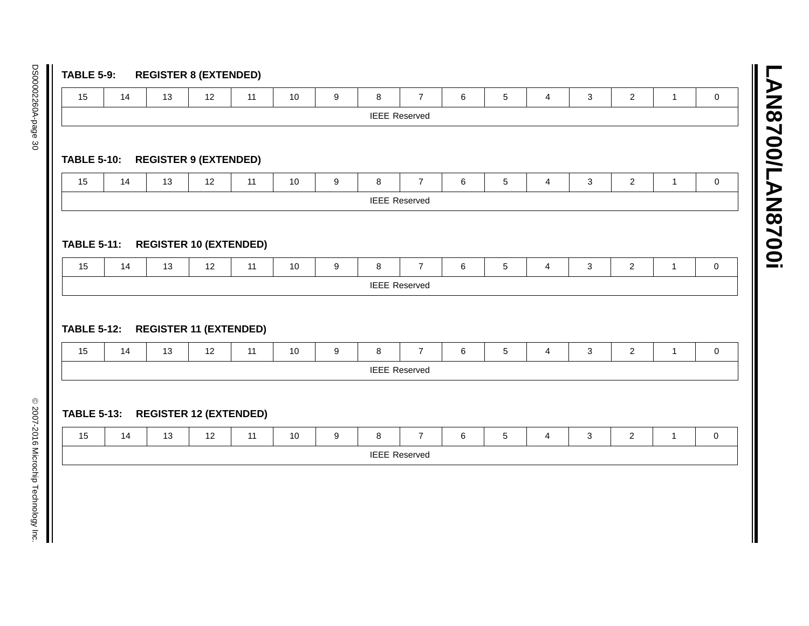# **TABLE 5-9: REGISTER 8 (EXTENDED)** 15 | 14 | 13 | 12 | 11 | 10 | 9 | 8 | 7 | 6 | 5 | 4 | 3 | 2 | 1 | 0 IEEE Reserved **TABLE 5-10: REGISTER 9 (EXTENDED)** 15 | 14 | 13 | 12 | 11 | 10 | 9 | 8 | 7 | 6 | 5 | 4 | 3 | 2 | 1 | 0  $\mathbf 0$ IEEE Reserved **TABLE 5-11: REGISTER 10 (EXTENDED)** 15 14 13 12 11 10 1 9 1 8 1 7 1 6 1 5 1 4 1 3 1 2 1 1 1 0 IEEE Reserved**TABLE 5-12: REGISTER 11 (EXTENDED)** 15 14 13 12 11 10 1 9 1 8 1 7 1 6 1 5 1 4 1 3 1 2 1 1 1 0 IEEE Reserved **TABLE 5-13: REGISTER 12 (EXTENDED)** 15 | 14 | 13 | 12 | 11 | 10 | 9 | 8 | 7 | 6 | 5 | 4 | 3 | 2 | 1 | 0  $\mathbf 0$ IEEE Reserved

**LAN8700/LAN8700i** AN8700/LAN8700i.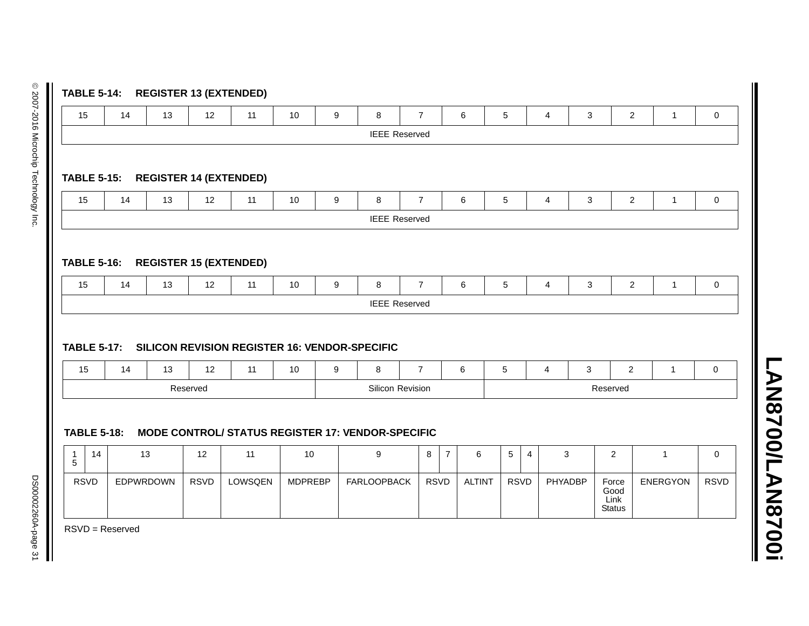# **LANGREY STAND FOR THE STAND CONTROLL STATUS REGISTER 17: VENDOR SPECIFIC<br>
TABLE 5-18: MODE CONTROLL STATUS REGISTER 17: VENDOR SPECIFIC<br>
TABLE 5-18: MODE CONTROLL STATUS REGISTER 17: VENDOR SPECIFIC<br>
RSVD = Reserved<br>
RSVD TABLE 5-14: REGISTER 13 (EXTENDED)** 15 14 13 12 11 10 1 9 1 8 1 7 1 6 1 5 1 4 1 3 1 2 1 1 1 0 IEEE Reserved **TABLE 5-15: REGISTER 14 (EXTENDED)** 15 | 14 | 13 | 12 | 11 | 10 | 9 | 8 | 7 | 6 | 5 | 4 | 3 | 2 | 1 | 0 IEEE Reserved **TABLE 5-16: REGISTER 15 (EXTENDED)** 15 14 13 12 11 10 1 9 1 8 1 7 1 6 1 5 1 4 1 3 1 2 1 1 1 0 IEEE Reserved**TABLE 5-17: SILICON REVISION REGISTER 16: VENDOR-SPECIFIC**15 | 14 | 13 | 12 | 11 | 10 | 9 | 8 | 7 | 6 | 5 | 4 | 3 | 2 | 1 | 0 Reserved **Network Reserved Network Silicon Revision** Reserved **TABLE 5-18: MODE CONTROL/ STATUS REGISTER 17: VENDOR-SPECIFIC**1 514 13 12 11 1 10 1 9 18 17 1 6 15 14 1 3 1 2 1 1 1 0 RSVD | EDPWRDOWN | RSVD | LOWSQEN | MDPREBP | FARLOOPBACK | RSVD | ALTINT | RSVD | PHYADBP ENERGYON | RSVD

© 2007-2016 Microchip Technology Inc. 2007-2016 Microchip Technology Inc.

DS00002260A-page 31 DS0002260A-page 31

 Good LinkStatus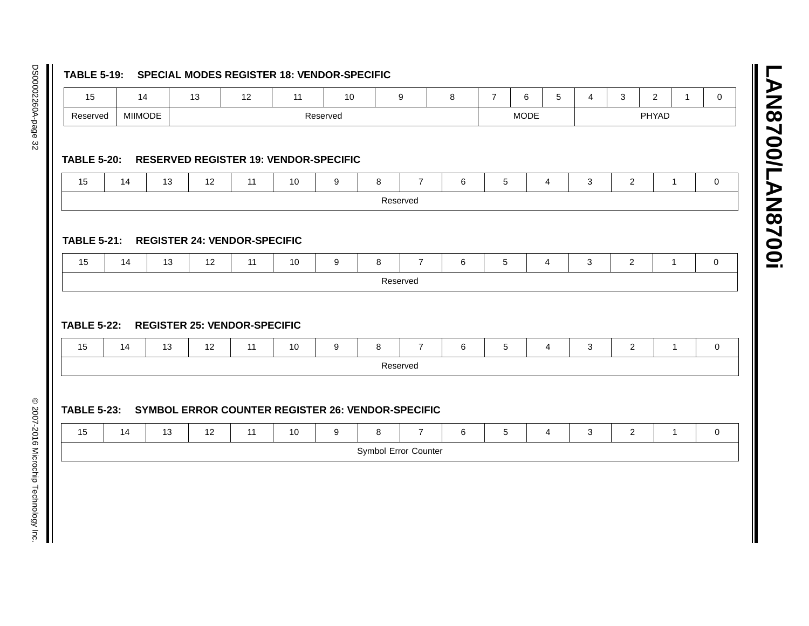# 15 | 14 | 13 | 12 | 11 | 10 | 9 | 8 | 7 | 6 | 5 | 4 | 3 | 2 | 1 | 0 Reserved MIIMODE Reserved MODE PHYAD**TABLE 5-20: RESERVED REGISTER 19: VENDOR-SPECIFIC**15 | 14 | 13 | 12 | 11 | 10 | 9 | 8 | 7 | 6 | 5 | 4 | 3 | 2 | 1 | 0  $\mathsf{O}\xspace$ Reserved **TABLE 5-21: REGISTER 24: VENDOR-SPECIFIC**15 14 13 12 11 10 1 9 1 8 1 7 1 6 1 5 1 4 1 3 1 2 1 1 1 0 Reserved**TABLE 5-22: REGISTER 25: VENDOR-SPECIFIC**

| 15 | 14<br>. . | $\overline{\phantom{a}}$<br>כ ו<br>$\sim$ | $\overline{A}$<br>$\sim$ | $\overline{A}$ | 10 | $\Omega$<br>ັ | $\overline{\phantom{0}}$ | $\sim$<br>r<br>ີ | $\overline{\phantom{a}}$<br>∽ | $\epsilon$<br>$\cdot$ |  |  |
|----|-----------|-------------------------------------------|--------------------------|----------------|----|---------------|--------------------------|------------------|-------------------------------|-----------------------|--|--|
|    |           |                                           |                          |                |    |               | Reserved                 |                  |                               |                       |  |  |

## **TABLE 5-23: SYMBOL ERROR COUNTER REGISTER 26: VENDOR-SPECIFIC**



DS00002260A-page 32 DS00002260A-page 32

## **TABLE 5-19: SPECIAL MODES REGISTER 18: VENDOR-SPECIFIC**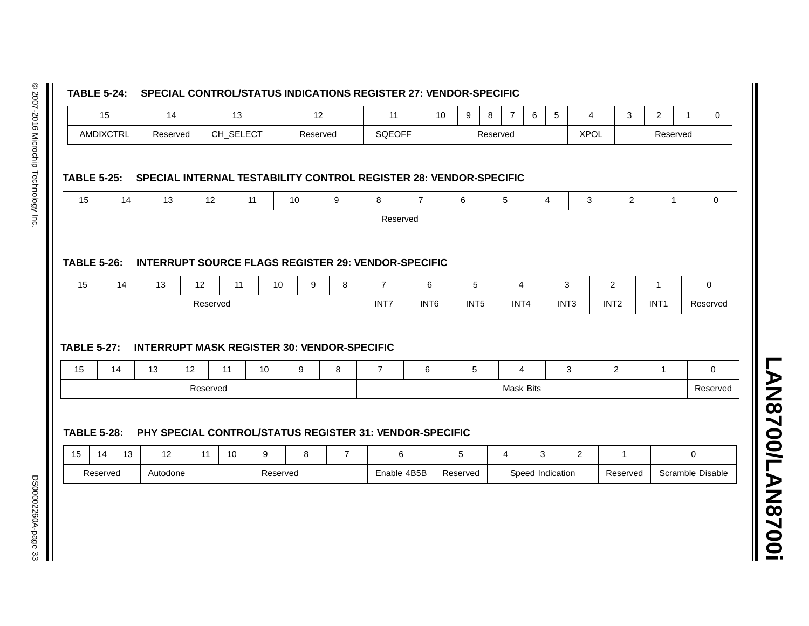## **TABLE 5-24: SPECIAL CONTROL/STATUS INDICATIONS REGISTER 27: VENDOR-SPECIFIC**

| ر ا       |          | ָּ                        | $\sim$   |               | $\overline{ }$<br>ັບ |          |  |                   |  |          |  |
|-----------|----------|---------------------------|----------|---------------|----------------------|----------|--|-------------------|--|----------|--|
| AMDIXCTRL | Reserved | <b>SELECT</b><br>∼⊔<br>◡╷ | Reserved | <b>SQEOFF</b> |                      | Reserved |  | <b>XPO</b><br>−∪∟ |  | Reserved |  |

## **TABLE 5-25: SPECIAL INTERNAL TESTABILITY CONTROL REGISTER 28: VENDOR-SPECIFIC**

| $\overline{a}$<br>אי<br>1 J | $\overline{\phantom{a}}$<br>14 | $\sqrt{2}$<br>ن ا | $\overline{A}$<br>$\sim$ | $\lambda$<br>. . | $\overline{A}$<br>ιv | $\cdot$ | $\circ$ | $\overline{\phantom{a}}$ | $\sim$<br>. .<br>$\cdot$ | $\overline{\phantom{a}}$ | " | ◠<br> | - |  |
|-----------------------------|--------------------------------|-------------------|--------------------------|------------------|----------------------|---------|---------|--------------------------|--------------------------|--------------------------|---|-------|---|--|
|                             |                                |                   |                          |                  |                      |         |         | Reserved                 |                          |                          |   |       |   |  |

## **TABLE 5-26: INTERRUPT SOURCE FLAGS REGISTER 29: VENDOR-SPECIFIC**

| 15 | . .<br>ıд | 13 | $\overline{ }$ | 10 | ີ |      |                  |                  |                  |                            |                  |                  |          |
|----|-----------|----|----------------|----|---|------|------------------|------------------|------------------|----------------------------|------------------|------------------|----------|
|    |           |    | Reserved       |    |   | INT7 | INT <sub>6</sub> | INT <sub>5</sub> | INT <sub>4</sub> | INT <sub>3</sub><br>$\sim$ | INT <sub>2</sub> | INT <sub>1</sub> | Reserved |

## **TABLE 5-27: INTERRUPT MASK REGISTER 30: VENDOR-SPECIFIC**

| $\overline{a}$<br>. .<br>ں ו | A A<br>14     | $\sim$<br>ں ا | $\overline{a}$<br>$-$ | 4 A | 10 |  | . . |  |           | . . |  |          |
|------------------------------|---------------|---------------|-----------------------|-----|----|--|-----|--|-----------|-----|--|----------|
|                              | Reserved<br>. |               |                       |     |    |  |     |  | Mask Bits |     |  | Reserved |

## **TABLE 5-28: PHY SPECIAL CONTROL/STATUS REGISTER 31: VENDOR-SPECIFIC**

| $\overline{a}$<br>ں ו | ہے ا     | $\sqrt{ }$<br>. | . .      |  |          |  |             |          |                  |          |                  |
|-----------------------|----------|-----------------|----------|--|----------|--|-------------|----------|------------------|----------|------------------|
|                       | Reserved |                 | Autodone |  | Reserved |  | Enable 4B5B | Reserved | Speed Indication | Reserved | Scramble Disable |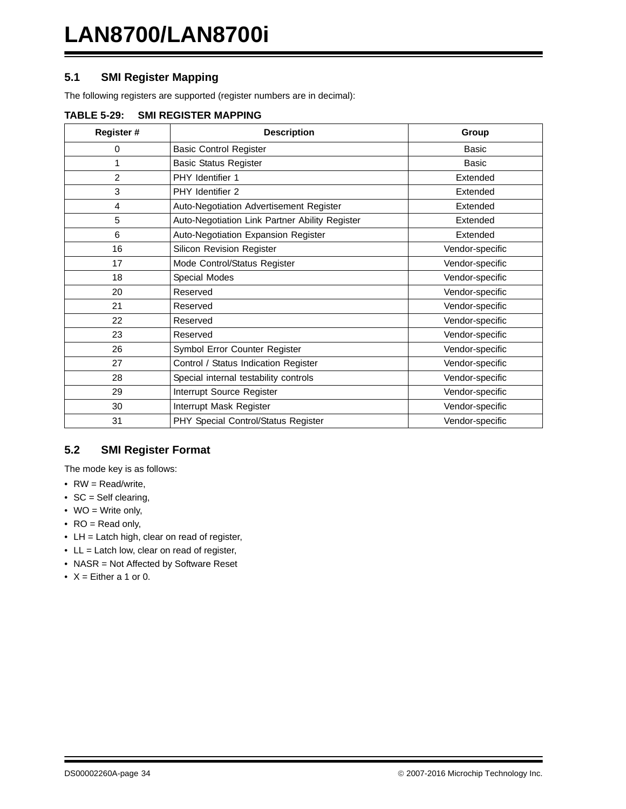## **5.1 SMI Register Mapping**

The following registers are supported (register numbers are in decimal):

| Register #     | <b>Description</b>                             | Group           |
|----------------|------------------------------------------------|-----------------|
| $\Omega$       | <b>Basic Control Register</b>                  | Basic           |
| 1              | <b>Basic Status Register</b>                   | Basic           |
| $\overline{2}$ | PHY Identifier 1                               | Extended        |
| 3              | PHY Identifier 2                               | Extended        |
| 4              | Auto-Negotiation Advertisement Register        | Extended        |
| 5              | Auto-Negotiation Link Partner Ability Register | Extended        |
| 6              | Auto-Negotiation Expansion Register            | Extended        |
| 16             | Silicon Revision Register                      | Vendor-specific |
| 17             | Mode Control/Status Register                   | Vendor-specific |
| 18             | Special Modes                                  | Vendor-specific |
| 20             | Reserved                                       | Vendor-specific |
| 21             | Reserved                                       | Vendor-specific |
| 22             | Reserved                                       | Vendor-specific |
| 23             | Reserved                                       | Vendor-specific |
| 26             | Symbol Error Counter Register                  | Vendor-specific |
| 27             | Control / Status Indication Register           | Vendor-specific |
| 28             | Special internal testability controls          | Vendor-specific |
| 29             | Interrupt Source Register                      | Vendor-specific |
| 30             | Interrupt Mask Register                        | Vendor-specific |
| 31             | PHY Special Control/Status Register            | Vendor-specific |

#### **TABLE 5-29: SMI REGISTER MAPPING**

## **5.2 SMI Register Format**

The mode key is as follows:

- RW = Read/write,
- SC = Self clearing,
- WO = Write only,
- RO = Read only,
- LH = Latch high, clear on read of register,
- LL = Latch low, clear on read of register,
- NASR = Not Affected by Software Reset
- $X =$  Either a 1 or 0.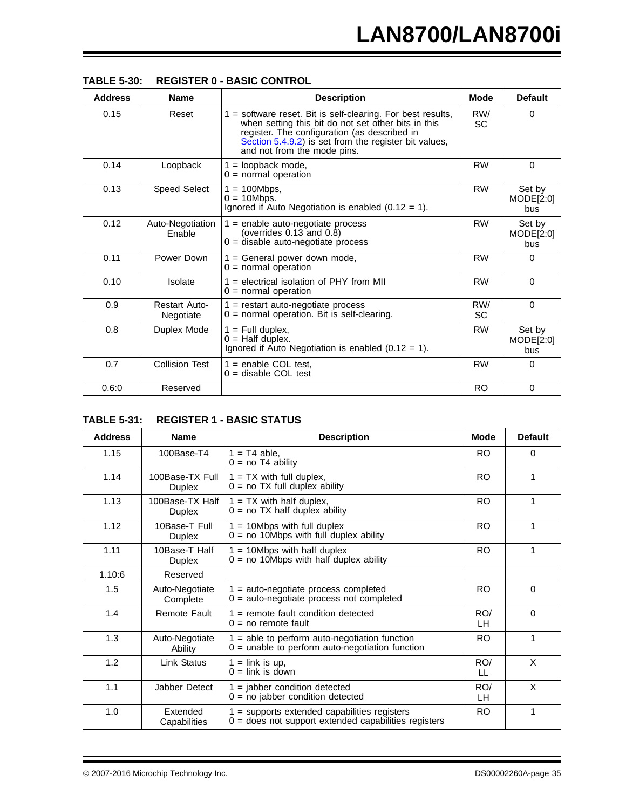| <b>Address</b> | <b>Name</b>                       | <b>Description</b>                                                                                                                                                                                                                                           | Mode             | <b>Default</b>             |
|----------------|-----------------------------------|--------------------------------------------------------------------------------------------------------------------------------------------------------------------------------------------------------------------------------------------------------------|------------------|----------------------------|
| 0.15           | Reset                             | $1$ = software reset. Bit is self-clearing. For best results,<br>when setting this bit do not set other bits in this<br>register. The configuration (as described in<br>Section 5.4.9.2) is set from the register bit values,<br>and not from the mode pins. | RW/<br><b>SC</b> | $\Omega$                   |
| 0.14           | Loopback                          | $1 =$ loopback mode,<br>$0 =$ normal operation                                                                                                                                                                                                               | <b>RW</b>        | $\Omega$                   |
| 0.13           | Speed Select                      | $1 = 100Mbps$ ,<br>$0 = 10$ Mbps.<br>Ignored if Auto Negotiation is enabled $(0.12 = 1)$ .                                                                                                                                                                   | <b>RW</b>        | Set by<br>MODE[2:0]<br>bus |
| 0.12           | Auto-Negotiation<br>Enable        | $1$ = enable auto-negotiate process<br>(overrides $0.13$ and $0.8$ )<br>$0 =$ disable auto-negotiate process                                                                                                                                                 | <b>RW</b>        | Set by<br>MODE[2:0]<br>bus |
| 0.11           | Power Down                        | $1 =$ General power down mode,<br>$0 =$ normal operation                                                                                                                                                                                                     | <b>RW</b>        | 0                          |
| 0.10           | Isolate                           | $1 =$ electrical isolation of PHY from MII<br>$0 =$ normal operation                                                                                                                                                                                         | <b>RW</b>        | $\Omega$                   |
| 0.9            | <b>Restart Auto-</b><br>Negotiate | $1 =$ restart auto-negotiate process<br>$0 =$ normal operation. Bit is self-clearing.                                                                                                                                                                        | RW/<br><b>SC</b> | $\Omega$                   |
| 0.8            | Duplex Mode                       | $1 =$ Full duplex,<br>$0 =$ Half duplex.<br>Ignored if Auto Negotiation is enabled $(0.12 = 1)$ .                                                                                                                                                            | <b>RW</b>        | Set by<br>MODE[2:0]<br>bus |
| 0.7            | <b>Collision Test</b>             | $1$ = enable COL test,<br>$0 =$ disable COL test                                                                                                                                                                                                             | <b>RW</b>        | 0                          |
| 0.6:0          | Reserved                          |                                                                                                                                                                                                                                                              | <b>RO</b>        | $\Omega$                   |

## **TABLE 5-30: REGISTER 0 - BASIC CONTROL**

#### <span id="page-34-0"></span>**TABLE 5-31: REGISTER 1 - BASIC STATUS**

| <b>Address</b> | <b>Name</b>                      | <b>Description</b>                                                                                       | <b>Mode</b> | <b>Default</b> |
|----------------|----------------------------------|----------------------------------------------------------------------------------------------------------|-------------|----------------|
| 1.15           | 100Base-T4                       | $1 = T4$ able.<br>$0 = no T4$ ability                                                                    | RO.         | 0              |
| 1.14           | 100Base-TX Full<br><b>Duplex</b> | $1 = TX$ with full duplex,<br>$0 =$ no TX full duplex ability                                            | RO.         | 1              |
| 1.13           | 100Base-TX Half<br><b>Duplex</b> | $1 = TX$ with half duplex,<br>$0 =$ no TX half duplex ability                                            | RO.         | 1              |
| 1.12           | 10Base-T Full<br><b>Duplex</b>   | $1 = 10$ Mbps with full duplex<br>$0 = no$ 10Mbps with full duplex ability                               | <b>RO</b>   | 1              |
| 1.11           | 10Base-T Half<br><b>Duplex</b>   | $1 = 10Mbps$ with half duplex<br>$0 = no$ 10Mbps with half duplex ability                                | <b>RO</b>   | 1              |
| 1.10:6         | Reserved                         |                                                                                                          |             |                |
| 1.5            | Auto-Negotiate<br>Complete       | $1 =$ auto-negotiate process completed<br>$0 =$ auto-negotiate process not completed                     | <b>RO</b>   | $\Omega$       |
| 1.4            | Remote Fault                     | $1 =$ remote fault condition detected<br>$0 = no$ remote fault                                           | RO/<br>LН   | $\Omega$       |
| 1.3            | Auto-Negotiate<br>Ability        | $1$ = able to perform auto-negotiation function<br>$0 =$ unable to perform auto-negotiation function     | RO.         | 1              |
| 1.2            | Link Status                      | $1 =$ link is up.<br>$0 =$ link is down                                                                  | RO/<br>LL   | X              |
| 1.1            | Jabber Detect                    | $1 =$ jabber condition detected<br>$0 = no$ jabber condition detected                                    | RO/<br>LН   | X              |
| 1.0            | Extended<br>Capabilities         | $1 =$ supports extended capabilities registers<br>$0 =$ does not support extended capabilities registers | RO.         | 1              |

© 2007-2016 Microchip Technology Inc. <br>
DS00002260A-page 35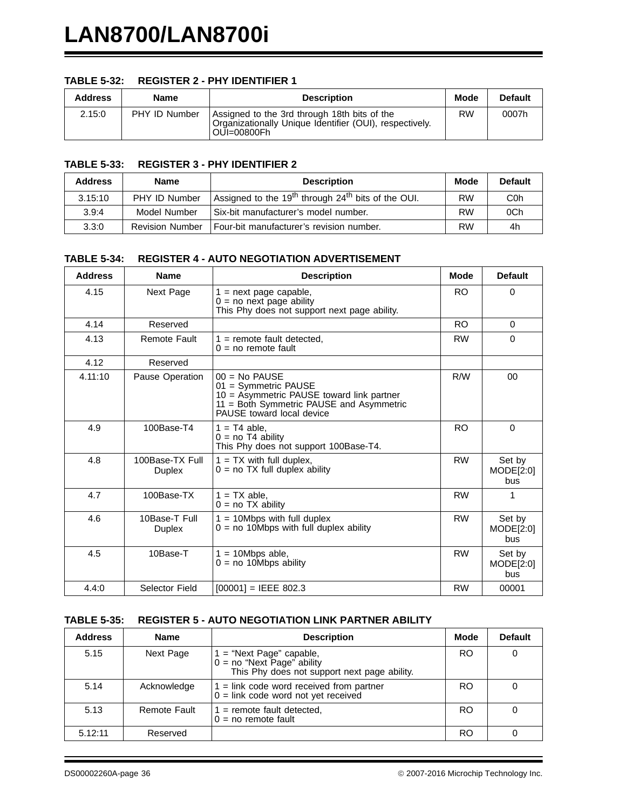| <b>Address</b> | Name          | <b>Description</b>                                                                                                       | Mode      | <b>Default</b> |
|----------------|---------------|--------------------------------------------------------------------------------------------------------------------------|-----------|----------------|
| 2.15:0         | PHY ID Number | Assigned to the 3rd through 18th bits of the<br>Organizationally Unique Identifier (OUI), respectively.<br>$OUI=00800Fh$ | <b>RW</b> | 0007h          |

## **TABLE 5-32: REGISTER 2 - PHY IDENTIFIER 1**

## **TABLE 5-33: REGISTER 3 - PHY IDENTIFIER 2**

| <b>Address</b> | Name                   | <b>Description</b>                                                         | Mode      | <b>Default</b>   |
|----------------|------------------------|----------------------------------------------------------------------------|-----------|------------------|
| 3.15:10        | PHY ID Number          | Assigned to the 19 <sup>th</sup> through 24 <sup>th</sup> bits of the OUI. | <b>RW</b> | C <sub>0</sub> h |
| 3.9:4          | Model Number           | Six-bit manufacturer's model number.                                       | <b>RW</b> | 0Ch              |
| 3.3:0          | <b>Revision Number</b> | Four-bit manufacturer's revision number.                                   | <b>RW</b> | 4h               |

## **TABLE 5-34: REGISTER 4 - AUTO NEGOTIATION ADVERTISEMENT**

| <b>Address</b> | <b>Name</b>                      | <b>Description</b>                                                                                                                                            | <b>Mode</b> | <b>Default</b>             |
|----------------|----------------------------------|---------------------------------------------------------------------------------------------------------------------------------------------------------------|-------------|----------------------------|
| 4.15           | Next Page                        | $1 =$ next page capable,<br>$0 = no$ next page ability<br>This Phy does not support next page ability.                                                        | RO.         | $\Omega$                   |
| 4.14           | Reserved                         |                                                                                                                                                               | <b>RO</b>   | $\Omega$                   |
| 4.13           | Remote Fault                     | $1 =$ remote fault detected,<br>$0 = no$ remote fault                                                                                                         | <b>RW</b>   | $\Omega$                   |
| 4.12           | Reserved                         |                                                                                                                                                               |             |                            |
| 4.11:10        | Pause Operation                  | $00 = No$ PAUSE<br>01 = Symmetric PAUSE<br>10 = Asymmetric PAUSE toward link partner<br>11 = Both Symmetric PAUSE and Asymmetric<br>PAUSE toward local device | R/W         | 00                         |
| 4.9            | 100Base-T4                       | $1 = T4$ able,<br>$0 = no T4$ ability<br>This Phy does not support 100Base-T4.                                                                                | <b>RO</b>   | $\Omega$                   |
| 4.8            | 100Base-TX Full<br><b>Duplex</b> | $1 = TX$ with full duplex,<br>$0 = no TX$ full duplex ability                                                                                                 | <b>RW</b>   | Set by<br>MODE[2:0]<br>bus |
| 4.7            | 100Base-TX                       | $1 = TX$ able,<br>$0 = no TX$ ability                                                                                                                         | <b>RW</b>   | 1                          |
| 4.6            | 10Base-T Full<br><b>Duplex</b>   | $1 = 10Mbps$ with full duplex<br>$0 = no 10Mbps$ with full duplex ability                                                                                     | <b>RW</b>   | Set by<br>MODE[2:0]<br>bus |
| 4.5            | 10Base-T                         | $1 = 10$ Mbps able,<br>$0 = no$ 10Mbps ability                                                                                                                | <b>RW</b>   | Set by<br>MODE[2:0]<br>bus |
| 4.4:0          | Selector Field                   | $[00001] = IEEE 802.3$                                                                                                                                        | <b>RW</b>   | 00001                      |

#### **TABLE 5-35: REGISTER 5 - AUTO NEGOTIATION LINK PARTNER ABILITY**

| <b>Address</b> | Name         | <b>Description</b>                                                                                         | <b>Mode</b> | <b>Default</b> |
|----------------|--------------|------------------------------------------------------------------------------------------------------------|-------------|----------------|
| 5.15           | Next Page    | $1 =$ "Next Page" capable,<br>$0 = no$ "Next Page" ability<br>This Phy does not support next page ability. | RO          |                |
| 5.14           | Acknowledge  | $1 =$ link code word received from partner<br>$0 =$ link code word not yet received                        | RO          |                |
| 5.13           | Remote Fault | $1 =$ remote fault detected,<br>$0 = no$ remote fault                                                      | RO          |                |
| 5.12:11        | Reserved     |                                                                                                            | RO          |                |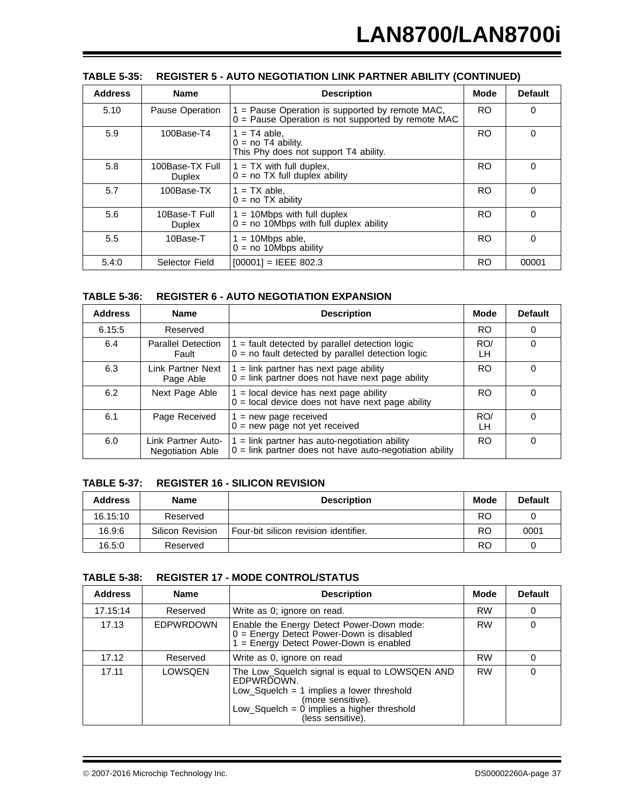| <b>Address</b> | <b>Name</b>                    | <b>Description</b>                                                                                        | <b>Mode</b> | <b>Default</b> |
|----------------|--------------------------------|-----------------------------------------------------------------------------------------------------------|-------------|----------------|
| 5.10           | Pause Operation                | $1$ = Pause Operation is supported by remote MAC,<br>$0 =$ Pause Operation is not supported by remote MAC | RO.         | 0              |
| 5.9            | 100Base-T4                     | $1 = T4$ able.<br>$0 = no T4$ ability.<br>This Phy does not support T4 ability.                           | RO          | $\Omega$       |
| 5.8            | 100Base-TX Full<br>Duplex      | $1 = TX$ with full duplex,<br>$0 =$ no TX full duplex ability                                             | <b>RO</b>   | 0              |
| 5.7            | 100Base-TX                     | $1 = TX$ able,<br>$0 = no TX$ ability                                                                     | RO.         | $\Omega$       |
| 5.6            | 10Base-T Full<br><b>Duplex</b> | $1 = 10$ Mbps with full duplex<br>$0 = no$ 10Mbps with full duplex ability                                | <b>RO</b>   | 0              |
| 5.5            | 10Base-T                       | $1 = 10Mbps$ able,<br>$0 = no$ 10Mbps ability                                                             | <b>RO</b>   | 0              |
| 5.4:0          | Selector Field                 | $[00001] = IEEE 802.3$                                                                                    | <b>RO</b>   | 00001          |

## **TABLE 5-35: REGISTER 5 - AUTO NEGOTIATION LINK PARTNER ABILITY (CONTINUED)**

#### **TABLE 5-36: REGISTER 6 - AUTO NEGOTIATION EXPANSION**

| <b>Address</b> | <b>Name</b>                            | <b>Description</b>                                                                                           | <b>Mode</b> | <b>Default</b> |
|----------------|----------------------------------------|--------------------------------------------------------------------------------------------------------------|-------------|----------------|
| 6.15:5         | Reserved                               |                                                                                                              | RO.         | 0              |
| 6.4            | <b>Parallel Detection</b><br>Fault     | $1 =$ fault detected by parallel detection logic<br>$0 =$ no fault detected by parallel detection logic      | RO/<br>LН   | 0              |
| 6.3            | Link Partner Next<br>Page Able         | $1 =$ link partner has next page ability<br>$0 =$ link partner does not have next page ability               | <b>RO</b>   | 0              |
| 6.2            | Next Page Able                         | $1 =$ local device has next page ability<br>$0 =$ local device does not have next page ability               | RO.         | 0              |
| 6.1            | Page Received                          | $1 = new page received$<br>$0 = new page not yet received$                                                   | RO/<br>LH   | 0              |
| 6.0            | Link Partner Auto-<br>Negotiation Able | $1 =$ link partner has auto-negotiation ability<br>$0 =$ link partner does not have auto-negotiation ability | RO.         | 0              |

#### **TABLE 5-37: REGISTER 16 - SILICON REVISION**

| <b>Address</b> | Name             | <b>Description</b>                    | Mode      | <b>Default</b> |
|----------------|------------------|---------------------------------------|-----------|----------------|
| 16.15:10       | Reserved         |                                       | <b>RO</b> |                |
| 16.9:6         | Silicon Revision | Four-bit silicon revision identifier. | <b>RO</b> | 0001           |
| 16.5:0         | Reserved         |                                       | <b>RO</b> |                |

#### **TABLE 5-38: REGISTER 17 - MODE CONTROL/STATUS**

| <b>Address</b> | <b>Name</b>      | <b>Description</b>                                                                                                                                                                                  | Mode      | <b>Default</b> |
|----------------|------------------|-----------------------------------------------------------------------------------------------------------------------------------------------------------------------------------------------------|-----------|----------------|
| 17.15:14       | Reserved         | Write as 0; ignore on read.                                                                                                                                                                         | <b>RW</b> | 0              |
| 17.13          | <b>EDPWRDOWN</b> | Enable the Energy Detect Power-Down mode:<br>$0 =$ Energy Detect Power-Down is disabled<br>$1 =$ Energy Detect Power-Down is enabled                                                                | <b>RW</b> | 0              |
| 17.12          | Reserved         | Write as 0, ignore on read                                                                                                                                                                          | <b>RW</b> | 0              |
| 17.11          | LOWSQEN          | The Low_Squelch signal is equal to LOWSQEN AND<br>EDPWRDOWN.<br>Low_Squelch = 1 implies a lower threshold<br>(more sensitive).<br>Low_Squelch = $0$ implies a higher threshold<br>(less sensitive). | <b>RW</b> | 0              |

© 2007-2016 Microchip Technology Inc. COMEXANDED SON DESCOLLED DESCOLLED DESCOLLED BOOT DESCOLLED AT DESCOLLED AT DESCOLLED AT DESCOLLED AT DESCOLLED AT DESCOLLED AT DESCOLLED AT DESCOLLED AT DESCOLLED AT DESCOLLED AT DESC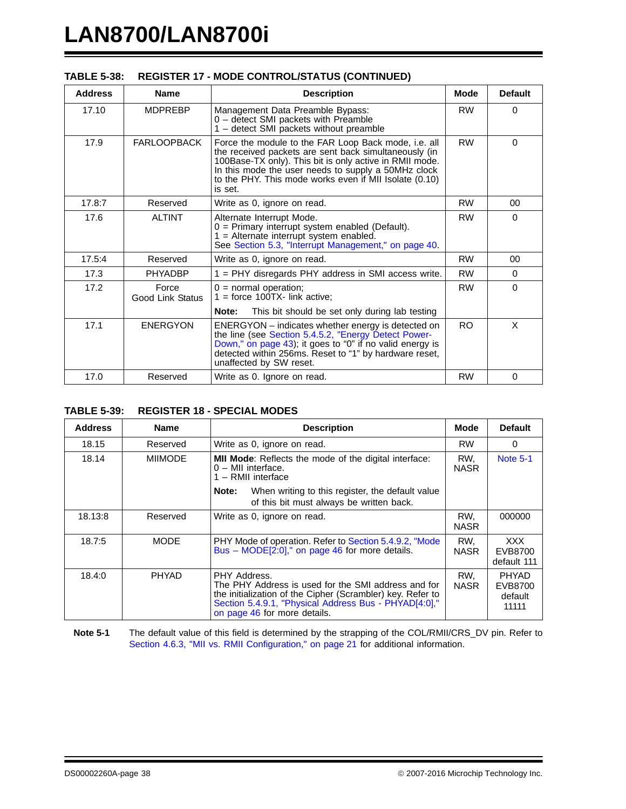| <b>Address</b> | <b>Name</b>                      | <b>Description</b>                                                                                                                                                                                                                                                                                   | Mode      | <b>Default</b> |
|----------------|----------------------------------|------------------------------------------------------------------------------------------------------------------------------------------------------------------------------------------------------------------------------------------------------------------------------------------------------|-----------|----------------|
| 17.10          | <b>MDPREBP</b>                   | Management Data Preamble Bypass:<br>0 - detect SMI packets with Preamble<br>1 - detect SMI packets without preamble                                                                                                                                                                                  | <b>RW</b> | $\Omega$       |
| 17.9           | <b>FARLOOPBACK</b>               | Force the module to the FAR Loop Back mode, i.e. all<br>the received packets are sent back simultaneously (in<br>100Base-TX only). This bit is only active in RMII mode.<br>In this mode the user needs to supply a 50MHz clock<br>to the PHY. This mode works even if MII Isolate (0.10)<br>is set. | <b>RW</b> | $\Omega$       |
| 17.8:7         | Reserved                         | Write as 0, ignore on read.                                                                                                                                                                                                                                                                          | <b>RW</b> | 00             |
| 17.6           | <b>ALTINT</b>                    | Alternate Interrupt Mode.<br>0 = Primary interrupt system enabled (Default).<br>1 = Alternate interrupt system enabled.<br>See Section 5.3, "Interrupt Management," on page 40.                                                                                                                      | <b>RW</b> | $\Omega$       |
| 17.5:4         | Reserved                         | Write as 0, ignore on read.                                                                                                                                                                                                                                                                          | <b>RW</b> | 00             |
| 17.3           | <b>PHYADBP</b>                   | 1 = PHY disregards PHY address in SMI access write.                                                                                                                                                                                                                                                  | <b>RW</b> | $\Omega$       |
| 17.2           | Force<br><b>Good Link Status</b> | $0 = normal operation;$<br>$1 =$ force 100TX- link active;                                                                                                                                                                                                                                           | <b>RW</b> | $\Omega$       |
|                |                                  | Note:<br>This bit should be set only during lab testing                                                                                                                                                                                                                                              |           |                |
| 17.1           | <b>ENERGYON</b>                  | ENERGYON - indicates whether energy is detected on<br>the line (see Section 5.4.5.2, "Energy Detect Power-<br>Down," on page 43); it goes to "0" if no valid energy is<br>detected within 256ms. Reset to "1" by hardware reset,<br>unaffected by SW reset.                                          | RO.       | X              |
| 17.0           | Reserved                         | Write as 0. Ignore on read.                                                                                                                                                                                                                                                                          | <b>RW</b> | $\Omega$       |

## **TABLE 5-38: REGISTER 17 - MODE CONTROL/STATUS (CONTINUED)**

#### <span id="page-37-2"></span><span id="page-37-1"></span>**TABLE 5-39: REGISTER 18 - SPECIAL MODES**

| <b>Address</b> | <b>Name</b>    | <b>Description</b>                                                                                                                                                                                                         | Mode               | <b>Default</b>                              |
|----------------|----------------|----------------------------------------------------------------------------------------------------------------------------------------------------------------------------------------------------------------------------|--------------------|---------------------------------------------|
| 18.15          | Reserved       | Write as 0, ignore on read.                                                                                                                                                                                                | <b>RW</b>          | 0                                           |
| 18.14          | <b>MIIMODE</b> | <b>MII Mode:</b> Reflects the mode of the digital interface:<br>$0 - MII$ interface.<br>$1 -$ RMII interface                                                                                                               | RW.<br><b>NASR</b> | <b>Note 5-1</b>                             |
|                |                | When writing to this register, the default value<br>Note:<br>of this bit must always be written back.                                                                                                                      |                    |                                             |
| 18.13:8        | Reserved       | Write as 0, ignore on read.                                                                                                                                                                                                | RW.<br><b>NASR</b> | 000000                                      |
| 18.7:5         | <b>MODE</b>    | PHY Mode of operation. Refer to Section 5.4.9.2, "Mode<br>Bus - MODE[2:0]," on page 46 for more details.                                                                                                                   | RW.<br><b>NASR</b> | XXX.<br>EVB8700<br>default 111              |
| 18.4:0         | <b>PHYAD</b>   | PHY Address.<br>The PHY Address is used for the SMI address and for<br>the initialization of the Cipher (Scrambler) key. Refer to<br>Section 5.4.9.1, "Physical Address Bus - PHYAD[4:0],"<br>on page 46 for more details. | RW.<br><b>NASR</b> | <b>PHYAD</b><br>EVB8700<br>default<br>11111 |

<span id="page-37-0"></span>**Note 5-1** The default value of this field is determined by the strapping of the COL/RMII/CRS\_DV pin. Refer to [Section 4.6.3, "MII vs. RMII Configuration," on page 21](#page-20-0) for additional information.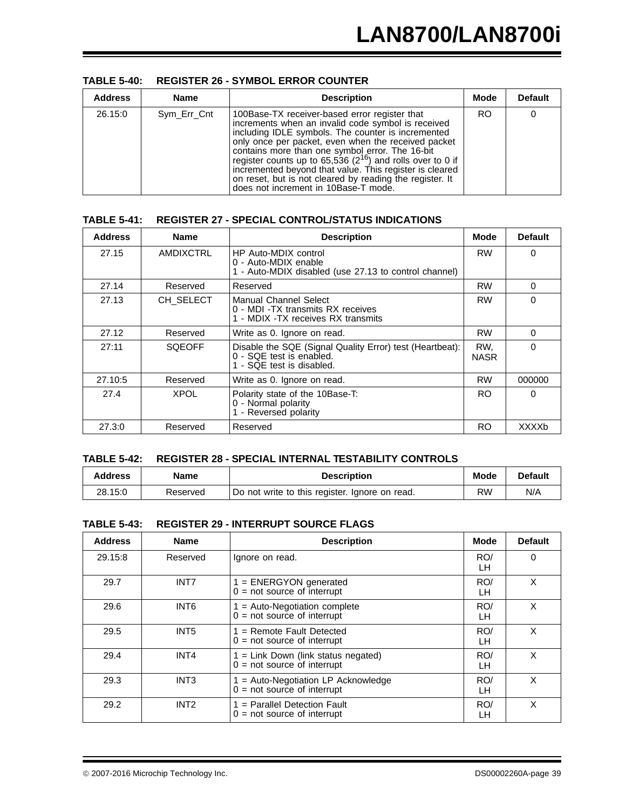| <b>Address</b> | <b>Name</b> | <b>Description</b>                                                                                                                                                                                                                                                                                                                                                                                                                                                                                       | Mode | <b>Default</b> |
|----------------|-------------|----------------------------------------------------------------------------------------------------------------------------------------------------------------------------------------------------------------------------------------------------------------------------------------------------------------------------------------------------------------------------------------------------------------------------------------------------------------------------------------------------------|------|----------------|
| 26.15:0        | Sym_Err_Cnt | 100Base-TX receiver-based error register that<br>increments when an invalid code symbol is received<br>including IDLE symbols. The counter is incremented<br>only once per packet, even when the received packet<br>contains more than one symbol error. The 16-bit<br>register counts up to $65,536$ ( $2^{16}$ ) and rolls over to 0 if<br>incremented beyond that value. This register is cleared<br>on reset, but is not cleared by reading the register. It<br>does not increment in 10Base-T mode. | RO.  |                |

#### <span id="page-38-0"></span>**TABLE 5-40: REGISTER 26 - SYMBOL ERROR COUNTER**

## **TABLE 5-41: REGISTER 27 - SPECIAL CONTROL/STATUS INDICATIONS**

| <b>Address</b> | <b>Name</b>      | <b>Description</b>                                                                                                | Mode               | <b>Default</b> |
|----------------|------------------|-------------------------------------------------------------------------------------------------------------------|--------------------|----------------|
| 27.15          | <b>AMDIXCTRL</b> | HP Auto-MDIX control<br>0 - Auto-MDIX enable<br>1 - Auto-MDIX disabled (use 27.13 to control channel)             | <b>RW</b>          | $\Omega$       |
| 27.14          | Reserved         | Reserved                                                                                                          | <b>RW</b>          | $\Omega$       |
| 27.13          | CH SELECT        | Manual Channel Select<br>0 - MDI - TX transmits RX receives<br>1 - MDIX - TX receives RX transmits                | <b>RW</b>          | 0              |
| 27.12          | Reserved         | Write as 0. Ignore on read.                                                                                       | <b>RW</b>          | 0              |
| 27:11          | <b>SQEOFF</b>    | Disable the SQE (Signal Quality Error) test (Heartbeat):<br>0 - SQE test is enabled.<br>1 - SQE test is disabled. | RW,<br><b>NASR</b> | 0              |
| 27.10:5        | Reserved         | Write as 0. Ignore on read.                                                                                       | <b>RW</b>          | 000000         |
| 27.4           | <b>XPOL</b>      | Polarity state of the 10Base-T:<br>0 - Normal polarity<br>1 - Reversed polarity                                   | RO.                | 0              |
| 27.3:0         | Reserved         | Reserved                                                                                                          | <b>RO</b>          | <b>XXXXb</b>   |

#### **TABLE 5-42: REGISTER 28 - SPECIAL INTERNAL TESTABILITY CONTROLS**

| Address | Name     | <b>Description</b>                             | <b>Mode</b> | <b>Default</b> |
|---------|----------|------------------------------------------------|-------------|----------------|
| 28.15:0 | Reserved | Do not write to this register. Ignore on read. | <b>RW</b>   | N/A            |

## **TABLE 5-43: REGISTER 29 - INTERRUPT SOURCE FLAGS**

| <b>Address</b> | <b>Name</b>      | <b>Description</b>                                                     | <b>Mode</b> | <b>Default</b> |
|----------------|------------------|------------------------------------------------------------------------|-------------|----------------|
| 29.15:8        | Reserved         | Ignore on read.                                                        | RO/<br>LН   | $\Omega$       |
| 29.7           | INT7             | 1 = ENERGYON generated<br>$0 = not source of$ interrupt                | RO/<br>LН   | X              |
| 29.6           | INT <sub>6</sub> | 1 = Auto-Negotiation complete<br>$0 = not source of$ interrupt         | RO/<br>LН   | X              |
| 29.5           | INT <sub>5</sub> | $1 =$ Remote Fault Detected<br>$0 = not source of$ interrupt           | RO/<br>LН   | X              |
| 29.4           | INT4             | $1 =$ Link Down (link status negated)<br>$0 = not source of interrupt$ | RO/<br>LН   | х              |
| 29.3           | INT <sub>3</sub> | $=$ Auto-Negotiation LP Acknowledge<br>$0 = not source of$ interrupt   | RO/<br>LН   | Χ              |
| 29.2           | INT <sub>2</sub> | 1 = Parallel Detection Fault<br>$0 = not source of interrupt$          | RO/<br>LН   | X              |

© 2007-2016 Microchip Technology Inc. 2007-2016 Microchip Technology Inc.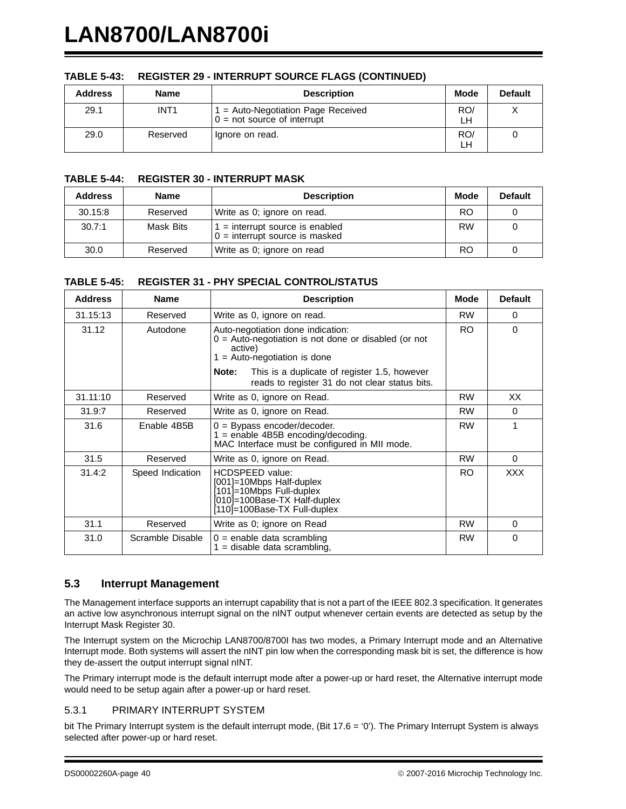|  | <b>Address</b> | <b>Name</b>      | <b>Description</b>                                                  | Mode      | <b>Default</b> |
|--|----------------|------------------|---------------------------------------------------------------------|-----------|----------------|
|  | 29.1           | INT <sub>1</sub> | 1 = Auto-Negotiation Page Received<br>$0 = not source of$ interrupt | RO/<br>LH |                |
|  | 29.0           | Reserved         | Ignore on read.                                                     | RO/<br>LН |                |

#### **TABLE 5-43: REGISTER 29 - INTERRUPT SOURCE FLAGS (CONTINUED)**

#### **TABLE 5-44: REGISTER 30 - INTERRUPT MASK**

| <b>Address</b> | Name      | <b>Description</b>                                                    | Mode      | <b>Default</b> |
|----------------|-----------|-----------------------------------------------------------------------|-----------|----------------|
| 30.15:8        | Reserved  | Write as 0; ignore on read.                                           | <b>RO</b> |                |
| 30.7:1         | Mask Bits | $1$ = interrupt source is enabled<br>$0 =$ interrupt source is masked | <b>RW</b> |                |
| 30.0           | Reserved  | Write as 0; ignore on read                                            | <b>RO</b> |                |

#### <span id="page-39-1"></span>**TABLE 5-45: REGISTER 31 - PHY SPECIAL CONTROL/STATUS**

| <b>Address</b> | <b>Name</b>      | <b>Description</b>                                                                                                                             | <b>Mode</b> | <b>Default</b> |
|----------------|------------------|------------------------------------------------------------------------------------------------------------------------------------------------|-------------|----------------|
| 31.15:13       | Reserved         | Write as 0, ignore on read.                                                                                                                    | <b>RW</b>   | $\Omega$       |
| 31.12          | Autodone         | Auto-negotiation done indication:<br>$0 =$ Auto-negotiation is not done or disabled (or not<br>active)<br>$1 =$ Auto-negotiation is done       |             | $\Omega$       |
|                |                  | Note:<br>This is a duplicate of register 1.5, however<br>reads to register 31 do not clear status bits.                                        |             |                |
| 31.11:10       | Reserved         | Write as 0, ignore on Read.                                                                                                                    | <b>RW</b>   | XX             |
| 31.9:7         | Reserved         | Write as 0, ignore on Read.                                                                                                                    | <b>RW</b>   | $\Omega$       |
| 31.6           | Enable 4B5B      | $0 = Bypass encoder/decoder$ .<br>$1 =$ enable 4B5B encoding/decoding.<br>MAC Interface must be configured in MII mode.                        | <b>RW</b>   | 1              |
| 31.5           | Reserved         | Write as 0, ignore on Read.                                                                                                                    | <b>RW</b>   | $\Omega$       |
| 31.4:2         | Speed Indication | <b>HCDSPEED</b> value:<br>[001]=10Mbps Half-duplex<br>[101]=10Mbps Full-duplex<br>[010]=100Base-TX Half-duplex<br>[110]=100Base-TX Full-duplex | RO.         | <b>XXX</b>     |
| 31.1           | Reserved         | Write as 0; ignore on Read                                                                                                                     | <b>RW</b>   | $\Omega$       |
| 31.0           | Scramble Disable | $0 =$ enable data scrambling<br>$1 =$ disable data scrambling,                                                                                 | <b>RW</b>   | $\Omega$       |

## <span id="page-39-0"></span>**5.3 Interrupt Management**

The Management interface supports an interrupt capability that is not a part of the IEEE 802.3 specification. It generates an active low asynchronous interrupt signal on the nINT output whenever certain events are detected as setup by the Interrupt Mask Register 30.

The Interrupt system on the Microchip LAN8700/8700I has two modes, a Primary Interrupt mode and an Alternative Interrupt mode. Both systems will assert the nINT pin low when the corresponding mask bit is set, the difference is how they de-assert the output interrupt signal nINT.

The Primary interrupt mode is the default interrupt mode after a power-up or hard reset, the Alternative interrupt mode would need to be setup again after a power-up or hard reset.

#### 5.3.1 PRIMARY INTERRUPT SYSTEM

bit The Primary Interrupt system is the default interrupt mode, (Bit 17.6 = '0'). The Primary Interrupt System is always selected after power-up or hard reset.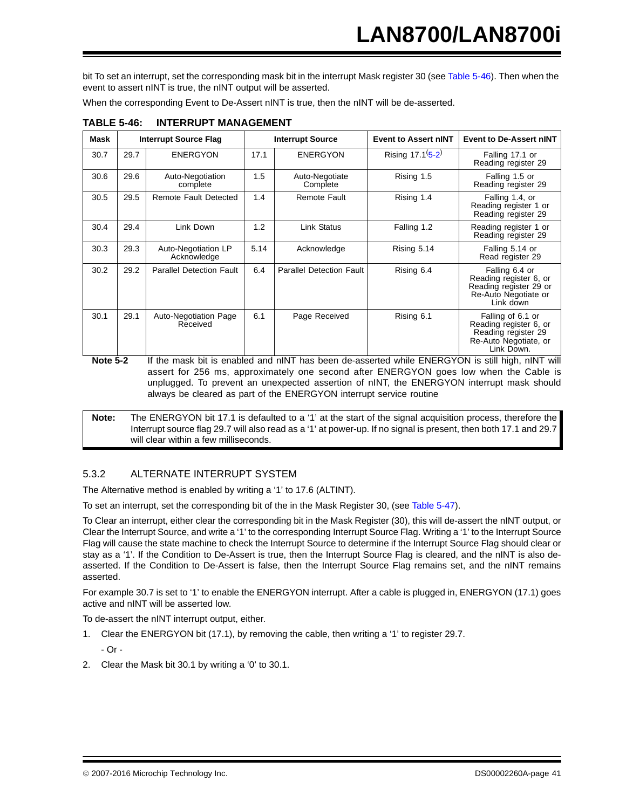bit To set an interrupt, set the corresponding mask bit in the interrupt Mask register 30 (see [Table 5-46](#page-40-0)). Then when the event to assert nINT is true, the nINT output will be asserted.

When the corresponding Event to De-Assert nINT is true, then the nINT will be de-asserted.

| Mask |      | <b>Interrupt Source Flag</b>       |      | <b>Interrupt Source</b>         | <b>Event to Assert nINT</b> | <b>Event to De-Assert nINT</b>                                                                            |
|------|------|------------------------------------|------|---------------------------------|-----------------------------|-----------------------------------------------------------------------------------------------------------|
| 30.7 | 29.7 | <b>ENERGYON</b>                    | 17.1 | <b>ENERGYON</b>                 | Rising $17.1^{6}$ -2)       | Falling 17.1 or<br>Reading register 29                                                                    |
| 30.6 | 29.6 | Auto-Negotiation<br>complete       | 1.5  | Auto-Negotiate<br>Complete      | Rising 1.5                  | Falling 1.5 or<br>Reading register 29                                                                     |
| 30.5 | 29.5 | <b>Remote Fault Detected</b>       | 1.4  | <b>Remote Fault</b>             | Rising 1.4                  | Falling 1.4, or<br>Reading register 1 or<br>Reading register 29                                           |
| 30.4 | 29.4 | Link Down                          | 1.2  | Link Status                     | Falling 1.2                 | Reading register 1 or<br>Reading register 29                                                              |
| 30.3 | 29.3 | Auto-Negotiation LP<br>Acknowledge | 5.14 | Acknowledge                     | Rising 5.14                 | Falling 5.14 or<br>Read register 29                                                                       |
| 30.2 | 29.2 | <b>Parallel Detection Fault</b>    | 6.4  | <b>Parallel Detection Fault</b> | Rising 6.4                  | Falling 6.4 or<br>Reading register 6, or<br>Reading register 29 or<br>Re-Auto Negotiate or<br>Link down   |
| 30.1 | 29.1 | Auto-Negotiation Page<br>Received  | 6.1  | Page Received                   | Rising 6.1                  | Falling of 6.1 or<br>Reading register 6, or<br>Reading register 29<br>Re-Auto Negotiate, or<br>Link Down. |

#### <span id="page-40-0"></span>**TABLE 5-46: INTERRUPT MANAGEMENT**

<span id="page-40-1"></span>**Note 5-2** If the mask bit is enabled and nINT has been de-asserted while ENERGYON is still high, nINT will assert for 256 ms, approximately one second after ENERGYON goes low when the Cable is unplugged. To prevent an unexpected assertion of nINT, the ENERGYON interrupt mask should always be cleared as part of the ENERGYON interrupt service routine

**Note:** The ENERGYON bit 17.1 is defaulted to a '1' at the start of the signal acquisition process, therefore the Interrupt source flag 29.7 will also read as a '1' at power-up. If no signal is present, then both 17.1 and 29.7 will clear within a few milliseconds.

## 5.3.2 ALTERNATE INTERRUPT SYSTEM

The Alternative method is enabled by writing a '1' to 17.6 (ALTINT).

To set an interrupt, set the corresponding bit of the in the Mask Register 30, (see [Table 5-47](#page-41-0)).

To Clear an interrupt, either clear the corresponding bit in the Mask Register (30), this will de-assert the nINT output, or Clear the Interrupt Source, and write a '1' to the corresponding Interrupt Source Flag. Writing a '1' to the Interrupt Source Flag will cause the state machine to check the Interrupt Source to determine if the Interrupt Source Flag should clear or stay as a '1'. If the Condition to De-Assert is true, then the Interrupt Source Flag is cleared, and the nINT is also deasserted. If the Condition to De-Assert is false, then the Interrupt Source Flag remains set, and the nINT remains asserted.

For example 30.7 is set to '1' to enable the ENERGYON interrupt. After a cable is plugged in, ENERGYON (17.1) goes active and nINT will be asserted low.

To de-assert the nINT interrupt output, either.

- 1. Clear the ENERGYON bit (17.1), by removing the cable, then writing a '1' to register 29.7.
	- Or -
- 2. Clear the Mask bit 30.1 by writing a '0' to 30.1.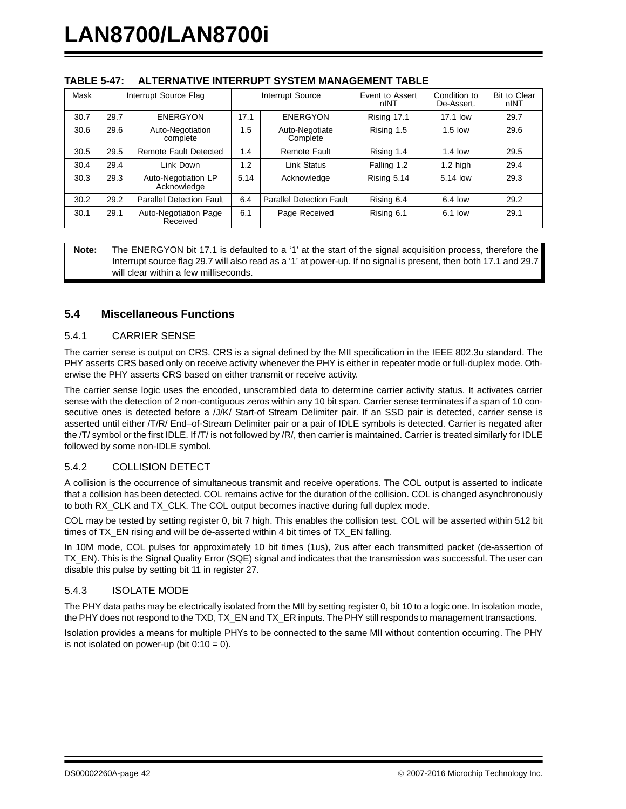| Mask |      | Interrupt Source Flag              |      | Interrupt Source<br>Event to Assert<br>nINT |             | Condition to<br>De-Assert. | <b>Bit to Clear</b><br>nINT |
|------|------|------------------------------------|------|---------------------------------------------|-------------|----------------------------|-----------------------------|
| 30.7 | 29.7 | <b>ENERGYON</b>                    | 17.1 | <b>ENERGYON</b>                             | Rising 17.1 | 17.1 low                   | 29.7                        |
| 30.6 | 29.6 | Auto-Negotiation<br>complete       | 1.5  | Auto-Negotiate<br>Complete                  | Rising 1.5  | $1.5$ low                  | 29.6                        |
| 30.5 | 29.5 | <b>Remote Fault Detected</b>       | 1.4  | Remote Fault                                | Rising 1.4  | $1.4$ low                  | 29.5                        |
| 30.4 | 29.4 | Link Down                          | 1.2  | Link Status                                 | Falling 1.2 | $1.2$ high                 | 29.4                        |
| 30.3 | 29.3 | Auto-Negotiation LP<br>Acknowledge | 5.14 | Acknowledge                                 | Rising 5.14 | 5.14 low                   | 29.3                        |
| 30.2 | 29.2 | <b>Parallel Detection Fault</b>    | 6.4  | <b>Parallel Detection Fault</b>             | Rising 6.4  | 6.4 low                    | 29.2                        |
| 30.1 | 29.1 | Auto-Negotiation Page<br>Received  | 6.1  | Page Received                               | Rising 6.1  | 6.1 low                    | 29.1                        |

#### <span id="page-41-0"></span>**TABLE 5-47: ALTERNATIVE INTERRUPT SYSTEM MANAGEMENT TABLE**

**Note:** The ENERGYON bit 17.1 is defaulted to a '1' at the start of the signal acquisition process, therefore the Interrupt source flag 29.7 will also read as a '1' at power-up. If no signal is present, then both 17.1 and 29.7 will clear within a few milliseconds.

## **5.4 Miscellaneous Functions**

#### 5.4.1 CARRIER SENSE

The carrier sense is output on CRS. CRS is a signal defined by the MII specification in the IEEE 802.3u standard. The PHY asserts CRS based only on receive activity whenever the PHY is either in repeater mode or full-duplex mode. Otherwise the PHY asserts CRS based on either transmit or receive activity.

The carrier sense logic uses the encoded, unscrambled data to determine carrier activity status. It activates carrier sense with the detection of 2 non-contiguous zeros within any 10 bit span. Carrier sense terminates if a span of 10 consecutive ones is detected before a /J/K/ Start-of Stream Delimiter pair. If an SSD pair is detected, carrier sense is asserted until either /T/R/ End–of-Stream Delimiter pair or a pair of IDLE symbols is detected. Carrier is negated after the /T/ symbol or the first IDLE. If /T/ is not followed by /R/, then carrier is maintained. Carrier is treated similarly for IDLE followed by some non-IDLE symbol.

#### 5.4.2 COLLISION DETECT

A collision is the occurrence of simultaneous transmit and receive operations. The COL output is asserted to indicate that a collision has been detected. COL remains active for the duration of the collision. COL is changed asynchronously to both RX\_CLK and TX\_CLK. The COL output becomes inactive during full duplex mode.

COL may be tested by setting register 0, bit 7 high. This enables the collision test. COL will be asserted within 512 bit times of TX\_EN rising and will be de-asserted within 4 bit times of TX\_EN falling.

In 10M mode, COL pulses for approximately 10 bit times (1us), 2us after each transmitted packet (de-assertion of TX\_EN). This is the Signal Quality Error (SQE) signal and indicates that the transmission was successful. The user can disable this pulse by setting bit 11 in register 27.

#### 5.4.3 ISOLATE MODE

The PHY data paths may be electrically isolated from the MII by setting register 0, bit 10 to a logic one. In isolation mode, the PHY does not respond to the TXD, TX\_EN and TX\_ER inputs. The PHY still responds to management transactions.

Isolation provides a means for multiple PHYs to be connected to the same MII without contention occurring. The PHY is not isolated on power-up (bit  $0:10 = 0$ ).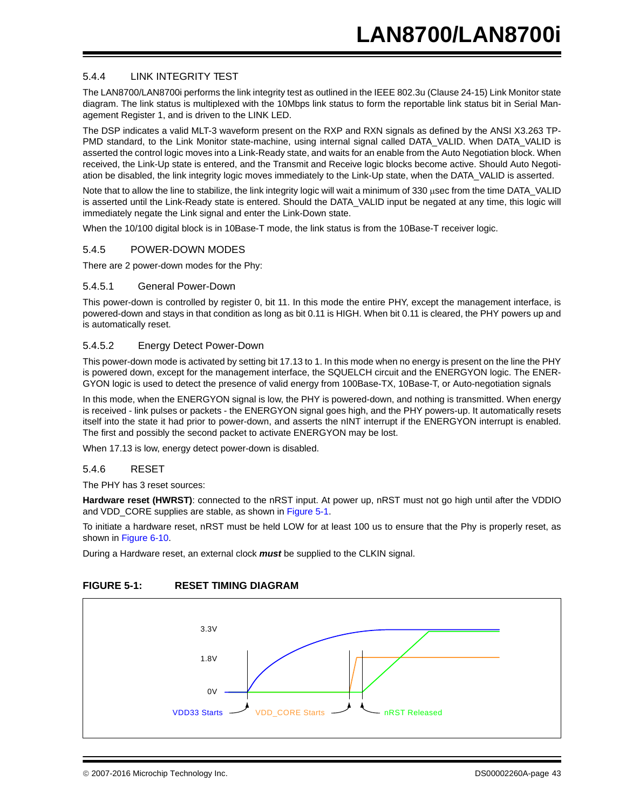#### 5.4.4 LINK INTEGRITY TEST

The LAN8700/LAN8700i performs the link integrity test as outlined in the IEEE 802.3u (Clause 24-15) Link Monitor state diagram. The link status is multiplexed with the 10Mbps link status to form the reportable link status bit in Serial Management Register 1, and is driven to the LINK LED.

The DSP indicates a valid MLT-3 waveform present on the RXP and RXN signals as defined by the ANSI X3.263 TP-PMD standard, to the Link Monitor state-machine, using internal signal called DATA\_VALID. When DATA\_VALID is asserted the control logic moves into a Link-Ready state, and waits for an enable from the Auto Negotiation block. When received, the Link-Up state is entered, and the Transmit and Receive logic blocks become active. Should Auto Negotiation be disabled, the link integrity logic moves immediately to the Link-Up state, when the DATA\_VALID is asserted.

Note that to allow the line to stabilize, the link integrity logic will wait a minimum of  $330\mu$ sec from the time DATA\_VALID is asserted until the Link-Ready state is entered. Should the DATA\_VALID input be negated at any time, this logic will immediately negate the Link signal and enter the Link-Down state.

When the 10/100 digital block is in 10Base-T mode, the link status is from the 10Base-T receiver logic.

#### <span id="page-42-2"></span>5.4.5 POWER-DOWN MODES

There are 2 power-down modes for the Phy:

#### 5.4.5.1 General Power-Down

This power-down is controlled by register 0, bit 11. In this mode the entire PHY, except the management interface, is powered-down and stays in that condition as long as bit 0.11 is HIGH. When bit 0.11 is cleared, the PHY powers up and is automatically reset.

#### <span id="page-42-0"></span>5.4.5.2 Energy Detect Power-Down

This power-down mode is activated by setting bit 17.13 to 1. In this mode when no energy is present on the line the PHY is powered down, except for the management interface, the SQUELCH circuit and the ENERGYON logic. The ENER-GYON logic is used to detect the presence of valid energy from 100Base-TX, 10Base-T, or Auto-negotiation signals

In this mode, when the ENERGYON signal is low, the PHY is powered-down, and nothing is transmitted. When energy is received - link pulses or packets - the ENERGYON signal goes high, and the PHY powers-up. It automatically resets itself into the state it had prior to power-down, and asserts the nINT interrupt if the ENERGYON interrupt is enabled. The first and possibly the second packet to activate ENERGYON may be lost.

When 17.13 is low, energy detect power-down is disabled.

#### <span id="page-42-3"></span>5.4.6 RESET

The PHY has 3 reset sources:

**Hardware reset (HWRST)**: connected to the nRST input. At power up, nRST must not go high until after the VDDIO and VDD\_CORE supplies are stable, as shown in [Figure 5-1.](#page-42-1)

To initiate a hardware reset, nRST must be held LOW for at least 100 us to ensure that the Phy is properly reset, as shown in [Figure 6-10.](#page-55-0)

During a Hardware reset, an external clock *must* be supplied to the CLKIN signal.



#### <span id="page-42-1"></span>**FIGURE 5-1: RESET TIMING DIAGRAM**

2007-2016 Microchip Technology Inc. DS00002260A-page 43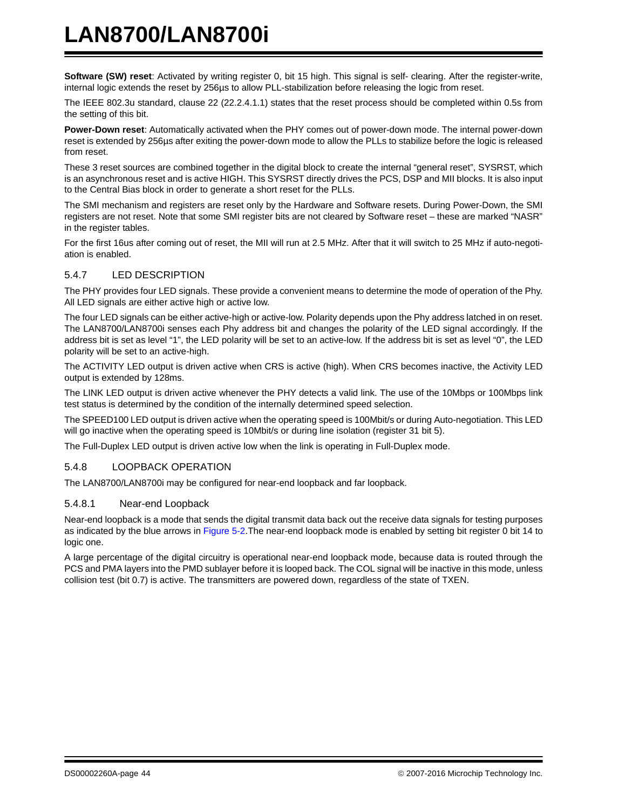# **LAN8700/LAN8700i**

**Software (SW) reset**: Activated by writing register 0, bit 15 high. This signal is self- clearing. After the register-write, internal logic extends the reset by 256µs to allow PLL-stabilization before releasing the logic from reset.

The IEEE 802.3u standard, clause 22 (22.2.4.1.1) states that the reset process should be completed within 0.5s from the setting of this bit.

**Power-Down reset**: Automatically activated when the PHY comes out of power-down mode. The internal power-down reset is extended by 256µs after exiting the power-down mode to allow the PLLs to stabilize before the logic is released from reset.

These 3 reset sources are combined together in the digital block to create the internal "general reset", SYSRST, which is an asynchronous reset and is active HIGH. This SYSRST directly drives the PCS, DSP and MII blocks. It is also input to the Central Bias block in order to generate a short reset for the PLLs.

The SMI mechanism and registers are reset only by the Hardware and Software resets. During Power-Down, the SMI registers are not reset. Note that some SMI register bits are not cleared by Software reset – these are marked "NASR" in the register tables.

For the first 16us after coming out of reset, the MII will run at 2.5 MHz. After that it will switch to 25 MHz if auto-negotiation is enabled.

## 5.4.7 LED DESCRIPTION

The PHY provides four LED signals. These provide a convenient means to determine the mode of operation of the Phy. All LED signals are either active high or active low.

The four LED signals can be either active-high or active-low. Polarity depends upon the Phy address latched in on reset. The LAN8700/LAN8700i senses each Phy address bit and changes the polarity of the LED signal accordingly. If the address bit is set as level "1", the LED polarity will be set to an active-low. If the address bit is set as level "0", the LED polarity will be set to an active-high.

The ACTIVITY LED output is driven active when CRS is active (high). When CRS becomes inactive, the Activity LED output is extended by 128ms.

The LINK LED output is driven active whenever the PHY detects a valid link. The use of the 10Mbps or 100Mbps link test status is determined by the condition of the internally determined speed selection.

The SPEED100 LED output is driven active when the operating speed is 100Mbit/s or during Auto-negotiation. This LED will go inactive when the operating speed is 10Mbit/s or during line isolation (register 31 bit 5).

The Full-Duplex LED output is driven active low when the link is operating in Full-Duplex mode.

## <span id="page-43-0"></span>5.4.8 LOOPBACK OPERATION

The LAN8700/LAN8700i may be configured for near-end loopback and far loopback.

#### 5.4.8.1 Near-end Loopback

Near-end loopback is a mode that sends the digital transmit data back out the receive data signals for testing purposes as indicated by the blue arrows in [Figure 5-2.](#page-44-0)The near-end loopback mode is enabled by setting bit register 0 bit 14 to logic one.

A large percentage of the digital circuitry is operational near-end loopback mode, because data is routed through the PCS and PMA layers into the PMD sublayer before it is looped back. The COL signal will be inactive in this mode, unless collision test (bit 0.7) is active. The transmitters are powered down, regardless of the state of TXEN.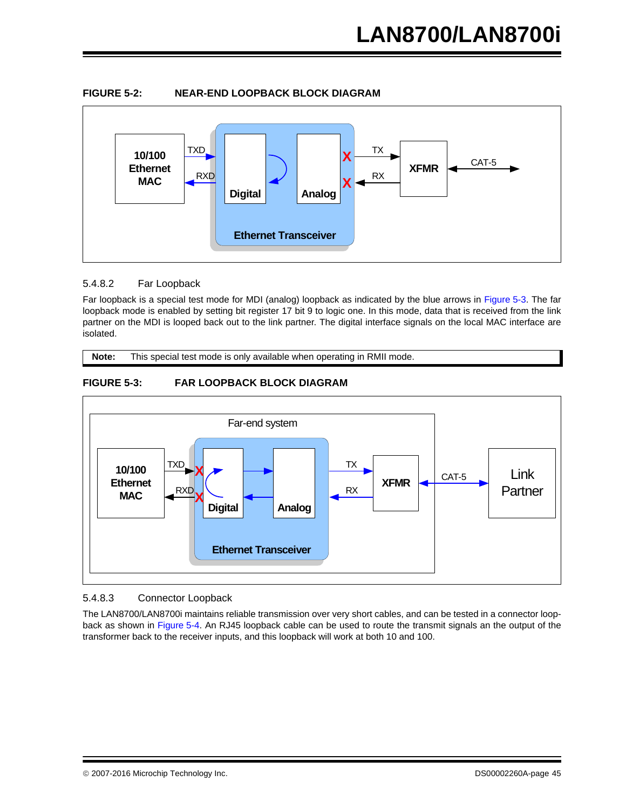## <span id="page-44-0"></span>**FIGURE 5-2: NEAR-END LOOPBACK BLOCK DIAGRAM**



## <span id="page-44-2"></span>5.4.8.2 Far Loopback

Far loopback is a special test mode for MDI (analog) loopback as indicated by the blue arrows in [Figure 5-3.](#page-44-1) The far loopback mode is enabled by setting bit register 17 bit 9 to logic one. In this mode, data that is received from the link partner on the MDI is looped back out to the link partner. The digital interface signals on the local MAC interface are isolated.

**Note:** This special test mode is only available when operating in RMII mode.

## <span id="page-44-1"></span>**FIGURE 5-3: FAR LOOPBACK BLOCK DIAGRAM**



## 5.4.8.3 Connector Loopback

The LAN8700/LAN8700i maintains reliable transmission over very short cables, and can be tested in a connector loopback as shown in [Figure 5-4](#page-45-2). An RJ45 loopback cable can be used to route the transmit signals an the output of the transformer back to the receiver inputs, and this loopback will work at both 10 and 100.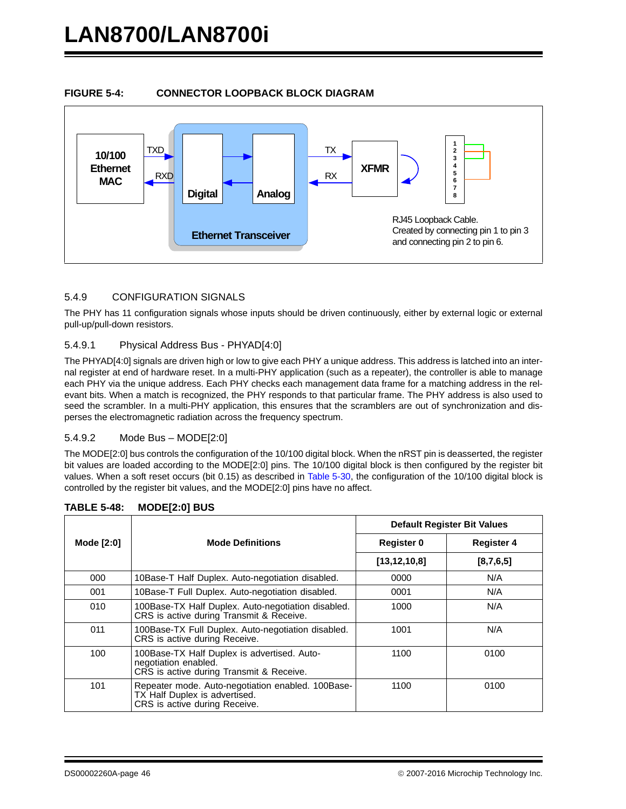<span id="page-45-2"></span>



## 5.4.9 CONFIGURATION SIGNALS

The PHY has 11 configuration signals whose inputs should be driven continuously, either by external logic or external pull-up/pull-down resistors.

## <span id="page-45-1"></span>5.4.9.1 Physical Address Bus - PHYAD[4:0]

The PHYAD[4:0] signals are driven high or low to give each PHY a unique address. This address is latched into an internal register at end of hardware reset. In a multi-PHY application (such as a repeater), the controller is able to manage each PHY via the unique address. Each PHY checks each management data frame for a matching address in the relevant bits. When a match is recognized, the PHY responds to that particular frame. The PHY address is also used to seed the scrambler. In a multi-PHY application, this ensures that the scramblers are out of synchronization and disperses the electromagnetic radiation across the frequency spectrum.

## <span id="page-45-4"></span><span id="page-45-0"></span>5.4.9.2 Mode Bus – MODE[2:0]

The MODE[2:0] bus controls the configuration of the 10/100 digital block. When the nRST pin is deasserted, the register bit values are loaded according to the MODE[2:0] pins. The 10/100 digital block is then configured by the register bit values. When a soft reset occurs (bit 0.15) as described in [Table 5-30](#page-34-0), the configuration of the 10/100 digital block is controlled by the register bit values, and the MODE[2:0] pins have no affect.

|            |                                                                                                                     | <b>Default Register Bit Values</b> |                   |  |  |
|------------|---------------------------------------------------------------------------------------------------------------------|------------------------------------|-------------------|--|--|
| Mode [2:0] | <b>Mode Definitions</b>                                                                                             | <b>Register 0</b>                  | <b>Register 4</b> |  |  |
|            |                                                                                                                     | [13, 12, 10, 8]                    | [8,7,6,5]         |  |  |
| 000        | 10Base-T Half Duplex. Auto-negotiation disabled.                                                                    | 0000                               | N/A               |  |  |
| 001        | 10Base-T Full Duplex. Auto-negotiation disabled.                                                                    | 0001                               | N/A               |  |  |
| 010        | 100Base-TX Half Duplex. Auto-negotiation disabled.<br>CRS is active during Transmit & Receive.                      | 1000                               | N/A               |  |  |
| 011        | 100Base-TX Full Duplex. Auto-negotiation disabled.<br>CRS is active during Receive.                                 | 1001                               | N/A               |  |  |
| 100        | 100Base-TX Half Duplex is advertised. Auto-<br>negotiation enabled.<br>CRS is active during Transmit & Receive.     | 1100                               | 0100              |  |  |
| 101        | Repeater mode. Auto-negotiation enabled. 100Base-<br>TX Half Duplex is advertised.<br>CRS is active during Receive. | 1100                               | 0100              |  |  |

#### <span id="page-45-3"></span>**TABLE 5-48: MODE[2:0] BUS**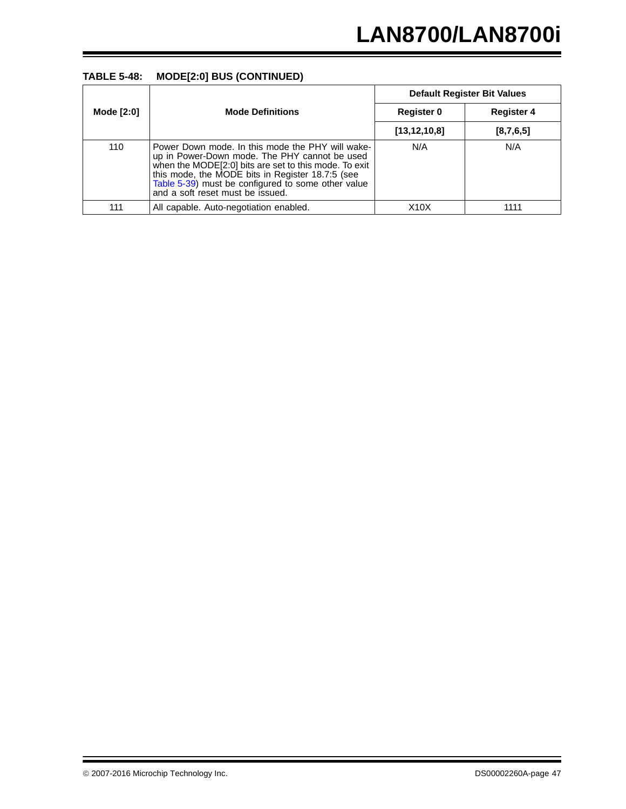# **TABLE 5-48: MODE[2:0] BUS (CONTINUED)**

|            |                                                                                                                                                                                                                                                                                                          | Default Register Bit Values |                   |  |  |
|------------|----------------------------------------------------------------------------------------------------------------------------------------------------------------------------------------------------------------------------------------------------------------------------------------------------------|-----------------------------|-------------------|--|--|
| Mode [2:0] | <b>Mode Definitions</b>                                                                                                                                                                                                                                                                                  | <b>Register 0</b>           | <b>Register 4</b> |  |  |
|            |                                                                                                                                                                                                                                                                                                          | [13, 12, 10, 8]             | [8,7,6,5]         |  |  |
| 110        | Power Down mode. In this mode the PHY will wake-<br>up in Power-Down mode. The PHY cannot be used<br>when the MODE[2:0] bits are set to this mode. To exit<br>this mode, the MODE bits in Register 18.7:5 (see<br>Table 5-39) must be configured to some other value<br>and a soft reset must be issued. | N/A                         | N/A               |  |  |
| 111        | All capable. Auto-negotiation enabled.                                                                                                                                                                                                                                                                   | X10X                        | 1111              |  |  |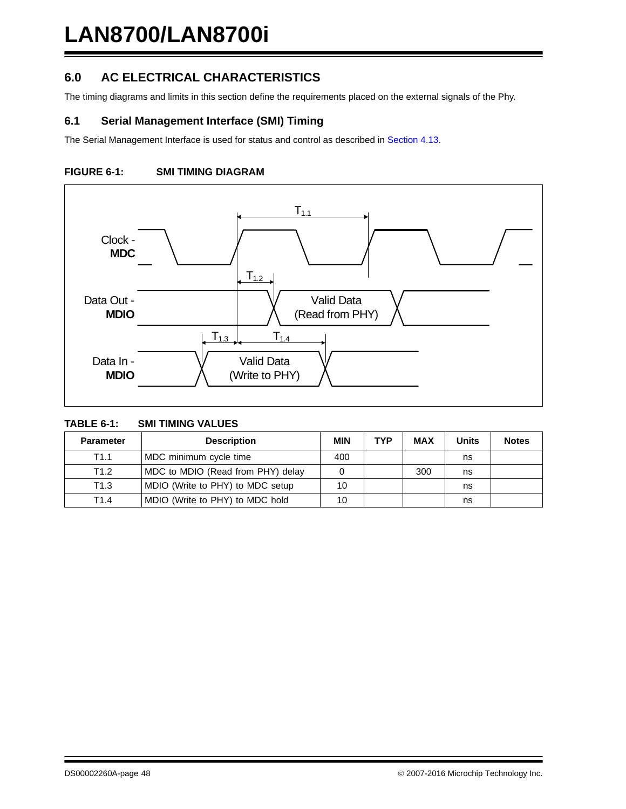# **6.0 AC ELECTRICAL CHARACTERISTICS**

The timing diagrams and limits in this section define the requirements placed on the external signals of the Phy.

## **6.1 Serial Management Interface (SMI) Timing**

The Serial Management Interface is used for status and control as described in [Section 4.13](#page-25-0).

## **FIGURE 6-1: SMI TIMING DIAGRAM**



## <span id="page-47-0"></span>**TABLE 6-1: SMI TIMING VALUES**

| <b>Parameter</b> | <b>Description</b>                | MIN | <b>TYP</b> | <b>MAX</b> | <b>Units</b> | <b>Notes</b> |
|------------------|-----------------------------------|-----|------------|------------|--------------|--------------|
| T1.1             | MDC minimum cycle time            | 400 |            |            | ns           |              |
| T1.2             | MDC to MDIO (Read from PHY) delay |     |            | 300        | ns           |              |
| T <sub>1.3</sub> | MDIO (Write to PHY) to MDC setup  | 10  |            |            | ns           |              |
| T1.4             | MDIO (Write to PHY) to MDC hold   | 10  |            |            | ns           |              |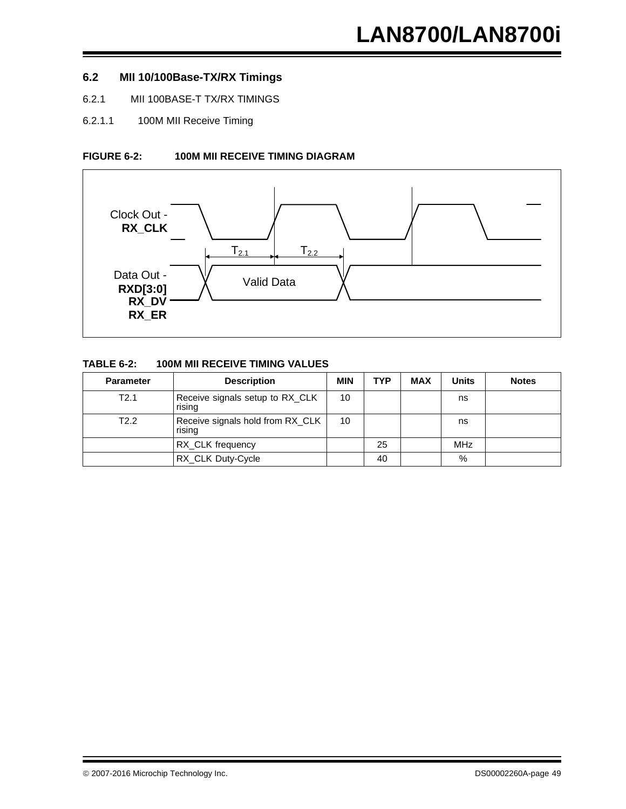# **6.2 MII 10/100Base-TX/RX Timings**

- 6.2.1 MII 100BASE-T TX/RX TIMINGS
- 6.2.1.1 100M MII Receive Timing

## **FIGURE 6-2: 100M MII RECEIVE TIMING DIAGRAM**



#### **TABLE 6-2: 100M MII RECEIVE TIMING VALUES**

| <b>Parameter</b> | <b>Description</b>                         | <b>MIN</b> | <b>TYP</b> | <b>MAX</b> | <b>Units</b> | <b>Notes</b> |
|------------------|--------------------------------------------|------------|------------|------------|--------------|--------------|
| T2.1             | Receive signals setup to RX_CLK<br>rising  | 10         |            |            | ns           |              |
| T2.2             | Receive signals hold from RX_CLK<br>rising | 10         |            |            | ns           |              |
|                  | RX_CLK frequency                           |            | 25         |            | <b>MHz</b>   |              |
|                  | RX_CLK Duty-Cycle                          |            | 40         |            | %            |              |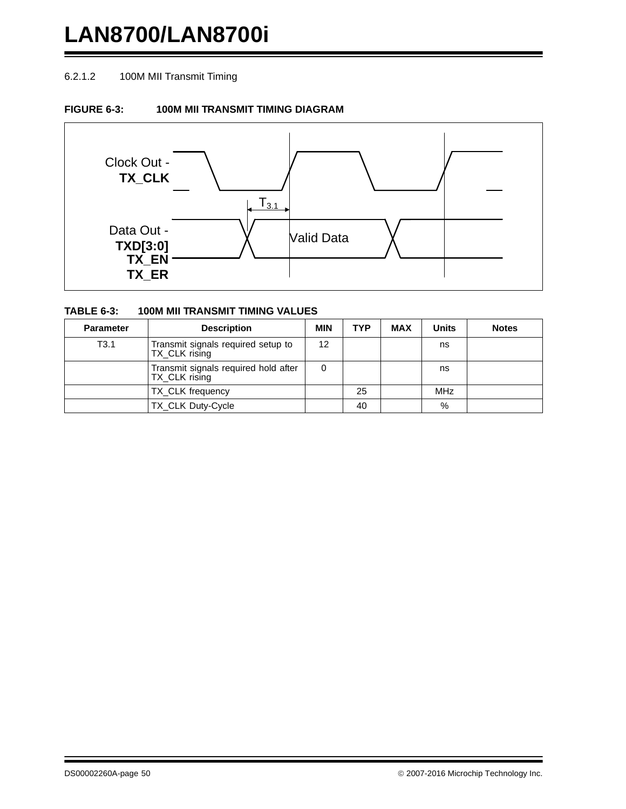# **LAN8700/LAN8700i**

# 6.2.1.2 100M MII Transmit Timing

## <span id="page-49-1"></span>**FIGURE 6-3: 100M MII TRANSMIT TIMING DIAGRAM**



<span id="page-49-0"></span>

| <b>TABLE 6-3:</b> | <b>100M MII TRANSMIT TIMING VALUES</b> |  |
|-------------------|----------------------------------------|--|
|                   |                                        |  |

| <b>Parameter</b> | <b>Description</b>                                    | <b>MIN</b> | <b>TYP</b> | <b>MAX</b> | <b>Units</b> | <b>Notes</b> |
|------------------|-------------------------------------------------------|------------|------------|------------|--------------|--------------|
| T <sub>3.1</sub> | Transmit signals required setup to<br>TX_CLK rising   | 12         |            |            | ns           |              |
|                  | Transmit signals required hold after<br>TX_CLK rising | 0          |            |            | ns           |              |
|                  | TX_CLK frequency                                      |            | 25         |            | <b>MHz</b>   |              |
|                  | TX_CLK Duty-Cycle                                     |            | 40         |            | %            |              |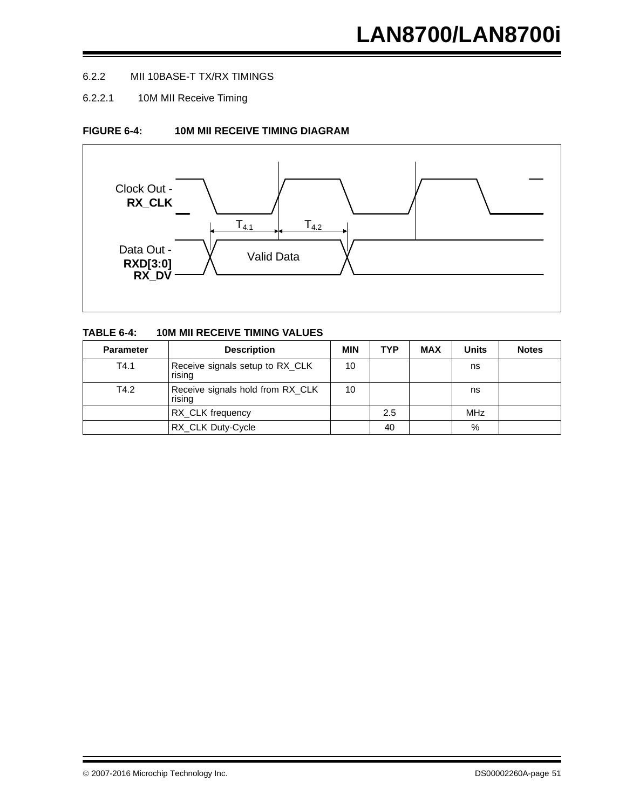## 6.2.2 MII 10BASE-T TX/RX TIMINGS

6.2.2.1 10M MII Receive Timing

## **FIGURE 6-4: 10M MII RECEIVE TIMING DIAGRAM**



<span id="page-50-0"></span>

|  | <b>TABLE 6-4:</b> | <b>10M MII RECEIVE TIMING VALUES</b> |
|--|-------------------|--------------------------------------|
|--|-------------------|--------------------------------------|

| <b>Parameter</b> | <b>Description</b>                         | <b>MIN</b> | TYP | <b>MAX</b> | <b>Units</b> | <b>Notes</b> |
|------------------|--------------------------------------------|------------|-----|------------|--------------|--------------|
| T4.1             | Receive signals setup to RX_CLK<br>rising  | 10         |     |            | ns           |              |
| T4.2             | Receive signals hold from RX_CLK<br>rising | 10         |     |            | ns           |              |
|                  | RX_CLK frequency                           |            | 2.5 |            | <b>MHz</b>   |              |
|                  | RX_CLK Duty-Cycle                          |            | 40  |            | %            |              |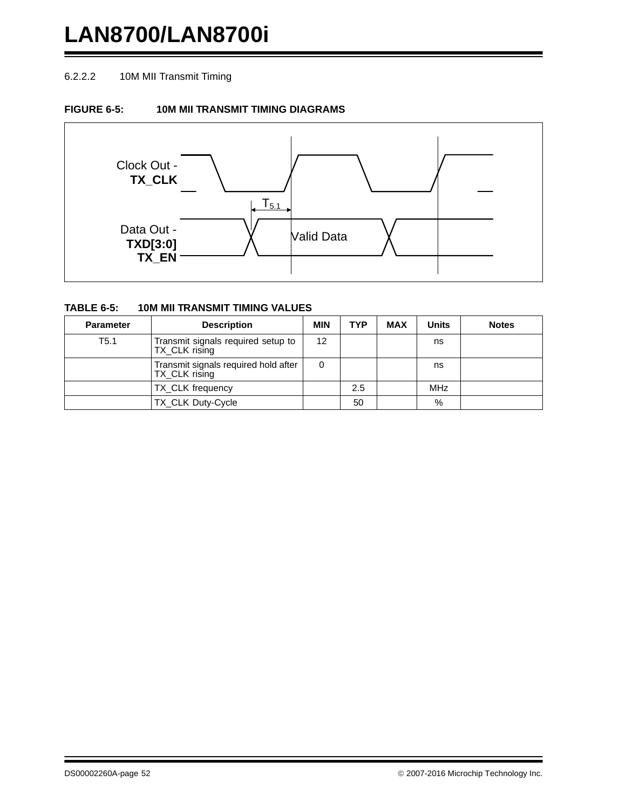# **LAN8700/LAN8700i**

## 6.2.2.2 10M MII Transmit Timing

## <span id="page-51-1"></span>**FIGURE 6-5: 10M MII TRANSMIT TIMING DIAGRAMS**



<span id="page-51-0"></span>

| <b>TABLE 6-5:</b> | <b>10M MII TRANSMIT TIMING VALUES</b> |  |
|-------------------|---------------------------------------|--|
|                   |                                       |  |

| <b>Parameter</b> | <b>Description</b>                                    | <b>MIN</b> | <b>TYP</b> | <b>MAX</b> | <b>Units</b> | <b>Notes</b> |
|------------------|-------------------------------------------------------|------------|------------|------------|--------------|--------------|
| T <sub>5.1</sub> | Transmit signals required setup to<br>TX CLK rising   | 12         |            |            | ns           |              |
|                  | Transmit signals required hold after<br>TX CLK rising | 0          |            |            | ns           |              |
|                  | TX_CLK frequency                                      |            | 2.5        |            | MHz          |              |
|                  | TX_CLK Duty-Cycle                                     |            | 50         |            | %            |              |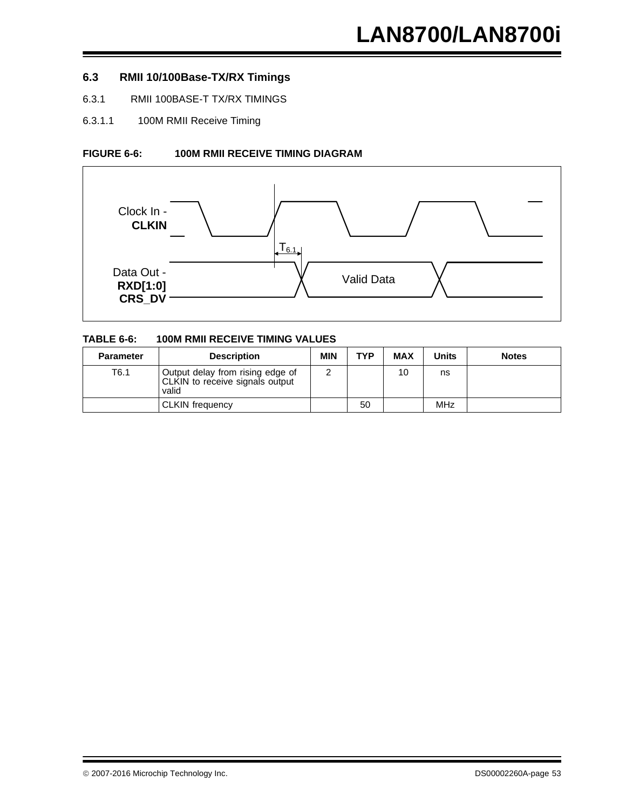# <span id="page-52-0"></span>**6.3 RMII 10/100Base-TX/RX Timings**

- 6.3.1 RMII 100BASE-T TX/RX TIMINGS
- 6.3.1.1 100M RMII Receive Timing

## **FIGURE 6-6: 100M RMII RECEIVE TIMING DIAGRAM**



#### <span id="page-52-1"></span>**TABLE 6-6: 100M RMII RECEIVE TIMING VALUES**

| <b>Parameter</b> | <b>Description</b>                                                           | <b>MIN</b> | <b>TYP</b> | <b>MAX</b> | <b>Units</b> | <b>Notes</b> |
|------------------|------------------------------------------------------------------------------|------------|------------|------------|--------------|--------------|
| T6.1             | Output delay from rising edge of<br>CLKIN to receive signals output<br>valid |            |            | 10         | ns           |              |
|                  | <b>CLKIN</b> frequency                                                       |            | 50         |            | MHz          |              |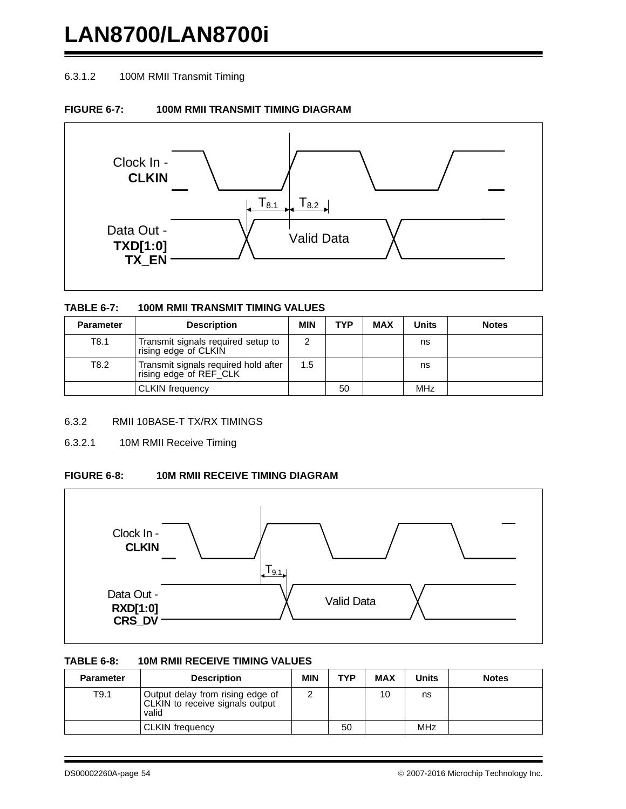# **LAN8700/LAN8700i**

# <span id="page-53-0"></span>6.3.1.2 100M RMII Transmit Timing





<span id="page-53-1"></span>

| <b>TABLE 6-7:</b> | <b>100M RMII TRANSMIT TIMING VALUES</b> |  |
|-------------------|-----------------------------------------|--|
|                   |                                         |  |

| <b>Parameter</b> | <b>Description</b>                                             | <b>MIN</b> | <b>TYP</b> | <b>MAX</b> | Units      | <b>Notes</b> |
|------------------|----------------------------------------------------------------|------------|------------|------------|------------|--------------|
| T8.1             | Transmit signals required setup to<br>rising edge of CLKIN     | 2          |            |            | ns         |              |
| T8.2             | Transmit signals required hold after<br>rising edge of REF CLK | 1.5        |            |            | ns         |              |
|                  | <b>CLKIN</b> frequency                                         |            | 50         |            | <b>MHz</b> |              |

## 6.3.2 RMII 10BASE-T TX/RX TIMINGS

6.3.2.1 10M RMII Receive Timing

## **FIGURE 6-8: 10M RMII RECEIVE TIMING DIAGRAM**



| <b>10M RMII RECEIVE TIMING VALUES</b><br><b>TABLE 6-8:</b> |
|------------------------------------------------------------|
|------------------------------------------------------------|

| <b>Parameter</b> | <b>Description</b>                                                           | <b>MIN</b> | <b>TYP</b> | <b>MAX</b> | <b>Units</b> | <b>Notes</b> |
|------------------|------------------------------------------------------------------------------|------------|------------|------------|--------------|--------------|
| T9.1             | Output delay from rising edge of<br>CLKIN to receive signals output<br>valid |            |            | 10         | ns           |              |
|                  | CLKIN frequency                                                              |            | 50         |            | MHz          |              |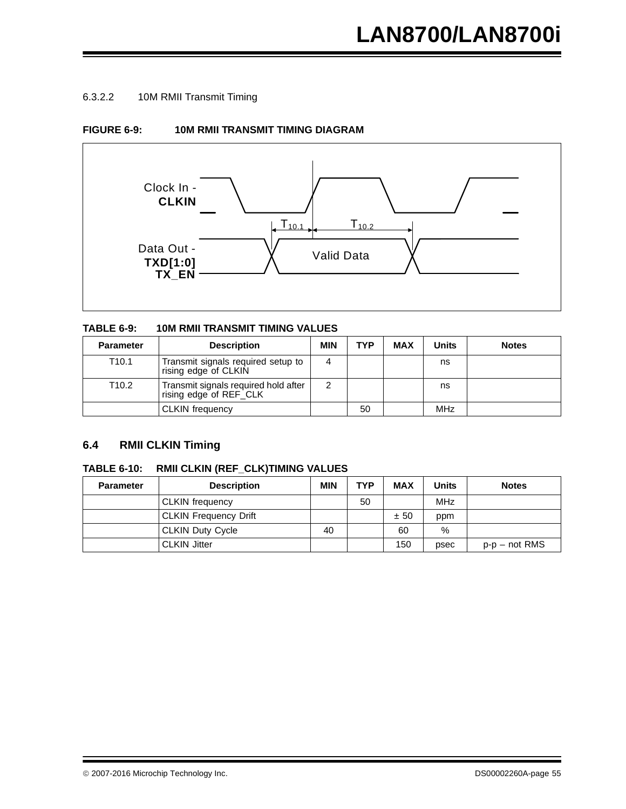## 6.3.2.2 10M RMII Transmit Timing

## **FIGURE 6-9: 10M RMII TRANSMIT TIMING DIAGRAM**



<span id="page-54-0"></span>

| <b>TABLE 6-9:</b> | <b>10M RMII TRANSMIT TIMING VALUES</b> |  |
|-------------------|----------------------------------------|--|
|                   |                                        |  |

| <b>Parameter</b>  | <b>Description</b>                                             | <b>MIN</b> | <b>TYP</b> | <b>MAX</b> | <b>Units</b> | <b>Notes</b> |
|-------------------|----------------------------------------------------------------|------------|------------|------------|--------------|--------------|
| T <sub>10.1</sub> | Transmit signals required setup to<br>rising edge of CLKIN     | 4          |            |            | ns           |              |
| T10.2             | Transmit signals required hold after<br>rising edge of REF_CLK | 2          |            |            | ns           |              |
|                   | <b>CLKIN</b> frequency                                         |            | 50         |            | <b>MHz</b>   |              |

## **6.4 RMII CLKIN Timing**

## **TABLE 6-10: RMII CLKIN (REF\_CLK)TIMING VALUES**

| <b>Parameter</b> | <b>Description</b>           | <b>MIN</b> | <b>TYP</b> | <b>MAX</b> | <b>Units</b> | <b>Notes</b>    |
|------------------|------------------------------|------------|------------|------------|--------------|-----------------|
|                  | CLKIN frequency              |            | 50         |            | MHz          |                 |
|                  | <b>CLKIN Frequency Drift</b> |            |            | ± 50       | ppm          |                 |
|                  | <b>CLKIN Duty Cycle</b>      | 40         |            | 60         | $\%$         |                 |
|                  | <b>CLKIN Jitter</b>          |            |            | 150        | psec         | $p-p - not RMS$ |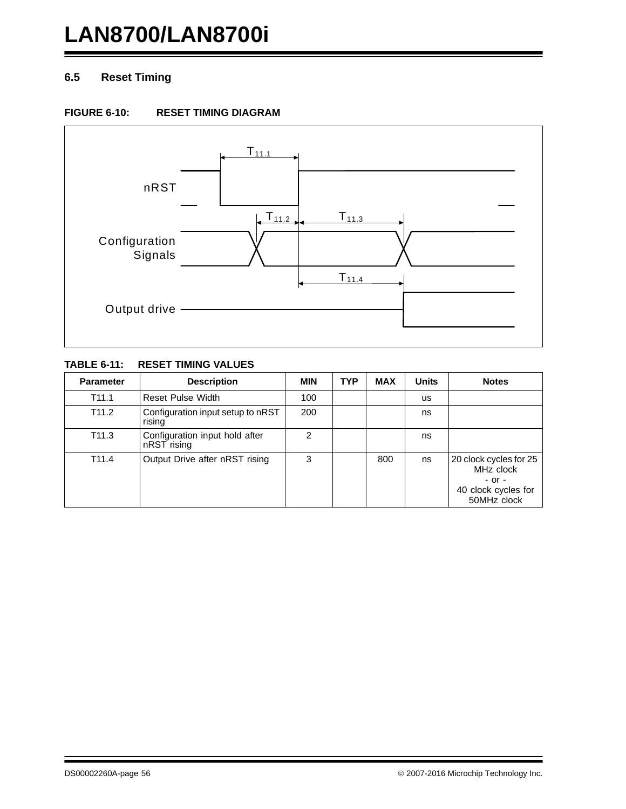# **LAN8700/LAN8700i**

# <span id="page-55-1"></span>**6.5 Reset Timing**

## <span id="page-55-0"></span>**FIGURE 6-10: RESET TIMING DIAGRAM**



## <span id="page-55-2"></span>**TABLE 6-11: RESET TIMING VALUES**

| <b>Parameter</b>  | <b>Description</b>                            | <b>MIN</b> | <b>TYP</b> | <b>MAX</b> | <b>Units</b> | <b>Notes</b>                                                                            |
|-------------------|-----------------------------------------------|------------|------------|------------|--------------|-----------------------------------------------------------------------------------------|
| T11.1             | <b>Reset Pulse Width</b>                      | 100        |            |            | us           |                                                                                         |
| T <sub>11.2</sub> | Configuration input setup to nRST<br>rising   | 200        |            |            | ns           |                                                                                         |
| T <sub>11.3</sub> | Configuration input hold after<br>nRST rising | 2          |            |            | ns           |                                                                                         |
| T <sub>11.4</sub> | Output Drive after nRST rising                | 3          |            | 800        | ns           | 20 clock cycles for 25<br>MHz clock<br>$-$ or $-$<br>40 clock cycles for<br>50MHz clock |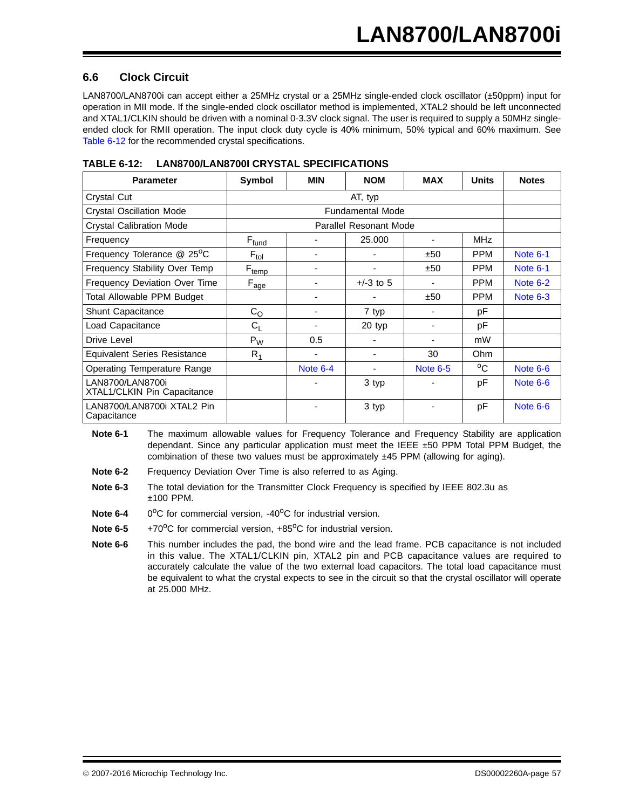## <span id="page-56-7"></span>**6.6 Clock Circuit**

LAN8700/LAN8700i can accept either a 25MHz crystal or a 25MHz single-ended clock oscillator (±50ppm) input for operation in MII mode. If the single-ended clock oscillator method is implemented, XTAL2 should be left unconnected and XTAL1/CLKIN should be driven with a nominal 0-3.3V clock signal. The user is required to supply a 50MHz singleended clock for RMII operation. The input clock duty cycle is 40% minimum, 50% typical and 60% maximum. See [Table 6-12](#page-56-0) for the recommended crystal specifications.

| <b>Parameter</b>                                | Symbol                     | <b>MIN</b>               | <b>NOM</b>              | <b>MAX</b>      | <b>Units</b> | <b>Notes</b>    |
|-------------------------------------------------|----------------------------|--------------------------|-------------------------|-----------------|--------------|-----------------|
| Crystal Cut                                     |                            |                          | AT, typ                 |                 |              |                 |
| <b>Crystal Oscillation Mode</b>                 |                            |                          | <b>Fundamental Mode</b> |                 |              |                 |
| <b>Crystal Calibration Mode</b>                 |                            |                          | Parallel Resonant Mode  |                 |              |                 |
| Frequency                                       | $F_{fund}$                 | ٠                        | 25,000                  | $\blacksquare$  | <b>MHz</b>   |                 |
| Frequency Tolerance @ 25 <sup>o</sup> C         | $F_{tol}$                  | ٠                        |                         | ±50             | <b>PPM</b>   | <b>Note 6-1</b> |
| Frequency Stability Over Temp                   | $\mathsf{F}_{\text{temp}}$ | ٠                        |                         | ±50             | <b>PPM</b>   | <b>Note 6-1</b> |
| Frequency Deviation Over Time                   | $F_{age}$                  | ٠                        | $+/-3$ to 5             |                 | <b>PPM</b>   | <b>Note 6-2</b> |
| Total Allowable PPM Budget                      |                            | ٠                        |                         | ±50             | <b>PPM</b>   | <b>Note 6-3</b> |
| Shunt Capacitance                               | $C_{\rm O}$                | -                        | 7 typ                   | ٠               | рF           |                 |
| Load Capacitance                                | $C_{L}$                    | $\overline{\phantom{a}}$ | 20 typ                  | ٠               | рF           |                 |
| Drive Level                                     | $P_W$                      | 0.5                      |                         | ٠               | mW           |                 |
| <b>Equivalent Series Resistance</b>             | $R_1$                      | ٠                        | $\blacksquare$          | 30              | Ohm          |                 |
| <b>Operating Temperature Range</b>              |                            | Note $6-4$               |                         | <b>Note 6-5</b> | $^{\circ}$ C | <b>Note 6-6</b> |
| LAN8700/LAN8700i<br>XTAL1/CLKIN Pin Capacitance |                            | ٠                        | 3 typ                   |                 | рF           | Note 6-6        |
| LAN8700/LAN8700i XTAL2 Pin<br>Capacitance       |                            |                          | 3 typ                   |                 | рF           | Note $6-6$      |

<span id="page-56-0"></span>**TABLE 6-12: LAN8700/LAN8700I CRYSTAL SPECIFICATIONS**

<span id="page-56-1"></span>**Note 6-1** The maximum allowable values for Frequency Tolerance and Frequency Stability are application dependant. Since any particular application must meet the IEEE ±50 PPM Total PPM Budget, the combination of these two values must be approximately ±45 PPM (allowing for aging).

- <span id="page-56-2"></span>**Note 6-2** Frequency Deviation Over Time is also referred to as Aging.
- <span id="page-56-3"></span>**Note 6-3** The total deviation for the Transmitter Clock Frequency is specified by IEEE 802.3u as ±100 PPM.
- <span id="page-56-4"></span>**Note 6-4** 0<sup>o</sup>C for commercial version, -40<sup>o</sup>C for industrial version.
- <span id="page-56-5"></span>Note 6-5 +70<sup>o</sup>C for commercial version, +85<sup>o</sup>C for industrial version.

<span id="page-56-6"></span>**Note 6-6** This number includes the pad, the bond wire and the lead frame. PCB capacitance is not included in this value. The XTAL1/CLKIN pin, XTAL2 pin and PCB capacitance values are required to accurately calculate the value of the two external load capacitors. The total load capacitance must be equivalent to what the crystal expects to see in the circuit so that the crystal oscillator will operate at 25.000 MHz.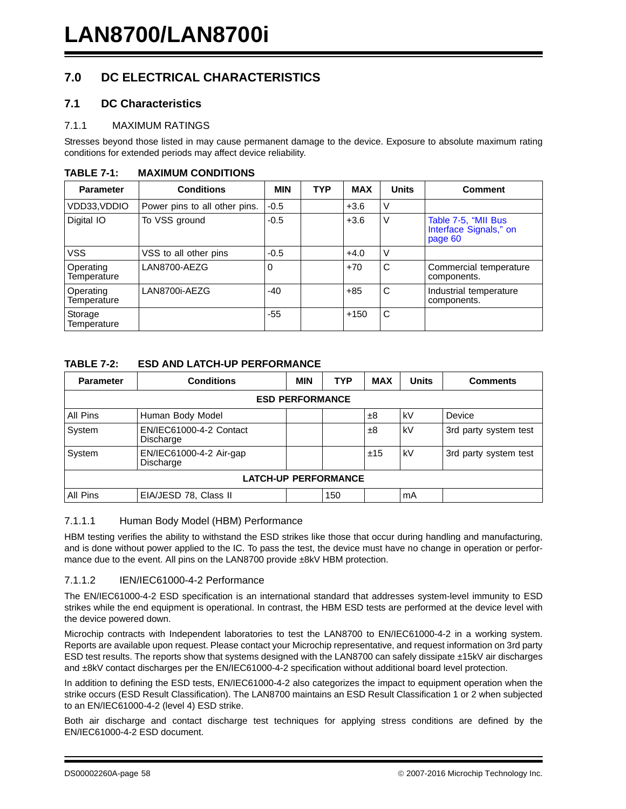# **7.0 DC ELECTRICAL CHARACTERISTICS**

## **7.1 DC Characteristics**

#### 7.1.1 MAXIMUM RATINGS

Stresses beyond those listed in may cause permanent damage to the device. Exposure to absolute maximum rating conditions for extended periods may affect device reliability.

| <b>Parameter</b>         | <b>Conditions</b>             | <b>MIN</b> | <b>TYP</b> | <b>MAX</b> | <b>Units</b> | <b>Comment</b>                                           |
|--------------------------|-------------------------------|------------|------------|------------|--------------|----------------------------------------------------------|
| VDD33, VDDIO             | Power pins to all other pins. | $-0.5$     |            | $+3.6$     | ٧            |                                                          |
| Digital IO               | To VSS ground                 | $-0.5$     |            | $+3.6$     | V            | Table 7-5, "MII Bus<br>Interface Signals," on<br>page 60 |
| <b>VSS</b>               | VSS to all other pins         | $-0.5$     |            | $+4.0$     | ٧            |                                                          |
| Operating<br>Temperature | LAN8700-AEZG                  | 0          |            | $+70$      | C            | Commercial temperature<br>components.                    |
| Operating<br>Temperature | LAN8700i-AEZG                 | -40        |            | $+85$      | C            | Industrial temperature<br>components.                    |
| Storage<br>Temperature   |                               | $-55$      |            | $+150$     | C            |                                                          |

#### **TABLE 7-1: MAXIMUM CONDITIONS**

#### **TABLE 7-2: ESD AND LATCH-UP PERFORMANCE**

| <b>Parameter</b>            | <b>Conditions</b>                    | <b>MIN</b> | <b>TYP</b> | <b>MAX</b> | <b>Units</b> | <b>Comments</b>       |  |
|-----------------------------|--------------------------------------|------------|------------|------------|--------------|-----------------------|--|
| <b>ESD PERFORMANCE</b>      |                                      |            |            |            |              |                       |  |
| All Pins                    | Human Body Model                     |            |            | ±8         | kV           | Device                |  |
| System                      | EN/IEC61000-4-2 Contact<br>Discharge |            |            | ±8         | kV           | 3rd party system test |  |
| System                      | EN/IEC61000-4-2 Air-gap<br>Discharge |            |            | ±15        | kV           | 3rd party system test |  |
| <b>LATCH-UP PERFORMANCE</b> |                                      |            |            |            |              |                       |  |
| All Pins                    | EIA/JESD 78, Class II                |            | 150        |            | mA           |                       |  |

#### 7.1.1.1 Human Body Model (HBM) Performance

HBM testing verifies the ability to withstand the ESD strikes like those that occur during handling and manufacturing, and is done without power applied to the IC. To pass the test, the device must have no change in operation or performance due to the event. All pins on the LAN8700 provide ±8kV HBM protection.

#### 7.1.1.2 IEN/IEC61000-4-2 Performance

The EN/IEC61000-4-2 ESD specification is an international standard that addresses system-level immunity to ESD strikes while the end equipment is operational. In contrast, the HBM ESD tests are performed at the device level with the device powered down.

Microchip contracts with Independent laboratories to test the LAN8700 to EN/IEC61000-4-2 in a working system. Reports are available upon request. Please contact your Microchip representative, and request information on 3rd party ESD test results. The reports show that systems designed with the LAN8700 can safely dissipate ±15kV air discharges and ±8kV contact discharges per the EN/IEC61000-4-2 specification without additional board level protection.

In addition to defining the ESD tests, EN/IEC61000-4-2 also categorizes the impact to equipment operation when the strike occurs (ESD Result Classification). The LAN8700 maintains an ESD Result Classification 1 or 2 when subjected to an EN/IEC61000-4-2 (level 4) ESD strike.

Both air discharge and contact discharge test techniques for applying stress conditions are defined by the EN/IEC61000-4-2 ESD document.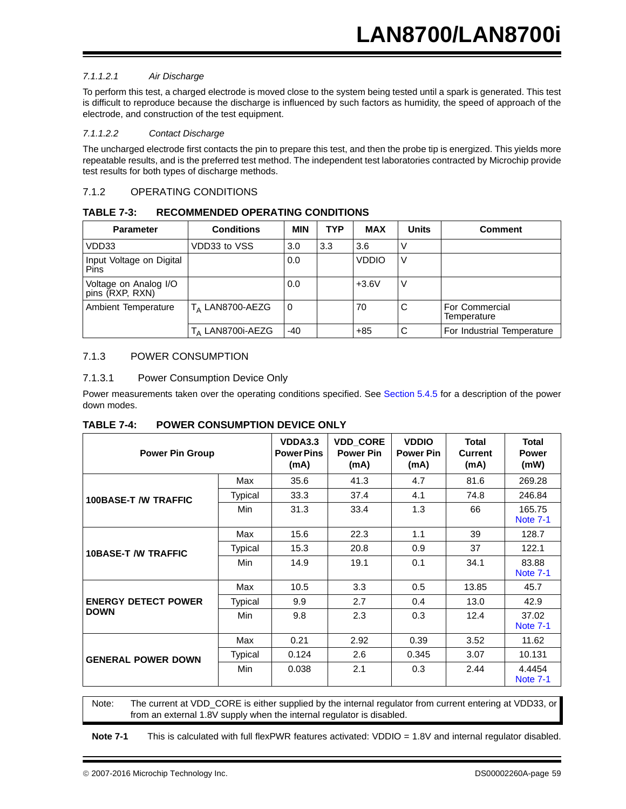#### *7.1.1.2.1 Air Discharge*

To perform this test, a charged electrode is moved close to the system being tested until a spark is generated. This test is difficult to reproduce because the discharge is influenced by such factors as humidity, the speed of approach of the electrode, and construction of the test equipment.

#### *7.1.1.2.2 Contact Discharge*

The uncharged electrode first contacts the pin to prepare this test, and then the probe tip is energized. This yields more repeatable results, and is the preferred test method. The independent test laboratories contracted by Microchip provide test results for both types of discharge methods.

#### 7.1.2 OPERATING CONDITIONS

#### **TABLE 7-3: RECOMMENDED OPERATING CONDITIONS**

| <b>Parameter</b>                         | <b>Conditions</b>            | <b>MIN</b> | <b>TYP</b> | <b>MAX</b>   | <b>Units</b> | <b>Comment</b>                |
|------------------------------------------|------------------------------|------------|------------|--------------|--------------|-------------------------------|
| VDD33                                    | VDD33 to VSS                 | 3.0        | 3.3        | 3.6          | ν            |                               |
| Input Voltage on Digital<br>Pins         |                              | 0.0        |            | <b>VDDIO</b> | ν            |                               |
| Voltage on Analog I/O<br>pins (RXP, RXN) |                              | 0.0        |            | $+3.6V$      | ν            |                               |
| Ambient Temperature                      | $T_A$ LAN8700-AEZG           | <b>0</b>   |            | 70           | C            | For Commercial<br>Temperature |
|                                          | T <sub>A</sub> LAN8700i-AEZG | $-40$      |            | $+85$        | C            | For Industrial Temperature    |

#### 7.1.3 POWER CONSUMPTION

#### 7.1.3.1 Power Consumption Device Only

Power measurements taken over the operating conditions specified. See [Section 5.4.5](#page-42-2) for a description of the power down modes.

#### <span id="page-58-1"></span>**TABLE 7-4: POWER CONSUMPTION DEVICE ONLY**

| <b>Power Pin Group</b>      |         | VDDA3.3<br><b>Power Pins</b><br>(mA) | <b>VDD_CORE</b><br><b>Power Pin</b><br>(mA) | <b>VDDIO</b><br><b>Power Pin</b><br>(mA) | Total<br><b>Current</b><br>(mA) | <b>Total</b><br><b>Power</b><br>(mW) |
|-----------------------------|---------|--------------------------------------|---------------------------------------------|------------------------------------------|---------------------------------|--------------------------------------|
|                             | Max     | 35.6                                 | 41.3                                        | 4.7                                      | 81.6                            | 269.28                               |
| <b>100BASE-T /W TRAFFIC</b> | Typical | 33.3                                 | 37.4                                        | 4.1                                      | 74.8                            | 246.84                               |
|                             | Min     | 31.3                                 | 33.4                                        | 1.3                                      | 66                              | 165.75<br><b>Note 7-1</b>            |
|                             | Max     | 15.6                                 | 22.3                                        | 1.1                                      | 39                              | 128.7                                |
| <b>10BASE-T /W TRAFFIC</b>  | Typical | 15.3                                 | 20.8                                        | 0.9                                      | 37                              | 122.1                                |
|                             | Min     | 14.9                                 | 19.1                                        | 0.1                                      | 34.1                            | 83.88<br><b>Note 7-1</b>             |
|                             | Max     | 10.5                                 | 3.3                                         | 0.5                                      | 13.85                           | 45.7                                 |
| <b>ENERGY DETECT POWER</b>  | Typical | 9.9                                  | 2.7                                         | 0.4                                      | 13.0                            | 42.9                                 |
| <b>DOWN</b>                 | Min     | 9.8                                  | 2.3                                         | 0.3                                      | 12.4                            | 37.02<br><b>Note 7-1</b>             |
|                             | Max     | 0.21                                 | 2.92                                        | 0.39                                     | 3.52                            | 11.62                                |
| <b>GENERAL POWER DOWN</b>   | Typical | 0.124                                | 2.6                                         | 0.345                                    | 3.07                            | 10.131                               |
|                             | Min     | 0.038                                | 2.1                                         | 0.3                                      | 2.44                            | 4.4454<br><b>Note 7-1</b>            |

Note: The current at VDD\_CORE is either supplied by the internal regulator from current entering at VDD33, or from an external 1.8V supply when the internal regulator is disabled.

<span id="page-58-0"></span>**Note 7-1** This is calculated with full flexPWR features activated: VDDIO = 1.8V and internal regulator disabled.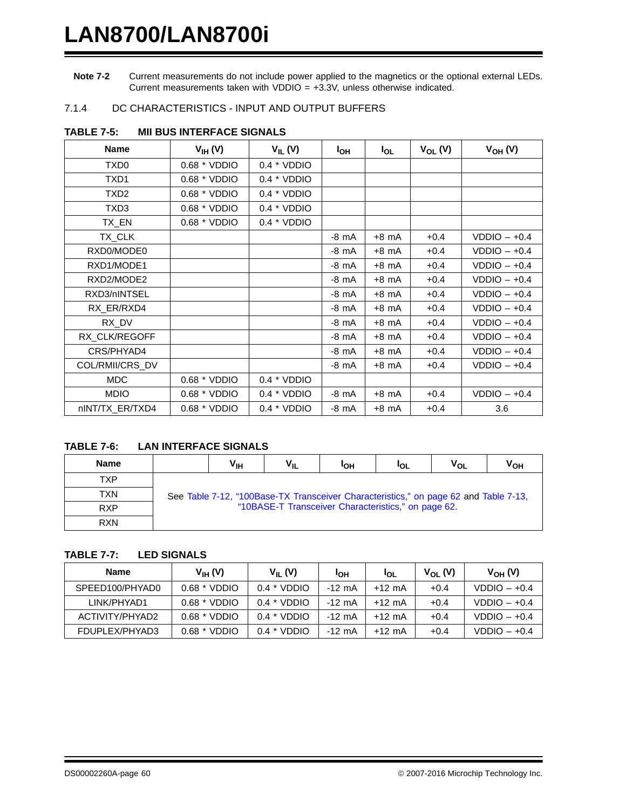# **LAN8700/LAN8700i**

<span id="page-59-1"></span>**Note 7-2** Current measurements do not include power applied to the magnetics or the optional external LEDs. Current measurements taken with VDDIO = +3.3V, unless otherwise indicated.

#### 7.1.4 DC CHARACTERISTICS - INPUT AND OUTPUT BUFFERS

| <b>Name</b>      | $V_{IH} (V)$   | $V_{IL}$ (V)  | $I_{OH}$ | $I_{OL}$ | $V_{OL} (V)$ | $V_{OH} (V)$   |
|------------------|----------------|---------------|----------|----------|--------------|----------------|
| TXD <sub>0</sub> | $0.68 * VDDIO$ | 0.4 * VDDIO   |          |          |              |                |
| TXD1             | 0.68 * VDDIO   | $0.4 * VDDIO$ |          |          |              |                |
| TXD <sub>2</sub> | $0.68 * VDDIO$ | $0.4 * VDDIO$ |          |          |              |                |
| TXD3             | 0.68 * VDDIO   | 0.4 * VDDIO   |          |          |              |                |
| TX EN            | 0.68 * VDDIO   | $0.4 * VDDIO$ |          |          |              |                |
| TX_CLK           |                |               | -8 mA    | $+8$ mA  | $+0.4$       | $VDDIO - +0.4$ |
| RXD0/MODE0       |                |               | -8 mA    | $+8$ mA  | $+0.4$       | $VDDIO - +0.4$ |
| RXD1/MODE1       |                |               | $-8$ mA  | $+8$ mA  | $+0.4$       | $VDDIO - +0.4$ |
| RXD2/MODE2       |                |               | -8 mA    | $+8$ mA  | $+0.4$       | $VDDIO - +0.4$ |
| RXD3/nINTSEL     |                |               | $-8$ mA  | $+8$ mA  | $+0.4$       | $VDDIO - +0.4$ |
| RX_ER/RXD4       |                |               | $-8$ mA  | $+8$ mA  | $+0.4$       | $VDDIO - +0.4$ |
| RX_DV            |                |               | $-8$ mA  | $+8$ mA  | $+0.4$       | $VDDIO - +0.4$ |
| RX_CLK/REGOFF    |                |               | $-8$ mA  | $+8$ mA  | $+0.4$       | $VDDIO - +0.4$ |
| CRS/PHYAD4       |                |               | $-8$ mA  | $+8$ mA  | $+0.4$       | $VDDIO - +0.4$ |
| COL/RMII/CRS_DV  |                |               | $-8$ mA  | $+8$ mA  | $+0.4$       | $VDDIO - +0.4$ |
| MDC.             | 0.68 * VDDIO   | $0.4 * VDDIO$ |          |          |              |                |
| <b>MDIO</b>      | 0.68 * VDDIO   | 0.4 * VDDIO   | $-8$ mA  | $+8$ mA  | $+0.4$       | $VDDIO - +0.4$ |
| nINT/TX ER/TXD4  | $0.68 * VDDIO$ | $0.4 * VDDIO$ | $-8$ mA  | $+8$ mA  | $+0.4$       | 3.6            |

## <span id="page-59-0"></span>**TABLE 7-5: MII BUS INTERFACE SIGNALS**

#### **TABLE 7-6: LAN INTERFACE SIGNALS**

| <b>Name</b> |  | $V_{\text{IH}}$                                                                                                                             | $V_{IL}$ | ווסי | וסי | $V_{OL}$ | ۷он |  |  |  |
|-------------|--|---------------------------------------------------------------------------------------------------------------------------------------------|----------|------|-----|----------|-----|--|--|--|
| TXP         |  |                                                                                                                                             |          |      |     |          |     |  |  |  |
| TXN         |  | See Table 7-12, "100Base-TX Transceiver Characteristics," on page 62 and Table 7-13,<br>"10BASE-T Transceiver Characteristics," on page 62. |          |      |     |          |     |  |  |  |
| <b>RXP</b>  |  |                                                                                                                                             |          |      |     |          |     |  |  |  |
| <b>RXN</b>  |  |                                                                                                                                             |          |      |     |          |     |  |  |  |

## **TABLE 7-7: LED SIGNALS**

| <b>Name</b>     | $V_{IH} (V)$   | $V_{II}$ (V)  | י∩ו      | <b>I</b> OL | $V_{OL} (V)$ | $V_{OH} (V)$   |
|-----------------|----------------|---------------|----------|-------------|--------------|----------------|
| SPEED100/PHYAD0 | $0.68 * VDDIO$ | $0.4 * VDDIO$ | $-12$ mA | $+12$ mA    | $+0.4$       | $VDDIO - +0.4$ |
| LINK/PHYAD1     | $0.68 * VDDIO$ | $0.4$ * VDDIO | $-12$ mA | $+12$ mA    | $+0.4$       | $VDDIO - +0.4$ |
| ACTIVITY/PHYAD2 | $0.68 * VDDIO$ | $0.4 * VDDIO$ | $-12$ mA | $+12$ mA    | $+0.4$       | $VDDIO - +0.4$ |
| FDUPLEX/PHYAD3  | $0.68 * VDDIO$ | $0.4 * VDDIO$ | $-12$ mA | $+12$ mA    | $+0.4$       | $VDDIO - +0.4$ |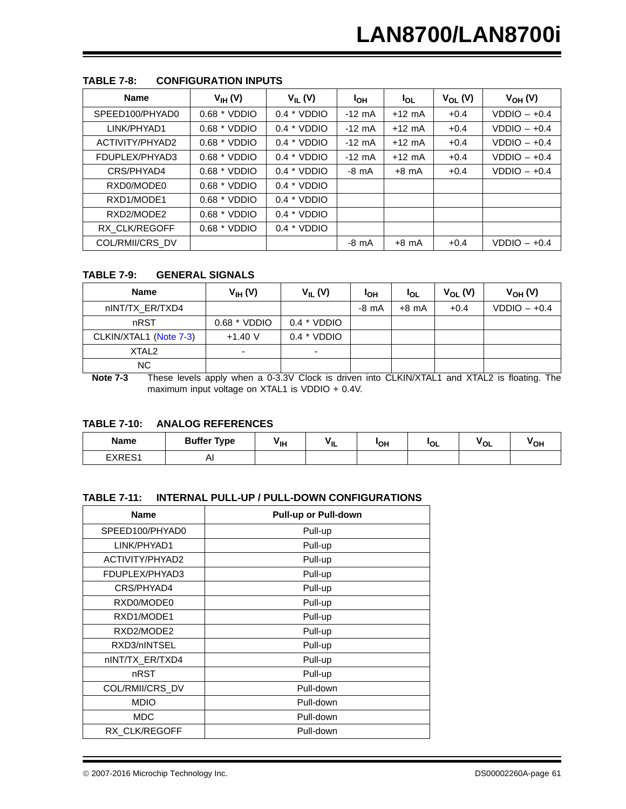| <b>Name</b>     | $V_{IH} (V)$   | $V_{IL} (V)$  | <b>I<sub>OH</sub></b> | <b>I</b> OL | $V_{OL} (V)$ | $V_{OH} (V)$   |
|-----------------|----------------|---------------|-----------------------|-------------|--------------|----------------|
| SPEED100/PHYAD0 | $0.68 * VDDIO$ | $0.4 * VDDIO$ | $-12$ mA              | $+12$ mA    | $+0.4$       | $VDDIO - +0.4$ |
| LINK/PHYAD1     | $0.68 * VDDIO$ | $0.4 * VDDIO$ | $-12$ mA              | $+12$ mA    | $+0.4$       | $VDDO - +0.4$  |
| ACTIVITY/PHYAD2 | 0.68 * VDDIO   | $0.4 * VDDIO$ | $-12$ mA              | $+12$ mA    | $+0.4$       | $VDDIO - +0.4$ |
| FDUPLEX/PHYAD3  | $0.68 * VDDIO$ | $0.4 * VDDIO$ | $-12$ mA              | $+12$ mA    | $+0.4$       | $VDDO - +0.4$  |
| CRS/PHYAD4      | $0.68 * VDDIO$ | $0.4 * VDDIO$ | $-8$ mA               | $+8$ mA     | $+0.4$       | $VDDIO - +0.4$ |
| RXD0/MODE0      | $0.68 * VDDIO$ | $0.4 * VDDIO$ |                       |             |              |                |
| RXD1/MODE1      | $0.68 * VDDIO$ | $0.4 * VDDIO$ |                       |             |              |                |
| RXD2/MODE2      | $0.68 * VDDIO$ | $0.4 * VDDIO$ |                       |             |              |                |
| RX_CLK/REGOFF   | 0.68 * VDDIO   | $0.4 * VDDIO$ |                       |             |              |                |
| COL/RMII/CRS_DV |                |               | $-8$ mA               | $+8$ mA     | $+0.4$       | $VDDO - +0.4$  |

## **TABLE 7-8: CONFIGURATION INPUTS**

## **TABLE 7-9: GENERAL SIGNALS**

| <b>Name</b>            | $V_{IH} (V)$   | $V_{IL}$ (V)             | IОH   | יסנ     | $V_{OL} (V)$ | $V_{OH} (V)$   |
|------------------------|----------------|--------------------------|-------|---------|--------------|----------------|
| nINT/TX_ER/TXD4        |                |                          | -8 mA | $+8$ mA | $+0.4$       | $VDDIO - +0.4$ |
| nRST                   | $0.68 * VDDIO$ | $0.4 * VDDIO$            |       |         |              |                |
| CLKIN/XTAL1 (Note 7-3) | $+1.40$ V      | $0.4 * VDDIO$            |       |         |              |                |
| XTAL <sub>2</sub>      | ۰.             | $\overline{\phantom{a}}$ |       |         |              |                |
| NC.                    |                |                          |       |         |              |                |

<span id="page-60-0"></span>**Note 7-3** These levels apply when a 0-3.3V Clock is driven into CLKIN/XTAL1 and XTAL2 is floating. The maximum input voltage on XTAL1 is VDDIO + 0.4V.

#### **TABLE 7-10: ANALOG REFERENCES**

| <b>Name</b>   | <b>Buffer Type</b> | Υιн | v.<br>ш. | <b>IOH</b> | <b>IOL</b> | <sup>V</sup> OL | ⊻он |
|---------------|--------------------|-----|----------|------------|------------|-----------------|-----|
| <b>EXRES1</b> | ω.                 |     |          |            |            |                 |     |

#### <span id="page-60-1"></span>**TABLE 7-11: INTERNAL PULL-UP / PULL-DOWN CONFIGURATIONS**

| <b>Name</b>     | Pull-up or Pull-down |
|-----------------|----------------------|
| SPEED100/PHYAD0 | Pull-up              |
| LINK/PHYAD1     | Pull-up              |
| ACTIVITY/PHYAD2 | Pull-up              |
| FDUPLEX/PHYAD3  | Pull-up              |
| CRS/PHYAD4      | Pull-up              |
| RXD0/MODE0      | Pull-up              |
| RXD1/MODE1      | Pull-up              |
| RXD2/MODE2      | Pull-up              |
| RXD3/nINTSEL    | Pull-up              |
| nINT/TX ER/TXD4 | Pull-up              |
| nRST            | Pull-up              |
| COL/RMII/CRS_DV | Pull-down            |
| <b>MDIO</b>     | Pull-down            |
| <b>MDC</b>      | Pull-down            |
| RX CLK/REGOFF   | Pull-down            |

© 2007-2016 Microchip Technology Inc. **DS00002260A-page 61**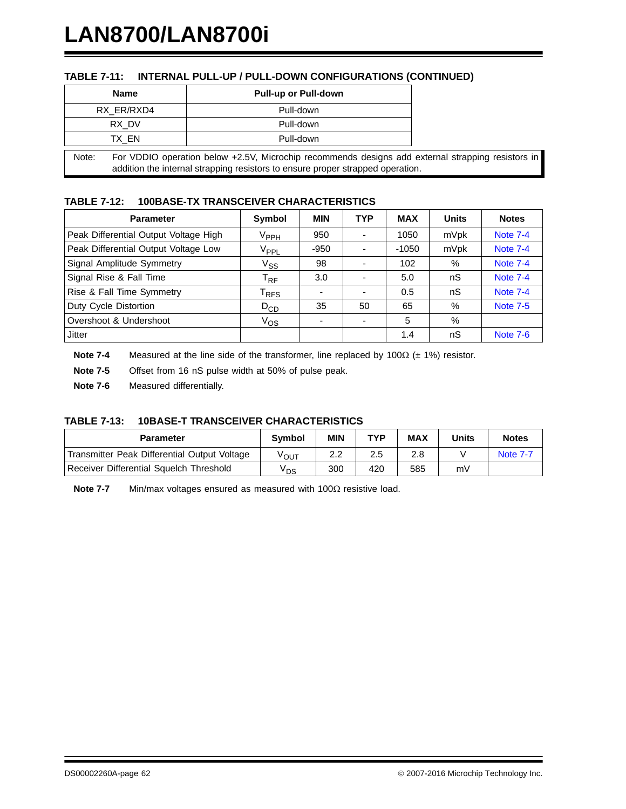|       | <b>Name</b> | <b>Pull-up or Pull-down</b>                                                                                                                                                         |  |
|-------|-------------|-------------------------------------------------------------------------------------------------------------------------------------------------------------------------------------|--|
|       | RX ER/RXD4  | Pull-down                                                                                                                                                                           |  |
|       | RX DV       | Pull-down                                                                                                                                                                           |  |
|       | TX EN       | Pull-down                                                                                                                                                                           |  |
| Note: |             | For VDDIO operation below +2.5V, Microchip recommends designs add external strapping resistors in<br>addition the internal strapping resistors to ensure proper strapped operation. |  |

#### **TABLE 7-11: INTERNAL PULL-UP / PULL-DOWN CONFIGURATIONS (CONTINUED)**

#### <span id="page-61-0"></span>**TABLE 7-12: 100BASE-TX TRANSCEIVER CHARACTERISTICS**

| <b>Parameter</b>                      | Symbol                      | <b>MIN</b> | <b>TYP</b>               | <b>MAX</b> | <b>Units</b> | <b>Notes</b>    |
|---------------------------------------|-----------------------------|------------|--------------------------|------------|--------------|-----------------|
| Peak Differential Output Voltage High | V <sub>РРН</sub>            | 950        |                          | 1050       | mVpk         | <b>Note 7-4</b> |
| Peak Differential Output Voltage Low  | V <sub>PPL</sub>            | $-950$     |                          | $-1050$    | mVpk         | <b>Note 7-4</b> |
| Signal Amplitude Symmetry             | $V_{SS}$                    | 98         |                          | 102        | %            | <b>Note 7-4</b> |
| Signal Rise & Fall Time               | $T_{RF}$                    | 3.0        |                          | 5.0        | nS           | <b>Note 7-4</b> |
| Rise & Fall Time Symmetry             | $\mathsf{T}_{\mathsf{RFS}}$ |            | $\overline{\phantom{a}}$ | 0.5        | nS           | <b>Note 7-4</b> |
| Duty Cycle Distortion                 | $D_{CD}$                    | 35         | 50                       | 65         | %            | <b>Note 7-5</b> |
| Overshoot & Undershoot                | $V_{OS}$                    |            |                          | 5          | %            |                 |
| <b>Jitter</b>                         |                             |            |                          | 1.4        | nS           | <b>Note 7-6</b> |

<span id="page-61-2"></span>**Note 7-4** Measured at the line side of the transformer, line replaced by 100 $\Omega$  ( $\pm$  1%) resistor.

<span id="page-61-3"></span>**Note 7-5** Offset from 16 nS pulse width at 50% of pulse peak.

<span id="page-61-4"></span>**Note 7-6** Measured differentially.

#### <span id="page-61-1"></span>**TABLE 7-13: 10BASE-T TRANSCEIVER CHARACTERISTICS**

| <b>Parameter</b>                             | <b>Symbol</b> | <b>MIN</b> | <b>TYP</b> | <b>MAX</b> | Units | <b>Notes</b>    |
|----------------------------------------------|---------------|------------|------------|------------|-------|-----------------|
| Transmitter Peak Differential Output Voltage | VOUT          | 2.2        | 2.5        | 2.8        |       | <b>Note 7-7</b> |
| Receiver Differential Squelch Threshold      | ⊻DS           | 300        | 420        | 585        | mV    |                 |

<span id="page-61-5"></span>**Note 7-7** Min/max voltages ensured as measured with  $100\Omega$  resistive load.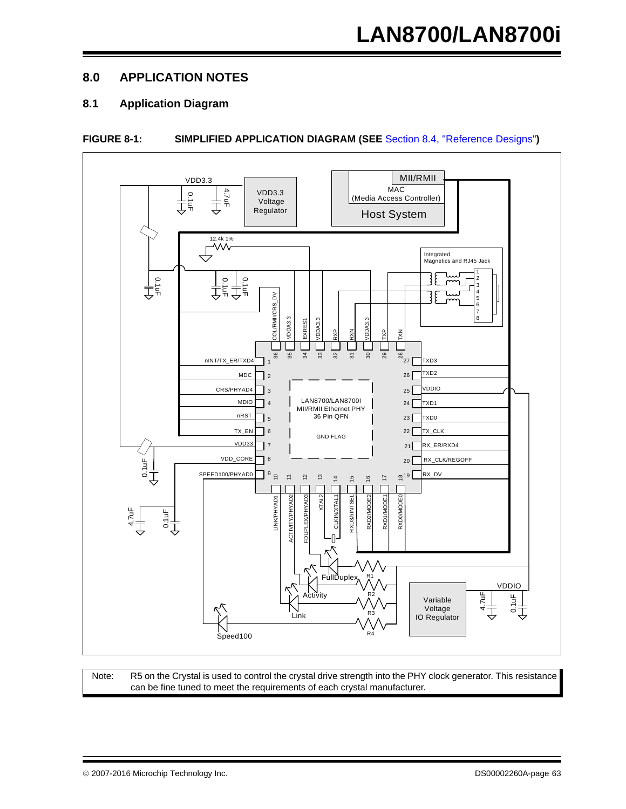## <span id="page-62-0"></span>**8.0 APPLICATION NOTES**

## <span id="page-62-2"></span>**8.1 Application Diagram**

<span id="page-62-1"></span>**FIGURE 8-1: SIMPLIFIED APPLICATION DIAGRAM (SEE** [Section 8.4, "Reference Designs"](#page-63-0)**)**



Note: R5 on the Crystal is used to control the crystal drive strength into the PHY clock generator. This resistance can be fine tuned to meet the requirements of each crystal manufacturer.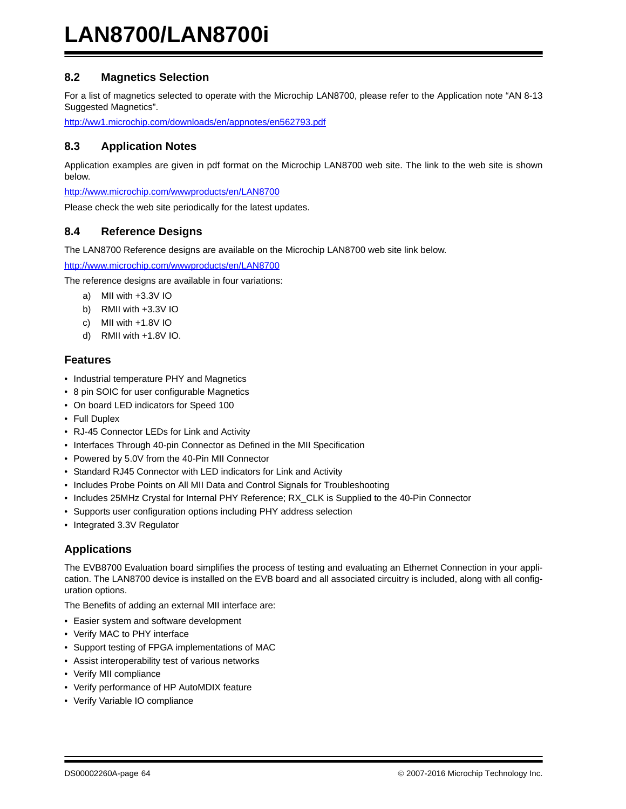## **8.2 Magnetics Selection**

For a list of magnetics selected to operate with the Microchip LAN8700, please refer to the Application note "AN 8-13 Suggested Magnetics".

<http://ww1.microchip.com/downloads/en/appnotes/en562793.pdf>

## **8.3 Application Notes**

Application examples are given in pdf format on the Microchip LAN8700 web site. The link to the web site is shown below.

<http://www.microchip.com/wwwproducts/en/LAN8700>

Please check the web site periodically for the latest updates.

## <span id="page-63-1"></span><span id="page-63-0"></span>**8.4 Reference Designs**

The LAN8700 Reference designs are available on the Microchip LAN8700 web site link below.

<http://www.microchip.com/wwwproducts/en/LAN8700>

The reference designs are available in four variations:

- a) MII with +3.3V IO
- b) RMII with +3.3V IO
- c) MII with +1.8V IO
- d) RMII with +1.8V IO.

## **Features**

- Industrial temperature PHY and Magnetics
- 8 pin SOIC for user configurable Magnetics
- On board LED indicators for Speed 100
- Full Duplex
- RJ-45 Connector LEDs for Link and Activity
- Interfaces Through 40-pin Connector as Defined in the MII Specification
- Powered by 5.0V from the 40-Pin MII Connector
- Standard RJ45 Connector with LED indicators for Link and Activity
- Includes Probe Points on All MII Data and Control Signals for Troubleshooting
- Includes 25MHz Crystal for Internal PHY Reference; RX\_CLK is Supplied to the 40-Pin Connector
- Supports user configuration options including PHY address selection
- Integrated 3.3V Regulator

## **Applications**

The EVB8700 Evaluation board simplifies the process of testing and evaluating an Ethernet Connection in your application. The LAN8700 device is installed on the EVB board and all associated circuitry is included, along with all configuration options.

The Benefits of adding an external MII interface are:

- Easier system and software development
- Verify MAC to PHY interface
- Support testing of FPGA implementations of MAC
- Assist interoperability test of various networks
- Verify MII compliance
- Verify performance of HP AutoMDIX feature
- Verify Variable IO compliance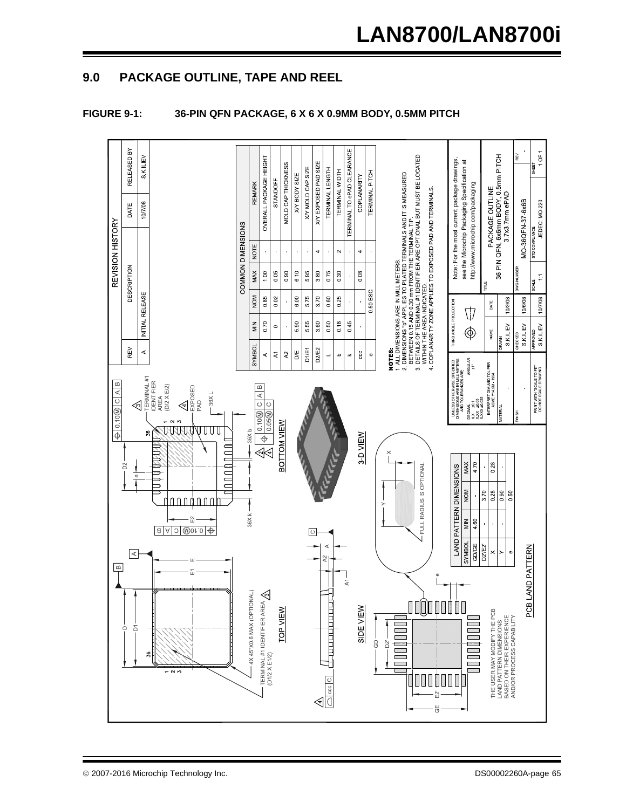# <span id="page-64-0"></span>**9.0 PACKAGE OUTLINE, TAPE AND REEL**



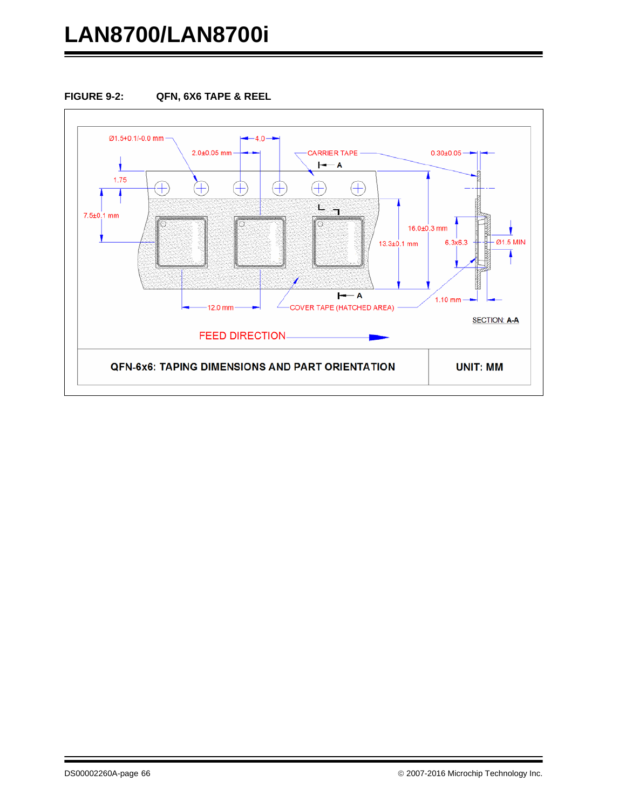

**FIGURE 9-2: QFN, 6X6 TAPE & REEL**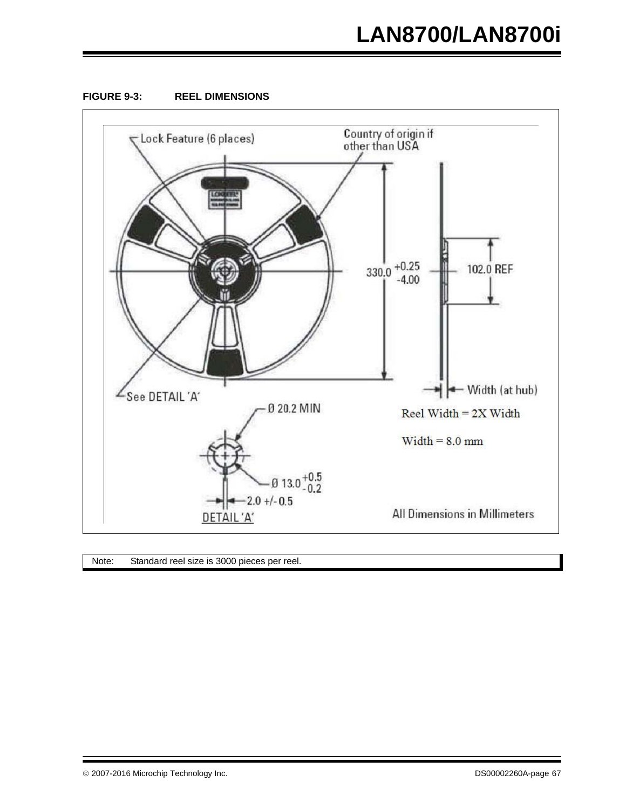

**FIGURE 9-3: REEL DIMENSIONS**

Note: Standard reel size is 3000 pieces per reel.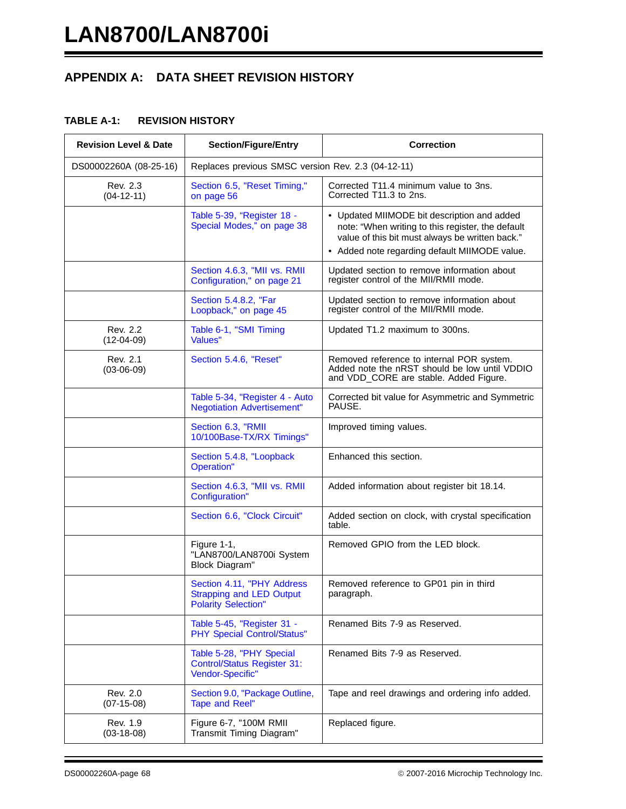# **APPENDIX A: DATA SHEET REVISION HISTORY**

## **TABLE A-1: REVISION HISTORY**

| <b>Revision Level &amp; Date</b> | <b>Section/Figure/Entry</b>                                                                 | <b>Correction</b>                                                                                                                                                                                    |
|----------------------------------|---------------------------------------------------------------------------------------------|------------------------------------------------------------------------------------------------------------------------------------------------------------------------------------------------------|
| DS00002260A (08-25-16)           | Replaces previous SMSC version Rev. 2.3 (04-12-11)                                          |                                                                                                                                                                                                      |
| Rev. 2.3<br>$(04-12-11)$         | Section 6.5, "Reset Timing,"<br>on page 56                                                  | Corrected T11.4 minimum value to 3ns.<br>Corrected T11.3 to 2ns.                                                                                                                                     |
|                                  | Table 5-39, "Register 18 -<br>Special Modes," on page 38                                    | • Updated MIIMODE bit description and added<br>note: "When writing to this register, the default<br>value of this bit must always be written back."<br>• Added note regarding default MIIMODE value. |
|                                  | Section 4.6.3, "MII vs. RMII<br>Configuration," on page 21                                  | Updated section to remove information about<br>register control of the MII/RMII mode.                                                                                                                |
|                                  | Section 5.4.8.2, "Far<br>Loopback," on page 45                                              | Updated section to remove information about<br>register control of the MII/RMII mode.                                                                                                                |
| Rev. 2.2<br>$(12-04-09)$         | Table 6-1, "SMI Timing<br>Values"                                                           | Updated T1.2 maximum to 300ns.                                                                                                                                                                       |
| Rev. 2.1<br>$(03-06-09)$         | Section 5.4.6, "Reset"                                                                      | Removed reference to internal POR system.<br>Added note the nRST should be low until VDDIO<br>and VDD_CORE are stable. Added Figure.                                                                 |
|                                  | Table 5-34, "Register 4 - Auto<br><b>Negotiation Advertisement"</b>                         | Corrected bit value for Asymmetric and Symmetric<br>PAUSE.                                                                                                                                           |
|                                  | Section 6.3, "RMII<br>10/100Base-TX/RX Timings"                                             | Improved timing values.                                                                                                                                                                              |
|                                  | Section 5.4.8, "Loopback<br>Operation"                                                      | Enhanced this section.                                                                                                                                                                               |
|                                  | Section 4.6.3, "MII vs. RMII<br>Configuration"                                              | Added information about register bit 18.14.                                                                                                                                                          |
|                                  | Section 6.6, "Clock Circuit"                                                                | Added section on clock, with crystal specification<br>table.                                                                                                                                         |
|                                  | Figure 1-1,<br>"LAN8700/LAN8700i System<br><b>Block Diagram"</b>                            | Removed GPIO from the LED block.                                                                                                                                                                     |
|                                  | Section 4.11, "PHY Address<br><b>Strapping and LED Output</b><br><b>Polarity Selection"</b> | Removed reference to GP01 pin in third<br>paragraph.                                                                                                                                                 |
|                                  | Table 5-45, "Register 31 -<br><b>PHY Special Control/Status"</b>                            | Renamed Bits 7-9 as Reserved.                                                                                                                                                                        |
|                                  | Table 5-28, "PHY Special<br><b>Control/Status Register 31:</b><br>Vendor-Specific"          | Renamed Bits 7-9 as Reserved.                                                                                                                                                                        |
| Rev. 2.0<br>$(07-15-08)$         | Section 9.0, "Package Outline,<br>Tape and Reel"                                            | Tape and reel drawings and ordering info added.                                                                                                                                                      |
| Rev. 1.9<br>$(03-18-08)$         | Figure 6-7, "100M RMII<br>Transmit Timing Diagram"                                          | Replaced figure.                                                                                                                                                                                     |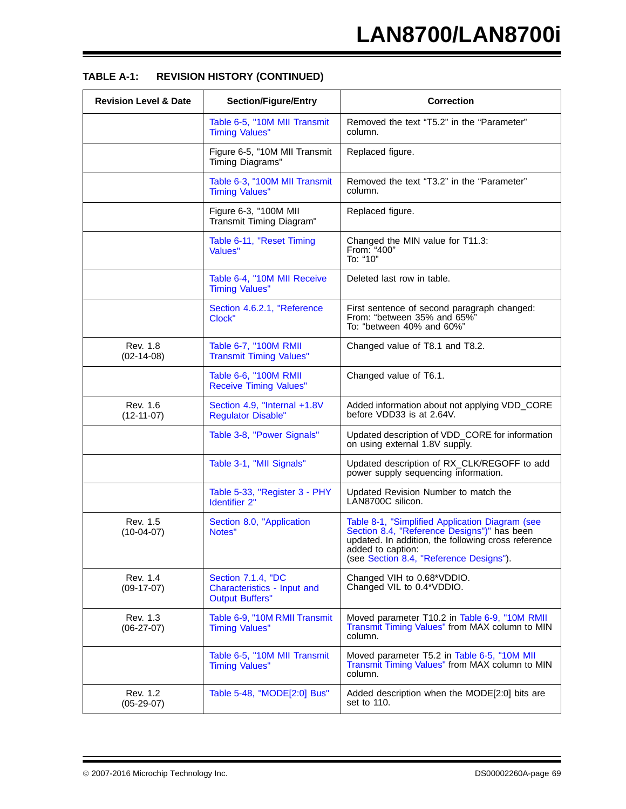| <b>Revision Level &amp; Date</b> | <b>Section/Figure/Entry</b>                                                 | <b>Correction</b>                                                                                                                                                                                                     |
|----------------------------------|-----------------------------------------------------------------------------|-----------------------------------------------------------------------------------------------------------------------------------------------------------------------------------------------------------------------|
|                                  | Table 6-5, "10M MII Transmit<br><b>Timing Values"</b>                       | Removed the text "T5.2" in the "Parameter"<br>column.                                                                                                                                                                 |
|                                  | Figure 6-5, "10M MII Transmit<br>Timing Diagrams"                           | Replaced figure.                                                                                                                                                                                                      |
|                                  | Table 6-3, "100M MII Transmit<br><b>Timing Values"</b>                      | Removed the text "T3.2" in the "Parameter"<br>column.                                                                                                                                                                 |
|                                  | Figure 6-3, "100M MII<br>Transmit Timing Diagram"                           | Replaced figure.                                                                                                                                                                                                      |
|                                  | Table 6-11, "Reset Timing<br>Values"                                        | Changed the MIN value for T11.3:<br>From: "400"<br>To: "10"                                                                                                                                                           |
|                                  | Table 6-4, "10M MII Receive<br><b>Timing Values"</b>                        | Deleted last row in table.                                                                                                                                                                                            |
|                                  | Section 4.6.2.1, "Reference<br>Clock"                                       | First sentence of second paragraph changed:<br>From: "between 35% and 65%"<br>To: "between 40% and 60%"                                                                                                               |
| Rev. 1.8<br>$(02-14-08)$         | Table 6-7, "100M RMII<br><b>Transmit Timing Values"</b>                     | Changed value of T8.1 and T8.2.                                                                                                                                                                                       |
|                                  | Table 6-6, "100M RMII<br><b>Receive Timing Values"</b>                      | Changed value of T6.1.                                                                                                                                                                                                |
| Rev. 1.6<br>$(12-11-07)$         | Section 4.9, "Internal +1.8V<br><b>Regulator Disable"</b>                   | Added information about not applying VDD_CORE<br>before VDD33 is at 2.64V.                                                                                                                                            |
|                                  | Table 3-8, "Power Signals"                                                  | Updated description of VDD_CORE for information<br>on using external 1.8V supply.                                                                                                                                     |
|                                  | Table 3-1, "MII Signals"                                                    | Updated description of RX_CLK/REGOFF to add<br>power supply sequencing information.                                                                                                                                   |
|                                  | Table 5-33, "Register 3 - PHY<br><b>Identifier 2"</b>                       | Updated Revision Number to match the<br>LAN8700C silicon.                                                                                                                                                             |
| Rev. 1.5<br>$(10-04-07)$         | Section 8.0, "Application<br>Notes"                                         | Table 8-1, "Simplified Application Diagram (see<br>Section 8.4, "Reference Designs")" has been<br>updated. In addition, the following cross reference<br>added to caption:<br>(see Section 8.4, "Reference Designs"). |
| Rev. 1.4<br>$(09-17-07)$         | Section 7.1.4, "DC<br>Characteristics - Input and<br><b>Output Buffers"</b> | Changed VIH to 0.68*VDDIO.<br>Changed VIL to 0.4*VDDIO.                                                                                                                                                               |
| Rev. 1.3<br>$(06-27-07)$         | Table 6-9, "10M RMII Transmit<br><b>Timing Values"</b>                      | Moved parameter T10.2 in Table 6-9, "10M RMII<br>Transmit Timing Values" from MAX column to MIN<br>column.                                                                                                            |
|                                  | Table 6-5, "10M MII Transmit<br><b>Timing Values"</b>                       | Moved parameter T5.2 in Table 6-5, "10M MII<br>Transmit Timing Values" from MAX column to MIN<br>column.                                                                                                              |
| Rev. 1.2<br>$(05-29-07)$         | Table 5-48, "MODE[2:0] Bus"                                                 | Added description when the MODE[2:0] bits are<br>set to 110.                                                                                                                                                          |

| <b>TABLE A-1:</b> | <b>REVISION HISTORY (CONTINUED)</b> |  |  |
|-------------------|-------------------------------------|--|--|
|-------------------|-------------------------------------|--|--|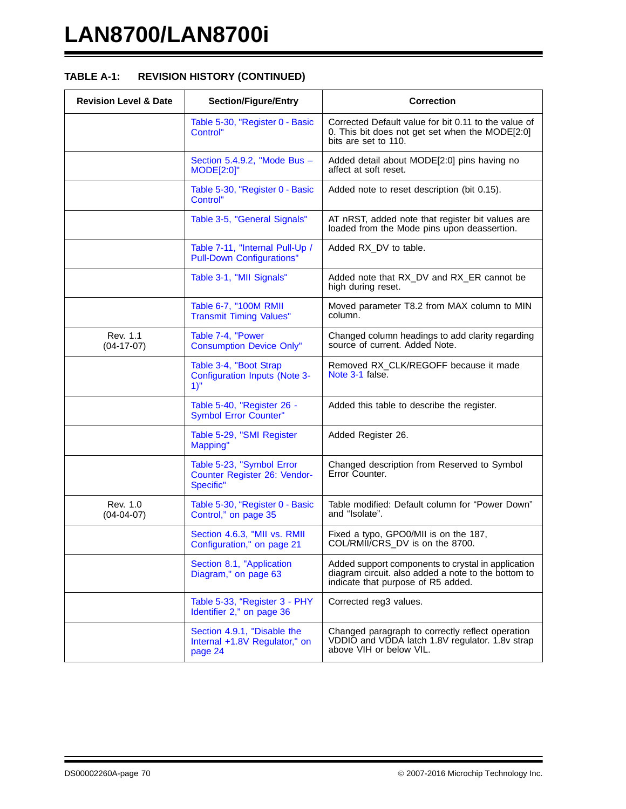# **TABLE A-1: REVISION HISTORY (CONTINUED)**

| <b>Revision Level &amp; Date</b> | <b>Section/Figure/Entry</b>                                             | <b>Correction</b>                                                                                                                               |
|----------------------------------|-------------------------------------------------------------------------|-------------------------------------------------------------------------------------------------------------------------------------------------|
|                                  | Table 5-30, "Register 0 - Basic<br>Control"                             | Corrected Default value for bit 0.11 to the value of<br>0. This bit does not get set when the MODE[2:0]<br>bits are set to 110.                 |
|                                  | Section 5.4.9.2, "Mode Bus -<br><b>MODE[2:0]"</b>                       | Added detail about MODE[2:0] pins having no<br>affect at soft reset.                                                                            |
|                                  | Table 5-30, "Register 0 - Basic<br>Control"                             | Added note to reset description (bit 0.15).                                                                                                     |
|                                  | Table 3-5, "General Signals"                                            | AT nRST, added note that register bit values are<br>loaded from the Mode pins upon deassertion.                                                 |
|                                  | Table 7-11, "Internal Pull-Up /<br><b>Pull-Down Configurations"</b>     | Added RX_DV to table.                                                                                                                           |
|                                  | Table 3-1, "MII Signals"                                                | Added note that RX_DV and RX_ER cannot be<br>high during reset.                                                                                 |
|                                  | Table 6-7, "100M RMII<br><b>Transmit Timing Values"</b>                 | Moved parameter T8.2 from MAX column to MIN<br>column.                                                                                          |
| Rev. 1.1<br>$(04-17-07)$         | Table 7-4, "Power<br><b>Consumption Device Only"</b>                    | Changed column headings to add clarity regarding<br>source of current. Added Note.                                                              |
|                                  | Table 3-4, "Boot Strap<br>Configuration Inputs (Note 3-<br>$1)$ "       | Removed RX_CLK/REGOFF because it made<br>Note 3-1 false.                                                                                        |
|                                  | Table 5-40, "Register 26 -<br><b>Symbol Error Counter"</b>              | Added this table to describe the register.                                                                                                      |
|                                  | Table 5-29, "SMI Register<br>Mapping"                                   | Added Register 26.                                                                                                                              |
|                                  | Table 5-23, "Symbol Error<br>Counter Register 26: Vendor-<br>Specific"  | Changed description from Reserved to Symbol<br>Error Counter.                                                                                   |
| Rev. 1.0<br>$(04-04-07)$         | Table 5-30, "Register 0 - Basic<br>Control," on page 35                 | Table modified: Default column for "Power Down"<br>and "Isolate".                                                                               |
|                                  | Section 4.6.3, "MII vs. RMII<br>Configuration," on page 21              | Fixed a typo, GPO0/MII is on the 187,<br>COL/RMII/CRS_DV is on the 8700.                                                                        |
|                                  | Section 8.1, "Application<br>Diagram," on page 63                       | Added support components to crystal in application<br>diagram circuit. also added a note to the bottom to<br>indicate that purpose of R5 added. |
|                                  | Table 5-33, "Register 3 - PHY<br>Identifier 2," on page 36              | Corrected reg3 values.                                                                                                                          |
|                                  | Section 4.9.1, "Disable the<br>Internal +1.8V Regulator," on<br>page 24 | Changed paragraph to correctly reflect operation<br>VDDIO and VDDA latch 1.8V regulator. 1.8v strap<br>above VIH or below VIL.                  |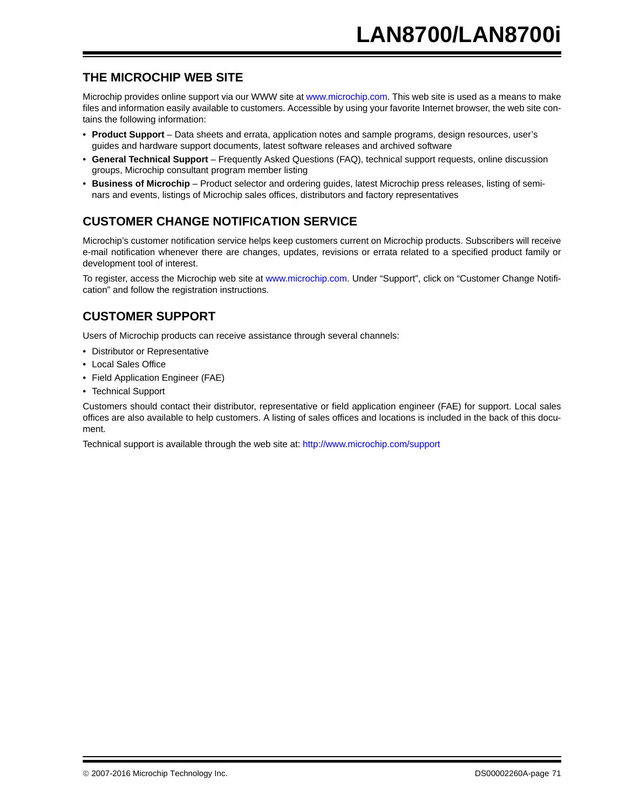# **THE MICROCHIP WEB SITE**

[Microchip provides online support via our WWW site at w](http://www.microchip.com)ww.microchip.com. This web site is used as a means to make files and information easily available to customers. Accessible by using your favorite Internet browser, the web site contains the following information:

- **Product Support** Data sheets and errata, application notes and sample programs, design resources, user's guides and hardware support documents, latest software releases and archived software
- **General Technical Support** Frequently Asked Questions (FAQ), technical support requests, online discussion groups, Microchip consultant program member listing
- **Business of Microchip** Product selector and ordering guides, latest Microchip press releases, listing of seminars and events, listings of Microchip sales offices, distributors and factory representatives

# **CUSTOMER CHANGE NOTIFICATION SERVICE**

Microchip's customer notification service helps keep customers current on Microchip products. Subscribers will receive e-mail notification whenever there are changes, updates, revisions or errata related to a specified product family or development tool of interest.

[To register, access the Microchip web site at](http://www.microchip.com) www.microchip.com. Under "Support", click on "Customer Change Notification" and follow the registration instructions.

# **CUSTOMER SUPPORT**

Users of Microchip products can receive assistance through several channels:

- Distributor or Representative
- Local Sales Office
- Field Application Engineer (FAE)
- Technical Support

Customers should contact their distributor, representative or field application engineer (FAE) for support. Local sales offices are also available to help customers. A listing of sales offices and locations is included in the back of this document.

[Technical support is available through the web site at:](http://www.microchip.com) http://www.microchip.com/support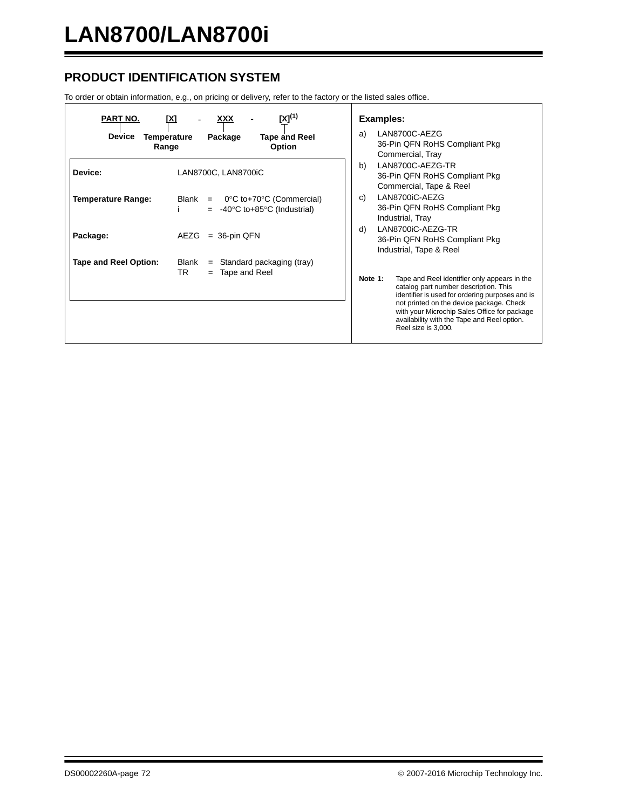# **PRODUCT IDENTIFICATION SYSTEM**

To order or obtain information, e.g., on pricing or delivery, refer to the factory or the listed sales office.

| PART NO.              | $[X]^{(1)}$<br>XXX<br><u> [X]</u>                                                             | Examples:                                                                                                                                                                                                                                                                                                             |
|-----------------------|-----------------------------------------------------------------------------------------------|-----------------------------------------------------------------------------------------------------------------------------------------------------------------------------------------------------------------------------------------------------------------------------------------------------------------------|
| <b>Device</b>         | Temperature<br>Package<br><b>Tape and Reel</b><br>Option<br>Range                             | LAN8700C-AEZG<br>a)<br>36-Pin QFN RoHS Compliant Pkg<br>Commercial, Tray                                                                                                                                                                                                                                              |
| Device:               | LAN8700C, LAN8700iC                                                                           | LAN8700C-AEZG-TR<br>b)<br>36-Pin QFN RoHS Compliant Pkg<br>Commercial, Tape & Reel                                                                                                                                                                                                                                    |
| Temperature Range:    | 0°C to+70°C (Commercial)<br>Blank<br>$=$<br>$= -40^{\circ}$ C to+85 $^{\circ}$ C (Industrial) | LAN8700iC-AEZG<br>C)<br>36-Pin QFN RoHS Compliant Pkg<br>Industrial, Tray                                                                                                                                                                                                                                             |
| Package:              | $= 36$ -pin QFN<br>AEZG                                                                       | LAN8700iC-AEZG-TR<br>d)<br>36-Pin QFN RoHS Compliant Pkg<br>Industrial, Tape & Reel                                                                                                                                                                                                                                   |
| Tape and Reel Option: | Blank<br>$=$ Standard packaging (tray)<br>TR<br>$=$ Tape and Reel                             | Note 1:<br>Tape and Reel identifier only appears in the<br>catalog part number description. This<br>identifier is used for ordering purposes and is<br>not printed on the device package. Check<br>with your Microchip Sales Office for package<br>availability with the Tape and Reel option.<br>Reel size is 3,000. |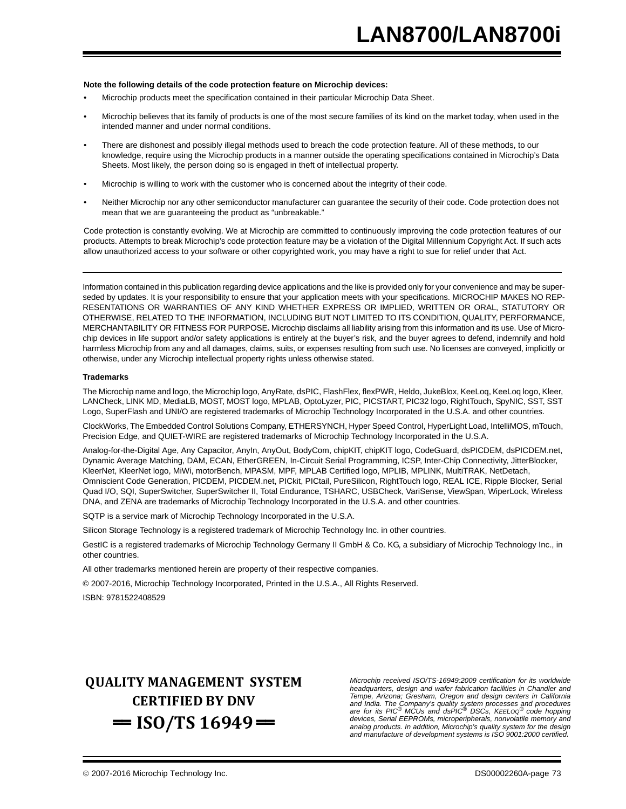#### **Note the following details of the code protection feature on Microchip devices:**

- Microchip products meet the specification contained in their particular Microchip Data Sheet.
- Microchip believes that its family of products is one of the most secure families of its kind on the market today, when used in the intended manner and under normal conditions.
- There are dishonest and possibly illegal methods used to breach the code protection feature. All of these methods, to our knowledge, require using the Microchip products in a manner outside the operating specifications contained in Microchip's Data Sheets. Most likely, the person doing so is engaged in theft of intellectual property.
- Microchip is willing to work with the customer who is concerned about the integrity of their code.
- Neither Microchip nor any other semiconductor manufacturer can guarantee the security of their code. Code protection does not mean that we are guaranteeing the product as "unbreakable."

Code protection is constantly evolving. We at Microchip are committed to continuously improving the code protection features of our products. Attempts to break Microchip's code protection feature may be a violation of the Digital Millennium Copyright Act. If such acts allow unauthorized access to your software or other copyrighted work, you may have a right to sue for relief under that Act.

Information contained in this publication regarding device applications and the like is provided only for your convenience and may be superseded by updates. It is your responsibility to ensure that your application meets with your specifications. MICROCHIP MAKES NO REP-RESENTATIONS OR WARRANTIES OF ANY KIND WHETHER EXPRESS OR IMPLIED, WRITTEN OR ORAL, STATUTORY OR OTHERWISE, RELATED TO THE INFORMATION, INCLUDING BUT NOT LIMITED TO ITS CONDITION, QUALITY, PERFORMANCE, MERCHANTABILITY OR FITNESS FOR PURPOSE**.** Microchip disclaims all liability arising from this information and its use. Use of Microchip devices in life support and/or safety applications is entirely at the buyer's risk, and the buyer agrees to defend, indemnify and hold harmless Microchip from any and all damages, claims, suits, or expenses resulting from such use. No licenses are conveyed, implicitly or otherwise, under any Microchip intellectual property rights unless otherwise stated.

#### **Trademarks**

The Microchip name and logo, the Microchip logo, AnyRate, dsPIC, FlashFlex, flexPWR, Heldo, JukeBlox, KeeLoq, KeeLoq logo, Kleer, LANCheck, LINK MD, MediaLB, MOST, MOST logo, MPLAB, OptoLyzer, PIC, PICSTART, PIC32 logo, RightTouch, SpyNIC, SST, SST Logo, SuperFlash and UNI/O are registered trademarks of Microchip Technology Incorporated in the U.S.A. and other countries.

ClockWorks, The Embedded Control Solutions Company, ETHERSYNCH, Hyper Speed Control, HyperLight Load, IntelliMOS, mTouch, Precision Edge, and QUIET-WIRE are registered trademarks of Microchip Technology Incorporated in the U.S.A.

Analog-for-the-Digital Age, Any Capacitor, AnyIn, AnyOut, BodyCom, chipKIT, chipKIT logo, CodeGuard, dsPICDEM, dsPICDEM.net, Dynamic Average Matching, DAM, ECAN, EtherGREEN, In-Circuit Serial Programming, ICSP, Inter-Chip Connectivity, JitterBlocker, KleerNet, KleerNet logo, MiWi, motorBench, MPASM, MPF, MPLAB Certified logo, MPLIB, MPLINK, MultiTRAK, NetDetach, Omniscient Code Generation, PICDEM, PICDEM.net, PICkit, PICtail, PureSilicon, RightTouch logo, REAL ICE, Ripple Blocker, Serial Quad I/O, SQI, SuperSwitcher, SuperSwitcher II, Total Endurance, TSHARC, USBCheck, VariSense, ViewSpan, WiperLock, Wireless DNA, and ZENA are trademarks of Microchip Technology Incorporated in the U.S.A. and other countries.

SQTP is a service mark of Microchip Technology Incorporated in the U.S.A.

Silicon Storage Technology is a registered trademark of Microchip Technology Inc. in other countries.

GestIC is a registered trademarks of Microchip Technology Germany II GmbH & Co. KG, a subsidiary of Microchip Technology Inc., in other countries.

All other trademarks mentioned herein are property of their respective companies.

© 2007-2016, Microchip Technology Incorporated, Printed in the U.S.A., All Rights Reserved.

ISBN: 9781522408529

# **QUALITY MANAGEMENT SYSTEM CERTIFIED BY DNV**  $=$  **ISO/TS** 16949 $=$

*Microchip received ISO/TS-16949:2009 certification for its worldwide headquarters, design and wafer fabrication facilities in Chandler and Tempe, Arizona; Gresham, Oregon and design centers in California and India. The Company's quality system processes and procedures are for its PIC® MCUs and dsPIC® DSCs, KEELOQ® code hopping devices, Serial EEPROMs, microperipherals, nonvolatile memory and analog products. In addition, Microchip's quality system for the design and manufacture of development systems is ISO 9001:2000 certified.*

 <sup>2007-2016</sup> Microchip Technology Inc. DS00002260A-page 73